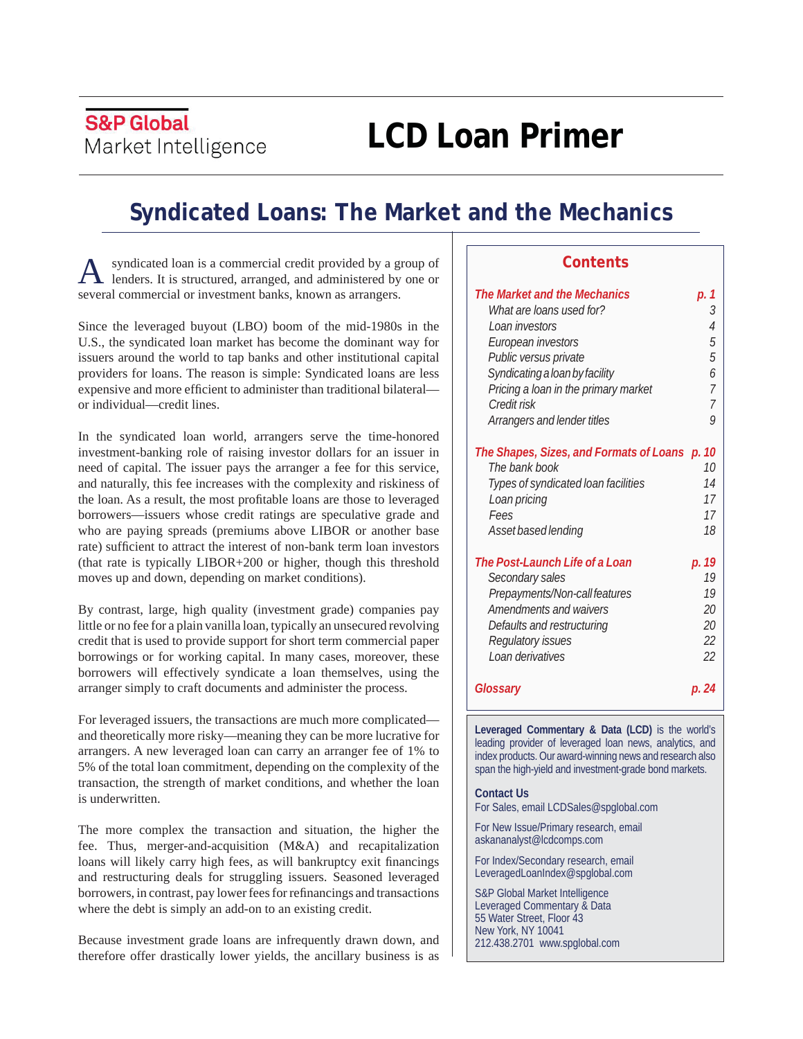# **LCD Loan Primer**

## **Syndicated Loans: The Market and the Mechanics**

A syndicated loan is a commercial credit provided by a group of lenders. It is structured, arranged, and administered by one or several commercial or investment banks, known as arrangers.

Since the leveraged buyout (LBO) boom of the mid-1980s in the U.S., the syndicated loan market has become the dominant way for issuers around the world to tap banks and other institutional capital providers for loans. The reason is simple: Syndicated loans are less expensive and more efficient to administer than traditional bilateral or individual—credit lines.

In the syndicated loan world, arrangers serve the time-honored investment-banking role of raising investor dollars for an issuer in need of capital. The issuer pays the arranger a fee for this service, and naturally, this fee increases with the complexity and riskiness of the loan. As a result, the most profitable loans are those to leveraged borrowers—issuers whose credit ratings are speculative grade and who are paying spreads (premiums above LIBOR or another base rate) sufficient to attract the interest of non-bank term loan investors (that rate is typically LIBOR+200 or higher, though this threshold moves up and down, depending on market conditions).

By contrast, large, high quality (investment grade) companies pay little or no fee for a plain vanilla loan, typically an unsecured revolving credit that is used to provide support for short term commercial paper borrowings or for working capital. In many cases, moreover, these borrowers will effectively syndicate a loan themselves, using the arranger simply to craft documents and administer the process.

For leveraged issuers, the transactions are much more complicated and theoretically more risky—meaning they can be more lucrative for arrangers. A new leveraged loan can carry an arranger fee of 1% to 5% of the total loan commitment, depending on the complexity of the transaction, the strength of market conditions, and whether the loan is underwritten.

The more complex the transaction and situation, the higher the fee. Thus, merger-and-acquisition (M&A) and recapitalization loans will likely carry high fees, as will bankruptcy exit financings and restructuring deals for struggling issuers. Seasoned leveraged borrowers, in contrast, pay lower fees for refinancings and transactions where the debt is simply an add-on to an existing credit.

Because investment grade loans are infrequently drawn down, and therefore offer drastically lower yields, the ancillary business is as

| <b>Contents</b>                            |       |
|--------------------------------------------|-------|
| The Market and the Mechanics               | p. 1  |
| What are loans used for?                   | 3     |
| Loan investors                             | 4     |
| European investors                         | 5     |
| Public versus private                      | 5     |
| Syndicating a loan by facility             | 6     |
| Pricing a loan in the primary market       | 7     |
| Credit risk                                | 7     |
| Arrangers and lender titles                | 9     |
| The Shapes, Sizes, and Formats of Loans p. | 10    |
| The bank book                              | 10    |
| Types of syndicated loan facilities        | 14    |
| Loan pricing                               | 17    |
| Fees                                       | 17    |
| Asset based lending                        | 18    |
| The Post-Launch Life of a Loan             | p. 19 |
| Secondary sales                            | 19    |
| Prepayments/Non-call features              | 19    |
| Amendments and waivers                     | 20    |
| Defaults and restructuring                 | 20    |
| Regulatory issues                          | 22    |
| Loan derivatives                           | 22    |
| Glossary                                   | p. 24 |

**Leveraged Commentary & Data (LCD)** is the world's leading provider of leveraged loan news, analytics, and index products. Our award-winning news and research also span the high-yield and investment-grade bond markets.

#### **Contact Us**

For Sales, email LCDSales@spglobal.com

For New Issue/Primary research, email askananalyst@lcdcomps.com

For Index/Secondary research, email LeveragedLoanIndex@spglobal.com

S&P Global Market Intelligence Leveraged Commentary & Data 55 Water Street, Floor 43 New York, NY 10041 212.438.2701 www.spglobal.com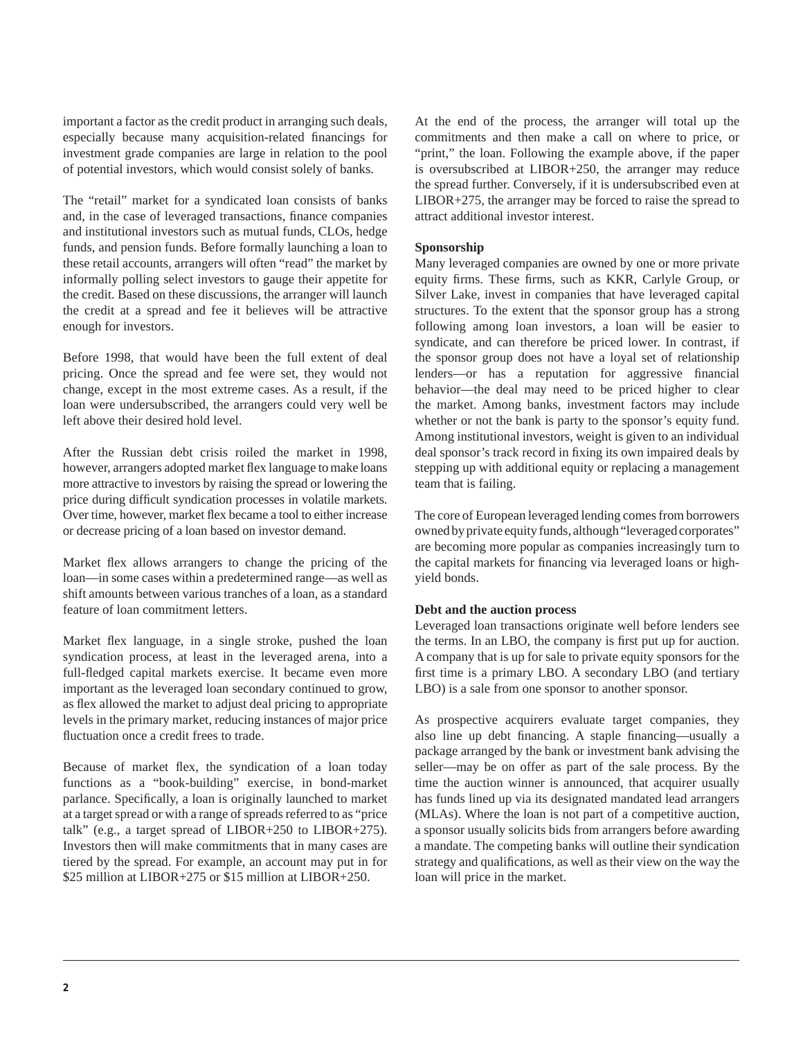important a factor as the credit product in arranging such deals, especially because many acquisition-related financings for investment grade companies are large in relation to the pool of potential investors, which would consist solely of banks.

The "retail" market for a syndicated loan consists of banks and, in the case of leveraged transactions, finance companies and institutional investors such as mutual funds, CLOs, hedge funds, and pension funds. Before formally launching a loan to these retail accounts, arrangers will often "read" the market by informally polling select investors to gauge their appetite for the credit. Based on these discussions, the arranger will launch the credit at a spread and fee it believes will be attractive enough for investors.

Before 1998, that would have been the full extent of deal pricing. Once the spread and fee were set, they would not change, except in the most extreme cases. As a result, if the loan were undersubscribed, the arrangers could very well be left above their desired hold level.

After the Russian debt crisis roiled the market in 1998, however, arrangers adopted market flex language to make loans more attractive to investors by raising the spread or lowering the price during difficult syndication processes in volatile markets. Over time, however, market flex became a tool to either increase or decrease pricing of a loan based on investor demand.

Market flex allows arrangers to change the pricing of the loan—in some cases within a predetermined range—as well as shift amounts between various tranches of a loan, as a standard feature of loan commitment letters.

Market flex language, in a single stroke, pushed the loan syndication process, at least in the leveraged arena, into a full-fledged capital markets exercise. It became even more important as the leveraged loan secondary continued to grow, as flex allowed the market to adjust deal pricing to appropriate levels in the primary market, reducing instances of major price fluctuation once a credit frees to trade.

Because of market flex, the syndication of a loan today functions as a "book-building" exercise, in bond-market parlance. Specifically, a loan is originally launched to market at a target spread or with a range of spreads referred to as "price talk" (e.g., a target spread of LIBOR+250 to LIBOR+275). Investors then will make commitments that in many cases are tiered by the spread. For example, an account may put in for \$25 million at LIBOR $+275$  or \$15 million at LIBOR $+250$ .

At the end of the process, the arranger will total up the commitments and then make a call on where to price, or "print," the loan. Following the example above, if the paper is oversubscribed at LIBOR+250, the arranger may reduce the spread further. Conversely, if it is undersubscribed even at LIBOR+275, the arranger may be forced to raise the spread to attract additional investor interest.

#### **Sponsorship**

Many leveraged companies are owned by one or more private equity firms. These firms, such as KKR, Carlyle Group, or Silver Lake, invest in companies that have leveraged capital structures. To the extent that the sponsor group has a strong following among loan investors, a loan will be easier to syndicate, and can therefore be priced lower. In contrast, if the sponsor group does not have a loyal set of relationship lenders—or has a reputation for aggressive financial behavior—the deal may need to be priced higher to clear the market. Among banks, investment factors may include whether or not the bank is party to the sponsor's equity fund. Among institutional investors, weight is given to an individual deal sponsor's track record in fixing its own impaired deals by stepping up with additional equity or replacing a management team that is failing.

The core of European leveraged lending comes from borrowers owned by private equity funds, although "leveraged corporates" are becoming more popular as companies increasingly turn to the capital markets for financing via leveraged loans or highyield bonds.

#### **Debt and the auction process**

Leveraged loan transactions originate well before lenders see the terms. In an LBO, the company is first put up for auction. A company that is up for sale to private equity sponsors for the first time is a primary LBO. A secondary LBO (and tertiary LBO) is a sale from one sponsor to another sponsor.

As prospective acquirers evaluate target companies, they also line up debt financing. A staple financing—usually a package arranged by the bank or investment bank advising the seller—may be on offer as part of the sale process. By the time the auction winner is announced, that acquirer usually has funds lined up via its designated mandated lead arrangers (MLAs). Where the loan is not part of a competitive auction, a sponsor usually solicits bids from arrangers before awarding a mandate. The competing banks will outline their syndication strategy and qualifications, as well as their view on the way the loan will price in the market.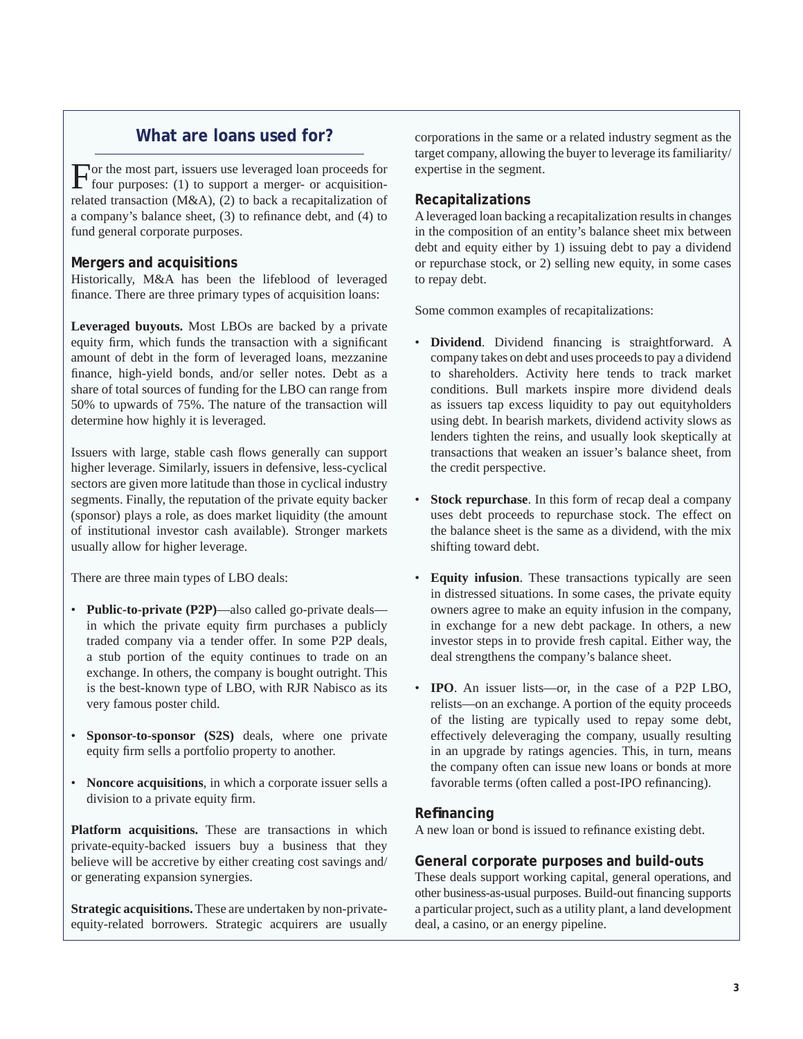## **What are loans used for?**

For the most part, issuers use leveraged loan proceeds for four purposes: (1) to support a merger- or acquisitionrelated transaction (M&A), (2) to back a recapitalization of a company's balance sheet,  $(3)$  to refinance debt, and  $(4)$  to fund general corporate purposes.

## **Mergers and acquisitions**

Historically, M&A has been the lifeblood of leveraged finance. There are three primary types of acquisition loans:

Leveraged buyouts. Most LBOs are backed by a private equity firm, which funds the transaction with a significant amount of debt in the form of leveraged loans, mezzanine finance, high-yield bonds, and/or seller notes. Debt as a share of total sources of funding for the LBO can range from 50% to upwards of 75%. The nature of the transaction will determine how highly it is leveraged.

Issuers with large, stable cash flows generally can support higher leverage. Similarly, issuers in defensive, less-cyclical sectors are given more latitude than those in cyclical industry segments. Finally, the reputation of the private equity backer (sponsor) plays a role, as does market liquidity (the amount of institutional investor cash available). Stronger markets usually allow for higher leverage.

There are three main types of LBO deals:

- **Public-to-private (P2P)**—also called go-private deals in which the private equity firm purchases a publicly traded company via a tender offer. In some P2P deals, a stub portion of the equity continues to trade on an exchange. In others, the company is bought outright. This is the best-known type of LBO, with RJR Nabisco as its very famous poster child.
- **Sponsor-to-sponsor (S2S)** deals, where one private equity firm sells a portfolio property to another.
- **Noncore acquisitions**, in which a corporate issuer sells a division to a private equity firm.

Platform acquisitions. These are transactions in which private-equity-backed issuers buy a business that they believe will be accretive by either creating cost savings and/ or generating expansion synergies.

**Strategic acquisitions.** These are undertaken by non-privateequity-related borrowers. Strategic acquirers are usually corporations in the same or a related industry segment as the target company, allowing the buyer to leverage its familiarity/ expertise in the segment.

## **Recapitalizations**

A leveraged loan backing a recapitalization results in changes in the composition of an entity's balance sheet mix between debt and equity either by 1) issuing debt to pay a dividend or repurchase stock, or 2) selling new equity, in some cases to repay debt.

Some common examples of recapitalizations:

- **Dividend**. Dividend financing is straightforward. A company takes on debt and uses proceeds to pay a dividend to shareholders. Activity here tends to track market conditions. Bull markets inspire more dividend deals as issuers tap excess liquidity to pay out equityholders using debt. In bearish markets, dividend activity slows as lenders tighten the reins, and usually look skeptically at transactions that weaken an issuer's balance sheet, from the credit perspective.
- **Stock repurchase**. In this form of recap deal a company uses debt proceeds to repurchase stock. The effect on the balance sheet is the same as a dividend, with the mix shifting toward debt.
- **Equity infusion**. These transactions typically are seen in distressed situations. In some cases, the private equity owners agree to make an equity infusion in the company, in exchange for a new debt package. In others, a new investor steps in to provide fresh capital. Either way, the deal strengthens the company's balance sheet.
- **IPO**. An issuer lists—or, in the case of a P2P LBO, relists—on an exchange. A portion of the equity proceeds of the listing are typically used to repay some debt, effectively deleveraging the company, usually resulting in an upgrade by ratings agencies. This, in turn, means the company often can issue new loans or bonds at more favorable terms (often called a post-IPO refinancing).

## **Refi nancing**

A new loan or bond is issued to refinance existing debt.

## **General corporate purposes and build-outs**

These deals support working capital, general operations, and other business-as-usual purposes. Build-out financing supports a particular project, such as a utility plant, a land development deal, a casino, or an energy pipeline.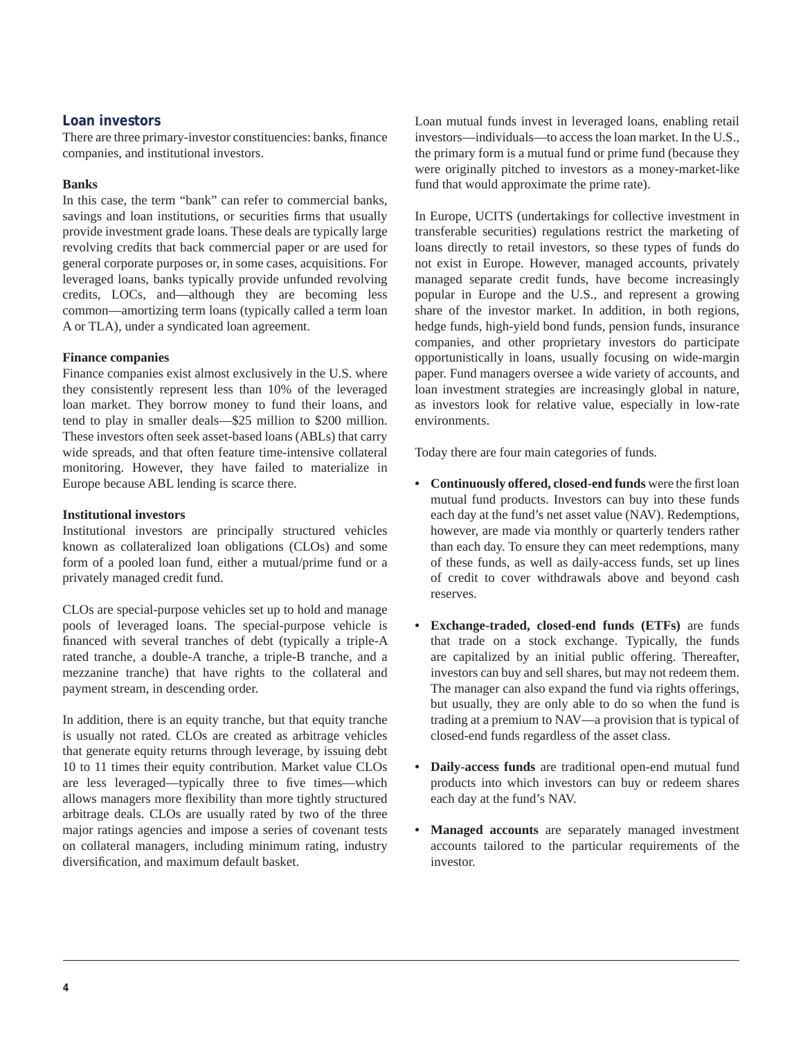## **Loan investors**

There are three primary-investor constituencies: banks, finance companies, and institutional investors .

## **Banks**

In this case, the term "bank" can refer to commercial banks, savings and loan institutions, or securities firms that usually provide investment grade loans. These deals are typically large revolving credits that back commercial paper or are used for general corporate purposes or, in some cases, acquisitions. For leveraged loans, banks typically provide unfunded revolving credits, LOCs, and—although they are becoming less common—amortizing term loans (typically called a term loan A or TLA), under a syndicated loan agreement.

#### **Finance companies**

Finance companies exist almost exclusively in the U.S. where they consistently represent less than 10% of the leveraged loan market. They borrow money to fund their loans, and tend to play in smaller deals—\$25 million to \$200 million. These investors often seek asset-based loans (ABLs) that carry wide spreads, and that often feature time-intensive collateral monitoring. However, they have failed to materialize in Europe because ABL lending is scarce there.

#### **Institutional investors**

Institutional investors are principally structured vehicles known as collateralized loan obligations (CLOs) and some form of a pooled loan fund, either a mutual/prime fund or a privately managed credit fund.

CLOs are special-purpose vehicles set up to hold and manage pools of leveraged loans. The special-purpose vehicle is financed with several tranches of debt (typically a triple-A rated tranche, a double-A tranche, a triple-B tranche, and a mezzanine tranche) that have rights to the collateral and payment stream, in descending order.

In addition, there is an equity tranche, but that equity tranche is usually not rated. CLOs are created as arbitrage vehicles that generate equity returns through leverage, by issuing debt 10 to 11 times their equity contribution. Market value CLOs are less leveraged—typically three to five times—which allows managers more flexibility than more tightly structured arbitrage deals. CLOs are usually rated by two of the three major ratings agencies and impose a series of covenant tests on collateral managers, including minimum rating, industry diversification, and maximum default basket.

Loan mutual funds invest in leveraged loans, enabling retail investors—individuals—to access the loan market. In the U.S., the primary form is a mutual fund or prime fund (because they were originally pitched to investors as a money-market-like fund that would approximate the prime rate).

In Europe, UCITS (undertakings for collective investment in transferable securities) regulations restrict the marketing of loans directly to retail investors, so these types of funds do not exist in Europe. However, managed accounts, privately managed separate credit funds, have become increasingly popular in Europe and the U.S., and represent a growing share of the investor market. In addition, in both regions, hedge funds, high-yield bond funds, pension funds, insurance companies, and other proprietary investors do participate opportunistically in loans, usually focusing on wide-margin paper. Fund managers oversee a wide variety of accounts, and loan investment strategies are increasingly global in nature, as investors look for relative value, especially in low-rate environments.

Today there are four main categories of funds.

- **Continuously offered, closed-end funds** were the first loan mutual fund products. Investors can buy into these funds each day at the fund's net asset value (NAV). Redemptions, however, are made via monthly or quarterly tenders rather than each day. To ensure they can meet redemptions, many of these funds, as well as daily-access funds, set up lines of credit to cover withdrawals above and beyond cash reserves.
- **Exchange-traded, closed-end funds (ETFs)** are funds that trade on a stock exchange. Typically, the funds are capitalized by an initial public offering. Thereafter, investors can buy and sell shares, but may not redeem them. The manager can also expand the fund via rights offerings, but usually, they are only able to do so when the fund is trading at a premium to NAV—a provision that is typical of closed-end funds regardless of the asset class.
- **Daily-access funds** are traditional open-end mutual fund products into which investors can buy or redeem shares each day at the fund's NAV.
- **Managed accounts** are separately managed investment accounts tailored to the particular requirements of the investor.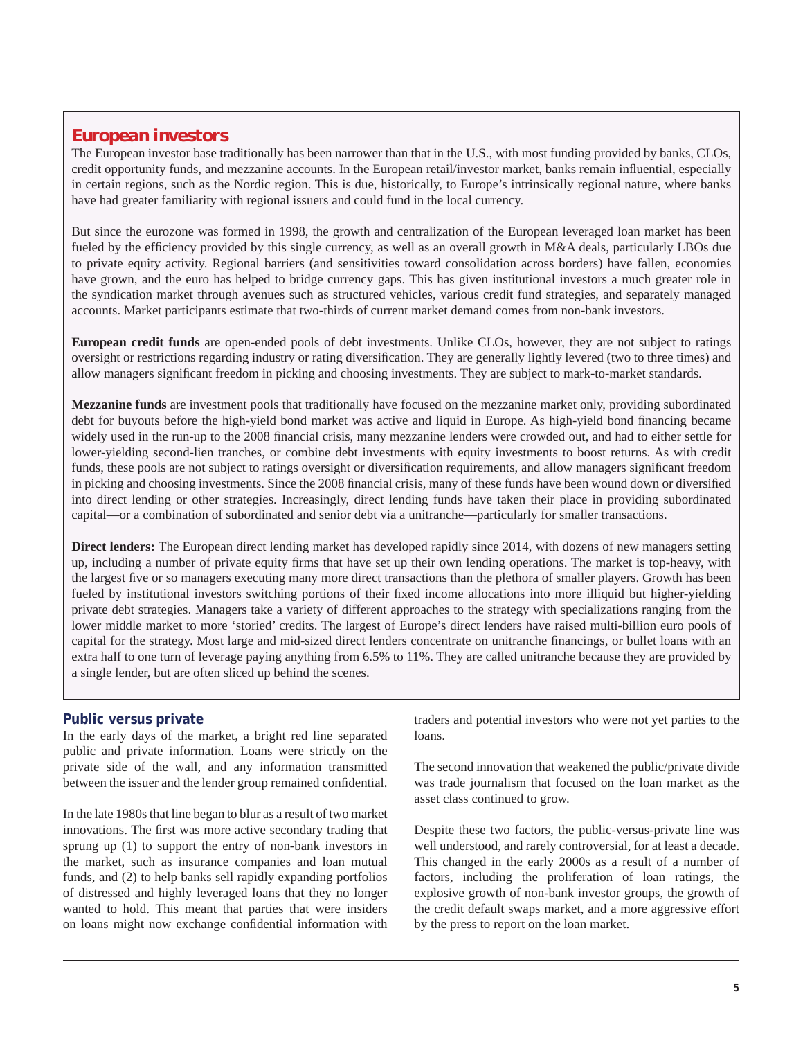## *European investors*

The European investor base traditionally has been narrower than that in the U.S., with most funding provided by banks, CLOs, credit opportunity funds, and mezzanine accounts. In the European retail/investor market, banks remain influential, especially in certain regions, such as the Nordic region. This is due, historically, to Europe's intrinsically regional nature, where banks have had greater familiarity with regional issuers and could fund in the local currency.

But since the eurozone was formed in 1998, the growth and centralization of the European leveraged loan market has been fueled by the efficiency provided by this single currency, as well as an overall growth in M&A deals, particularly LBOs due to private equity activity. Regional barriers (and sensitivities toward consolidation across borders) have fallen, economies have grown, and the euro has helped to bridge currency gaps. This has given institutional investors a much greater role in the syndication market through avenues such as structured vehicles, various credit fund strategies, and separately managed accounts. Market participants estimate that two-thirds of current market demand comes from non-bank investors.

**European credit funds** are open-ended pools of debt investments. Unlike CLOs, however, they are not subject to ratings oversight or restrictions regarding industry or rating diversification. They are generally lightly levered (two to three times) and allow managers significant freedom in picking and choosing investments. They are subject to mark-to-market standards.

**Mezzanine funds** are investment pools that traditionally have focused on the mezzanine market only, providing subordinated debt for buyouts before the high-yield bond market was active and liquid in Europe. As high-yield bond financing became widely used in the run-up to the 2008 financial crisis, many mezzanine lenders were crowded out, and had to either settle for lower-yielding second-lien tranches, or combine debt investments with equity investments to boost returns. As with credit funds, these pools are not subject to ratings oversight or diversification requirements, and allow managers significant freedom in picking and choosing investments. Since the 2008 financial crisis, many of these funds have been wound down or diversified into direct lending or other strategies. Increasingly, direct lending funds have taken their place in providing subordinated capital—or a combination of subordinated and senior debt via a unitranche—particularly for smaller transactions.

**Direct lenders:** The European direct lending market has developed rapidly since 2014, with dozens of new managers setting up, including a number of private equity firms that have set up their own lending operations. The market is top-heavy, with the largest five or so managers executing many more direct transactions than the plethora of smaller players. Growth has been fueled by institutional investors switching portions of their fixed income allocations into more illiquid but higher-yielding private debt strategies. Managers take a variety of different approaches to the strategy with specializations ranging from the lower middle market to more 'storied' credits. The largest of Europe's direct lenders have raised multi-billion euro pools of capital for the strategy. Most large and mid-sized direct lenders concentrate on unitranche financings, or bullet loans with an extra half to one turn of leverage paying anything from 6.5% to 11%. They are called unitranche because they are provided by a single lender, but are often sliced up behind the scenes.

## **Public versus private**

In the early days of the market, a bright red line separated public and private information. Loans were strictly on the private side of the wall, and any information transmitted between the issuer and the lender group remained confidential.

In the late 1980s that line began to blur as a result of two market innovations. The first was more active secondary trading that sprung up (1) to support the entry of non-bank investors in the market, such as insurance companies and loan mutual funds, and (2) to help banks sell rapidly expanding portfolios of distressed and highly leveraged loans that they no longer wanted to hold. This meant that parties that were insiders on loans might now exchange confidential information with

traders and potential investors who were not yet parties to the loans.

The second innovation that weakened the public/private divide was trade journalism that focused on the loan market as the asset class continued to grow.

Despite these two factors, the public-versus-private line was well understood, and rarely controversial, for at least a decade. This changed in the early 2000s as a result of a number of factors, including the proliferation of loan ratings, the explosive growth of non-bank investor groups, the growth of the credit default swaps market, and a more aggressive effort by the press to report on the loan market.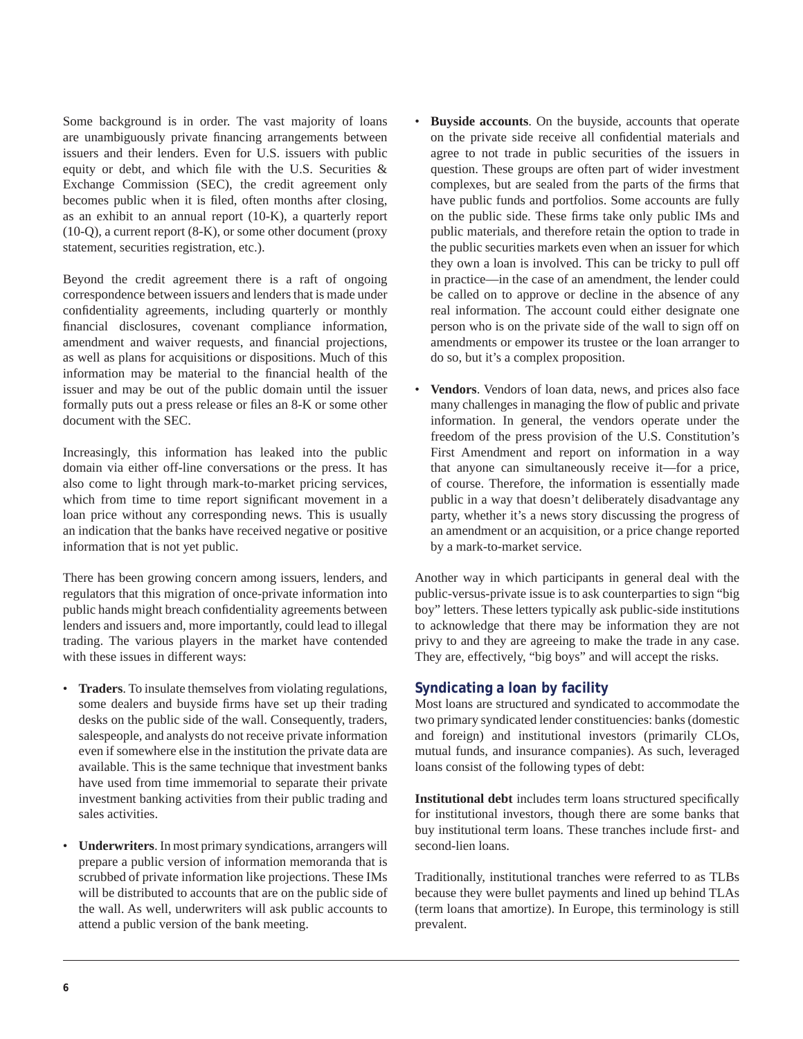Some background is in order. The vast majority of loans are unambiguously private financing arrangements between issuers and their lenders. Even for U.S. issuers with public equity or debt, and which file with the U.S. Securities  $\&$ Exchange Commission (SEC), the credit agreement only becomes public when it is filed, often months after closing, as an exhibit to an annual report (10-K), a quarterly report (10-Q), a current report (8-K), or some other document (proxy statement, securities registration, etc.).

Beyond the credit agreement there is a raft of ongoing correspondence between issuers and lenders that is made under confidentiality agreements, including quarterly or monthly financial disclosures, covenant compliance information, amendment and waiver requests, and financial projections, as well as plans for acquisitions or dispositions. Much of this information may be material to the financial health of the issuer and may be out of the public domain until the issuer formally puts out a press release or files an 8-K or some other document with the SEC.

Increasingly, this information has leaked into the public domain via either off-line conversations or the press. It has also come to light through mark-to-market pricing services, which from time to time report significant movement in a loan price without any corresponding news. This is usually an indication that the banks have received negative or positive information that is not yet public.

There has been growing concern among issuers, lenders, and regulators that this migration of once-private information into public hands might breach confidentiality agreements between lenders and issuers and, more importantly, could lead to illegal trading. The various players in the market have contended with these issues in different ways:

- **Traders**. To insulate themselves from violating regulations, some dealers and buyside firms have set up their trading desks on the public side of the wall. Consequently, traders, salespeople, and analysts do not receive private information even if somewhere else in the institution the private data are available. This is the same technique that investment banks have used from time immemorial to separate their private investment banking activities from their public trading and sales activities.
- Underwriters. In most primary syndications, arrangers will prepare a public version of information memoranda that is scrubbed of private information like projections. These IMs will be distributed to accounts that are on the public side of the wall. As well, underwriters will ask public accounts to attend a public version of the bank meeting.
- **Buyside accounts**. On the buyside, accounts that operate on the private side receive all confidential materials and agree to not trade in public securities of the issuers in question. These groups are often part of wider investment complexes, but are sealed from the parts of the firms that have public funds and portfolios. Some accounts are fully on the public side. These firms take only public IMs and public materials, and therefore retain the option to trade in the public securities markets even when an issuer for which they own a loan is involved. This can be tricky to pull off in practice—in the case of an amendment, the lender could be called on to approve or decline in the absence of any real information. The account could either designate one person who is on the private side of the wall to sign off on amendments or empower its trustee or the loan arranger to do so, but it's a complex proposition.
- **Vendors**. Vendors of loan data, news, and prices also face many challenges in managing the flow of public and private information. In general, the vendors operate under the freedom of the press provision of the U.S. Constitution's First Amendment and report on information in a way that anyone can simultaneously receive it—for a price, of course. Therefore, the information is essentially made public in a way that doesn't deliberately disadvantage any party, whether it's a news story discussing the progress of an amendment or an acquisition, or a price change reported by a mark-to-market service.

Another way in which participants in general deal with the public-versus-private issue is to ask counterparties to sign "big boy" letters. These letters typically ask public-side institutions to acknowledge that there may be information they are not privy to and they are agreeing to make the trade in any case. They are, effectively, "big boys" and will accept the risks.

## **Syndicating a loan by facility**

Most loans are structured and syndicated to accommodate the two primary syndicated lender constituencies: banks (domestic and foreign) and institutional investors (primarily CLOs, mutual funds, and insurance companies). As such, leveraged loans consist of the following types of debt:

**Institutional debt** includes term loans structured specifically for institutional investors, though there are some banks that buy institutional term loans. These tranches include first- and second-lien loans.

Traditionally, institutional tranches were referred to as TLBs because they were bullet payments and lined up behind TLAs (term loans that amortize). In Europe, this terminology is still prevalent.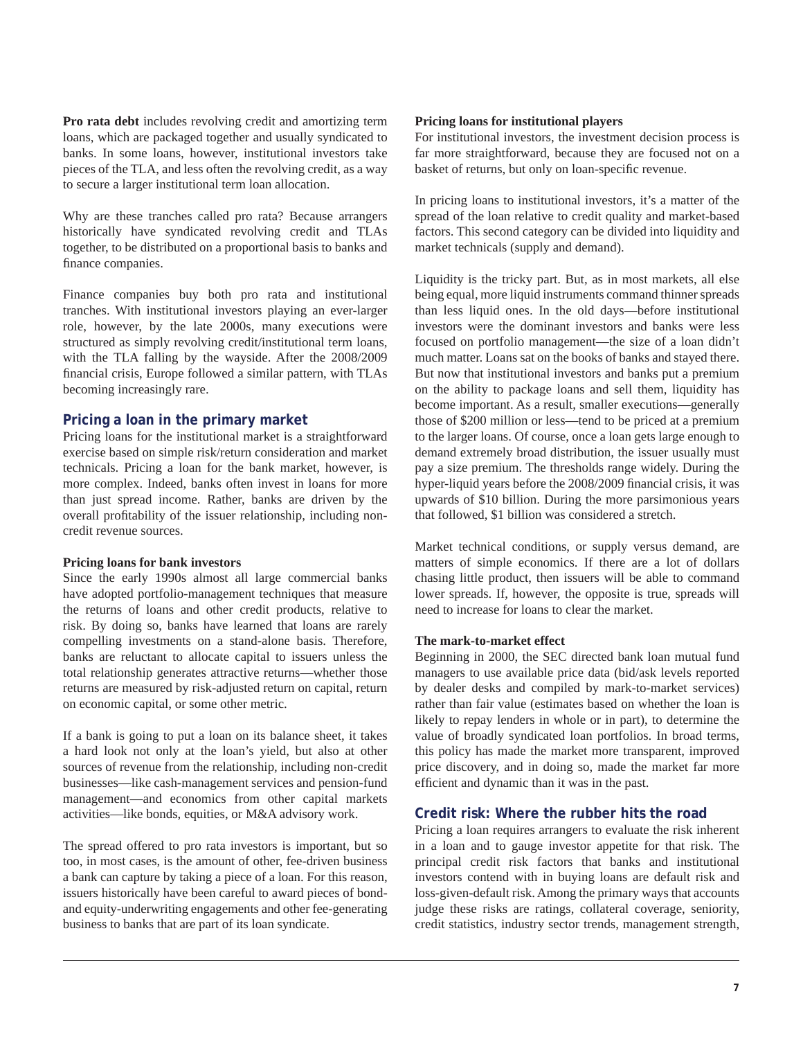**Pro rata debt** includes revolving credit and amortizing term loans, which are packaged together and usually syndicated to banks. In some loans, however, institutional investors take pieces of the TLA, and less often the revolving credit, as a way to secure a larger institutional term loan allocation.

Why are these tranches called pro rata? Because arrangers historically have syndicated revolving credit and TLAs together, to be distributed on a proportional basis to banks and finance companies.

Finance companies buy both pro rata and institutional tranches. With institutional investors playing an ever-larger role, however, by the late 2000s, many executions were structured as simply revolving credit/institutional term loans, with the TLA falling by the wayside. After the 2008/2009 financial crisis, Europe followed a similar pattern, with TLAs becoming increasingly rare.

#### **Pricing a loan in the primary market**

Pricing loans for the institutional market is a straightforward exercise based on simple risk/return consideration and market technicals. Pricing a loan for the bank market, however, is more complex. Indeed, banks often invest in loans for more than just spread income. Rather, banks are driven by the overall profitability of the issuer relationship, including noncredit revenue sources.

## **Pricing loans for bank investors**

Since the early 1990s almost all large commercial banks have adopted portfolio-management techniques that measure the returns of loans and other credit products, relative to risk. By doing so, banks have learned that loans are rarely compelling investments on a stand-alone basis. Therefore, banks are reluctant to allocate capital to issuers unless the total relationship generates attractive returns—whether those returns are measured by risk-adjusted return on capital, return on economic capital, or some other metric.

If a bank is going to put a loan on its balance sheet, it takes a hard look not only at the loan's yield, but also at other sources of revenue from the relationship, including non-credit businesses—like cash-management services and pension-fund management—and economics from other capital markets activities—like bonds, equities, or M&A advisory work.

The spread offered to pro rata investors is important, but so too, in most cases, is the amount of other, fee -driven business a bank can capture by taking a piece of a loan . For this reason, issuers historically have been careful to award pieces of bondand equity-underwriting engagements and other fee-generating business to banks that are part of its loan syndicate.

#### **Pricing loans for institutional players**

For institutional investors, the investment decision process is far more straightforward, because they are focused not on a basket of returns, but only on loan-specific revenue.

In pricing loans to institutional investors, it's a matter of the spread of the loan relative to credit quality and market-based factors. This second category can be divided into liquidity and market technicals (supply and demand).

Liquidity is the tricky part. But, as in most markets, all else being equal, more liquid instruments command thinner spreads than less liquid ones. In the old days—before institutional investors were the dominant investors and banks were less focused on portfolio management—the size of a loan didn't much matter. Loans sat on the books of banks and stayed there. But now that institutional investors and banks put a premium on the ability to package loans and sell them, liquidity has become important. As a result, smaller executions—generally those of \$200 million or less—tend to be priced at a premium to the larger loans. Of course, once a loan gets large enough to demand extremely broad distribution, the issuer usually must pay a size premium. The thresholds range widely. During the hyper-liquid years before the 2008/2009 financial crisis, it was upwards of \$10 billion. During the more parsimonious years that followed, \$1 billion was considered a stretch.

Market technical conditions, or supply versus demand, are matters of simple economics. If there are a lot of dollars chasing little product, then issuers will be able to command lower spreads . If, however, the opposite is true, spreads will need to increase for loans to clear the market.

#### **The mark-to-market effect**

Beginning in 2000, the SEC directed bank loan mutual fund managers to use available price data (bid/ask levels reported by dealer desks and compiled by mark-to-market services) rather than fair value (estimates based on whether the loan is likely to repay lenders in whole or in part), to determine the value of broadly syndicated loan portfolios. In broad terms, this policy has made the market more transparent, improved price discovery, and in doing so, made the market far more efficient and dynamic than it was in the past.

#### **Credit risk: Where the rubber hits the road**

Pricing a loan requires arrangers to evaluate the risk inherent in a loan and to gauge investor appetite for that risk. The principal credit risk factors that banks and institutional investors contend with in buying loans are default risk and loss-given-default risk . Among the primary ways that accounts judge these risks are ratings, collateral coverage, seniority, credit statistics, industry sector trends, management strength,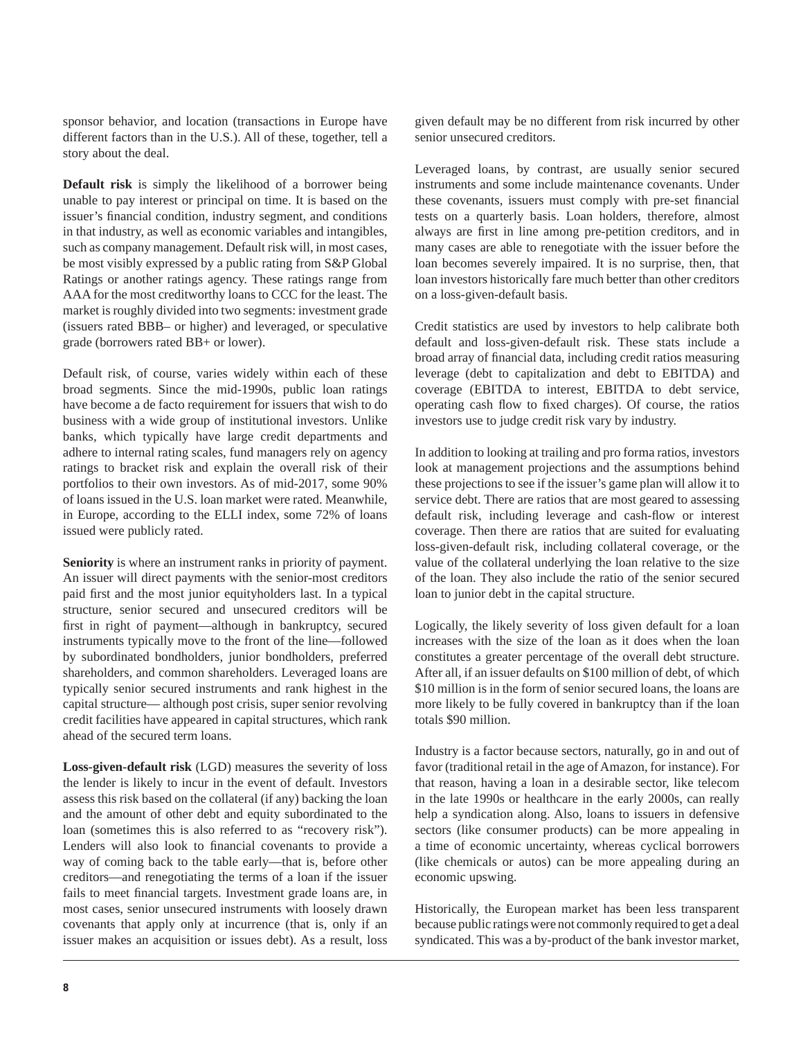sponsor behavior, and location (transactions in Europe have different factors than in the U.S.). All of these, together, tell a story about the deal.

**Default risk** is simply the likelihood of a borrower being unable to pay interest or principal on time. It is based on the issuer's financial condition, industry segment, and conditions in that industry, as well as economic variables and intangibles, such as company management. Default risk will, in most cases, be most visibly expressed by a public rating from S&P Global Ratings or another ratings agency. These ratings range from AAA for the most creditworthy loans to CCC for the least. The market is roughly divided into two segments: investment grade (issuers rated BBB– or higher) and leveraged, or speculative grade (borrowers rated BB+ or lower).

Default risk, of course, varies widely within each of these broad segments. Since the mid-1990s, public loan ratings have become a de facto requirement for issuers that wish to do business with a wide group of institutional investors . Unlike banks, which typically have large credit departments and adhere to internal rating scales, fund managers rely on agency ratings to bracket risk and explain the overall risk of their portfolios to their own investors. As of mid-2017, some 90% of loans issued in the U.S. loan market were rated. Meanwhile, in Europe, according to the ELLI index, some 72% of loans issued were publicly rated.

**Seniority** is where an instrument ranks in priority of payment. An issuer will direct payments with the senior-most creditors paid first and the most junior equityholders last. In a typical structure, senior secured and unsecured creditors will be first in right of payment—although in bankruptcy, secured instruments typically move to the front of the line—followed by subordinated bondholders, junior bondholders, preferred shareholders, and common shareholders. Leveraged loans are typically senior secured instruments and rank highest in the capital structure— although post crisis, super senior revolving credit facilities have appeared in capital structures, which rank ahead of the secured term loans.

**Loss-given-default risk** (LGD) measures the severity of loss the lender is likely to incur in the event of default. Investors assess this risk based on the collateral (if any) backing the loan and the amount of other debt and equity subordinated to the loan (sometimes this is also referred to as "recovery risk"). Lenders will also look to financial covenants to provide a way of coming back to the table early—that is, before other creditors—and renegotiating the terms of a loan if the issuer fails to meet financial targets. Investment grade loans are, in most cases, senior unsecured instruments with loosely drawn covenants that apply only at incurrence (that is, only if an issuer makes an acquisition or issues debt). As a result, loss

given default may be no different from risk incurred by other senior unsecured creditors.

Leveraged loans, by contrast, are usually senior secured instruments and some include maintenance covenants. Under these covenants, issuers must comply with pre-set financial tests on a quarterly basis. Loan holders, therefore, almost always are first in line among pre-petition creditors, and in many cases are able to renegotiate with the issuer before the loan becomes severely impaired. It is no surprise, then, that loan investors historically fare much better than other creditors on a loss-given-default basis.

Credit statistics are used by investors to help calibrate both default and loss-given-default risk. These stats include a broad array of financial data, including credit ratios measuring leverage (debt to capitalization and debt to EBITDA) and coverage (EBITDA to interest, EBITDA to debt service, operating cash flow to fixed charges). Of course, the ratios investors use to judge credit risk vary by industry.

In addition to looking at trailing and pro forma ratios, investors look at management projections and the assumptions behind these projections to see if the issuer's game plan will allow it to service debt. There are ratios that are most geared to assessing default risk, including leverage and cash-flow or interest coverage. Then there are ratios that are suited for evaluating loss-given-default risk, including collateral coverage, or the value of the collateral underlying the loan relative to the size of the loan. They also include the ratio of the senior secured loan to junior debt in the capital structure.

Logically, the likely severity of loss given default for a loan increases with the size of the loan as it does when the loan constitutes a greater percentage of the overall debt structure. After all, if an issuer defaults on \$100 million of debt, of which \$10 million is in the form of senior secured loans, the loans are more likely to be fully covered in bankruptcy than if the loan totals \$90 million.

Industry is a factor because sectors, naturally, go in and out of favor (traditional retail in the age of Amazon, for instance). For that reason, having a loan in a desirable sector, like telecom in the late 1990s or healthcare in the early 2000s, can really help a syndication along. Also, loans to issuers in defensive sectors (like consumer products) can be more appealing in a time of economic uncertainty, whereas cyclical borrowers (like chemicals or autos) can be more appealing during an economic upswing.

Historically, the European market has been less transparent because public ratings were not commonly required to get a deal syndicated. This was a by-product of the bank investor market,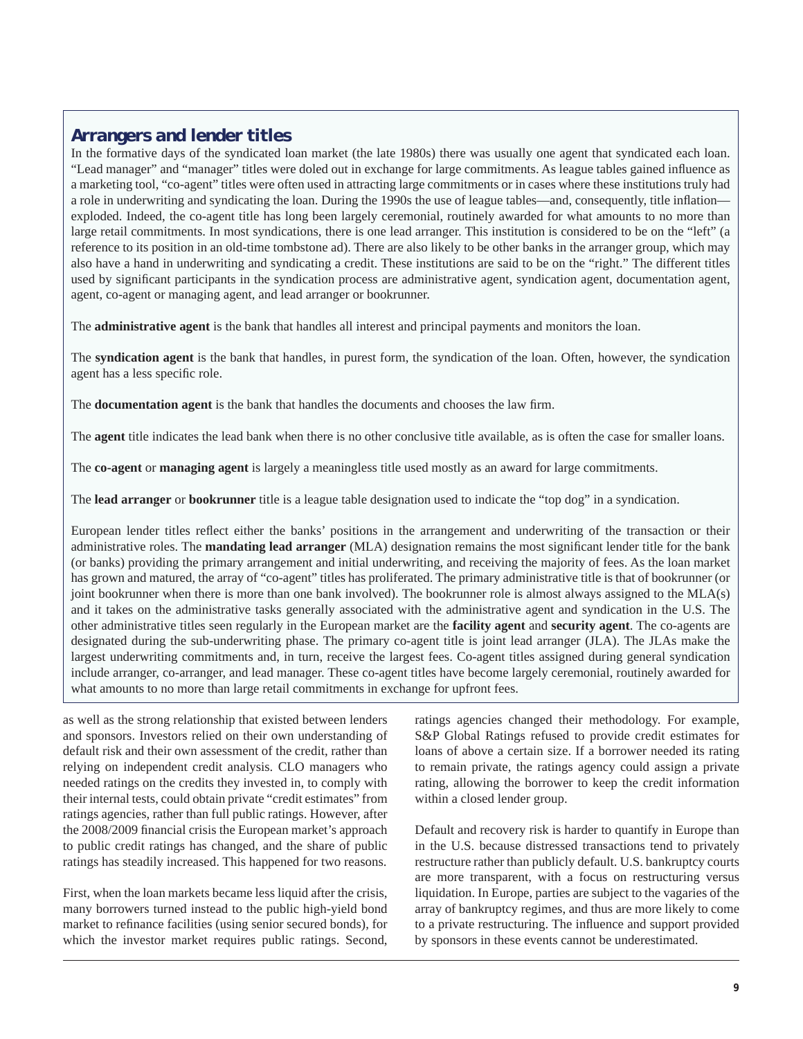## *Arrangers and lender titles*

In the formative days of the syndicated loan market (the late 1980s) there was usually one agent that syndicated each loan. "Lead manager" and "manager" titles were doled out in exchange for large commitments. As league tables gained influence as a marketing tool, "co-agent" titles were often used in attracting large commitments or in cases where these institutions truly had a role in underwriting and syndicating the loan. During the 1990s the use of league tables—and, consequently, title inflation exploded. Indeed, the co-agent title has long been largely ceremonial, routinely awarded for what amounts to no more than large retail commitments. In most syndications, there is one lead arranger. This institution is considered to be on the "left" (a reference to its position in an old-time tombstone ad). There are also likely to be other banks in the arranger group, which may also have a hand in underwriting and syndicating a credit. These institutions are said to be on the "right." The different titles used by significant participants in the syndication process are administrative agent, syndication agent, documentation agent, agent, co-agent or managing agent, and lead arranger or bookrunner.

The **administrative agent** is the bank that handles all interest and principal payments and monitors the loan .

The **syndication agent** is the bank that handles, in purest form, the syndication of the loan . Often, however, the syndication agent has a less specific role.

The **documentation agent** is the bank that handles the documents and chooses the law firm.

The **agent** title indicates the lead bank when there is no other conclusive title available, as is often the case for smaller loans.

The **co-agent** or **managing agent** is largely a meaningless title used mostly as an award for large commitments.

The **lead arranger** or **bookrunner** title is a league table designation used to indicate the "top dog" in a syndication.

European lender titles reflect either the banks' positions in the arrangement and underwriting of the transaction or their administrative roles. The **mandating lead arranger** (MLA) designation remains the most significant lender title for the bank (or banks) providing the primary arrangement and initial underwriting, and receiving the majority of fees. As the loan market has grown and matured, the array of "co-agent" titles has proliferated. The primary administrative title is that of bookrunner (or joint bookrunner when there is more than one bank involved). The bookrunner role is almost always assigned to the MLA(s) and it takes on the administrative tasks generally associated with the administrative agent and syndication in the U.S. The other administrative titles seen regularly in the European market are the **facility agent** and **security agent**. The co-agents are designated during the sub-underwriting phase. The primary co-agent title is joint lead arranger (JLA). The JLAs make the largest underwriting commitments and, in turn, receive the largest fees. Co-agent titles assigned during general syndication include arranger, co-arranger, and lead manager. These co-agent titles have become largely ceremonial, routinely awarded for what amounts to no more than large retail commitments in exchange for upfront fees.

as well as the strong relationship that existed between lenders and sponsors. Investors relied on their own understanding of default risk and their own assessment of the credit, rather than relying on independent credit analysis. CLO managers who needed ratings on the credits they invested in, to comply with their internal tests, could obtain private "credit estimates" from ratings agencies, rather than full public ratings. However, after the 2008/2009 financial crisis the European market's approach to public credit ratings has changed, and the share of public ratings has steadily increased. This happened for two reasons.

First, when the loan markets became less liquid after the crisis, many borrowers turned instead to the public high-yield bond market to refinance facilities (using senior secured bonds), for which the investor market requires public ratings. Second, ratings agencies changed their methodology. For example, S&P Global Ratings refused to provide credit estimates for loans of above a certain size. If a borrower needed its rating to remain private, the ratings agency could assign a private rating, allowing the borrower to keep the credit information within a closed lender group.

Default and recovery risk is harder to quantify in Europe than in the U.S. because distressed transactions tend to privately restructure rather than publicly default. U.S. bankruptcy courts are more transparent, with a focus on restructuring versus liquidation. In Europe, parties are subject to the vagaries of the array of bankruptcy regimes, and thus are more likely to come to a private restructuring. The influence and support provided by sponsors in these events cannot be underestimated.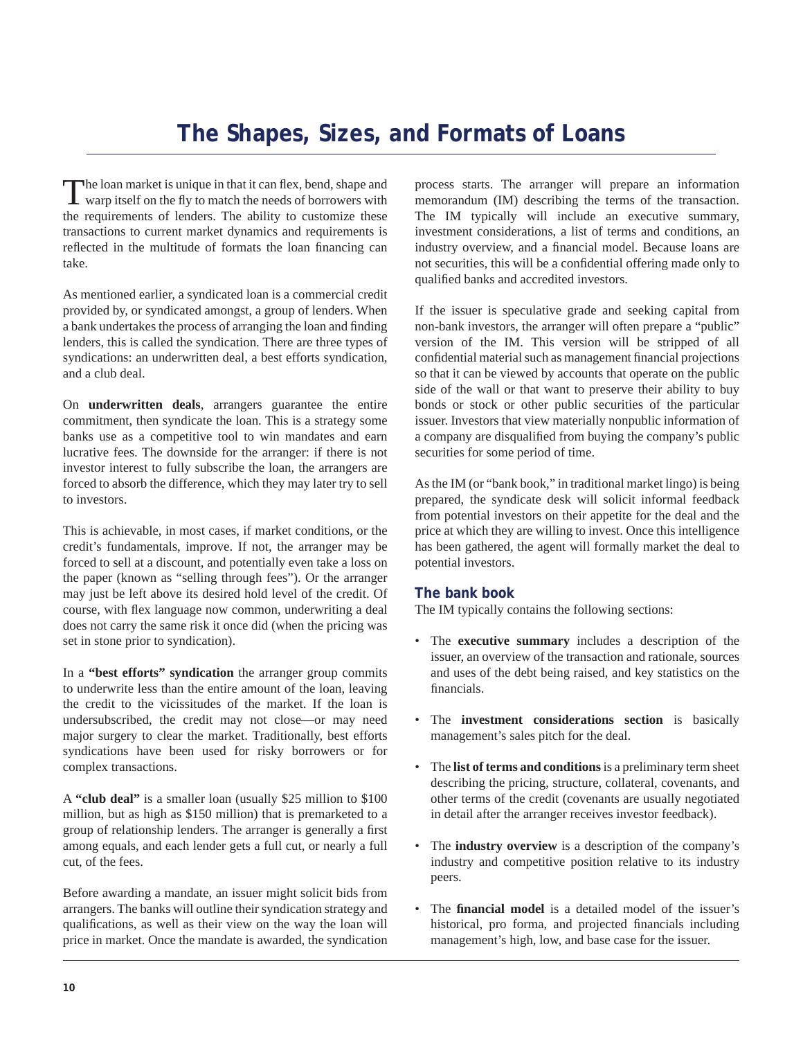The loan market is unique in that it can flex, bend, shape and warp itself on the fly to match the needs of borrowers with the requirements of lenders. The ability to customize these transactions to current market dynamics and requirements is reflected in the multitude of formats the loan financing can take.

As mentioned earlier, a syndicated loan is a commercial credit provided by, or syndicated amongst, a group of lenders. When a bank undertakes the process of arranging the loan and finding lenders, this is called the syndication. There are three types of syndications: an underwritten deal, a best efforts syndication, and a club deal.

On **underwritten deals**, arrangers guarantee the entire commitment, then syndicate the loan. This is a strategy some banks use as a competitive tool to win mandates and earn lucrative fees. The downside for the arranger: if there is not investor interest to fully subscribe the loan, the arrangers are forced to absorb the difference, which they may later try to sell to investors.

This is achievable, in most cases, if market conditions, or the credit's fundamentals, improve. If not, the arranger may be forced to sell at a discount, and potentially even take a loss on the paper (known as "selling through fees"). Or the arranger may just be left above its desired hold level of the credit. Of course, with flex language now common, underwriting a deal does not carry the same risk it once did (when the pricing was set in stone prior to syndication).

In a **"best efforts" syndication** the arranger group commits to underwrite less than the entire amount of the loan, leaving the credit to the vicissitudes of the market. If the loan is undersubscribed, the credit may not close—or may need major surgery to clear the market. Traditionally, best efforts syndications have been used for risky borrowers or for complex transactions.

A **"club deal"** is a smaller loan (usually \$25 million to \$100 million, but as high as \$150 million) that is premarketed to a group of relationship lenders. The arranger is generally a first among equals, and each lender gets a full cut, or nearly a full cut, of the fees.

Before awarding a mandate, an issuer might solicit bids from arrangers. The banks will outline their syndication strategy and qualifications, as well as their view on the way the loan will price in market. Once the mandate is awarded, the syndication process starts. The arranger will prepare an information memorandum (IM) describing the terms of the transaction. The IM typically will include an executive summary, investment considerations, a list of terms and conditions, an industry overview, and a financial model. Because loans are not securities, this will be a confidential offering made only to qualified banks and accredited investors.

If the issuer is speculative grade and seeking capital from non-bank investors, the arranger will often prepare a "public" version of the IM. This version will be stripped of all confidential material such as management financial projections so that it can be viewed by accounts that operate on the public side of the wall or that want to preserve their ability to buy bonds or stock or other public securities of the particular issuer. Investors that view materially nonpublic information of a company are disqualified from buying the company's public securities for some period of time.

As the IM (or "bank book," in traditional market lingo) is being prepared, the syndicate desk will solicit informal feedback from potential investors on their appetite for the deal and the price at which they are willing to invest. Once this intelligence has been gathered, the agent will formally market the deal to potential investors.

## **The bank book**

The IM typically contains the following sections:

- The **executive summary** includes a description of the issuer, an overview of the transaction and rationale, sources and uses of the debt being raised, and key statistics on the financials.
- The **investment considerations section** is basically management's sales pitch for the deal.
- The **list of terms and conditions** is a preliminary term sheet describing the pricing, structure, collateral, covenants, and other terms of the credit (covenants are usually negotiated in detail after the arranger receives investor feedback).
- The **industry overview** is a description of the company's industry and competitive position relative to its industry peers.
- The **fi nancial model** is a detailed model of the issuer's historical, pro forma, and projected financials including management's high, low, and base case for the issuer.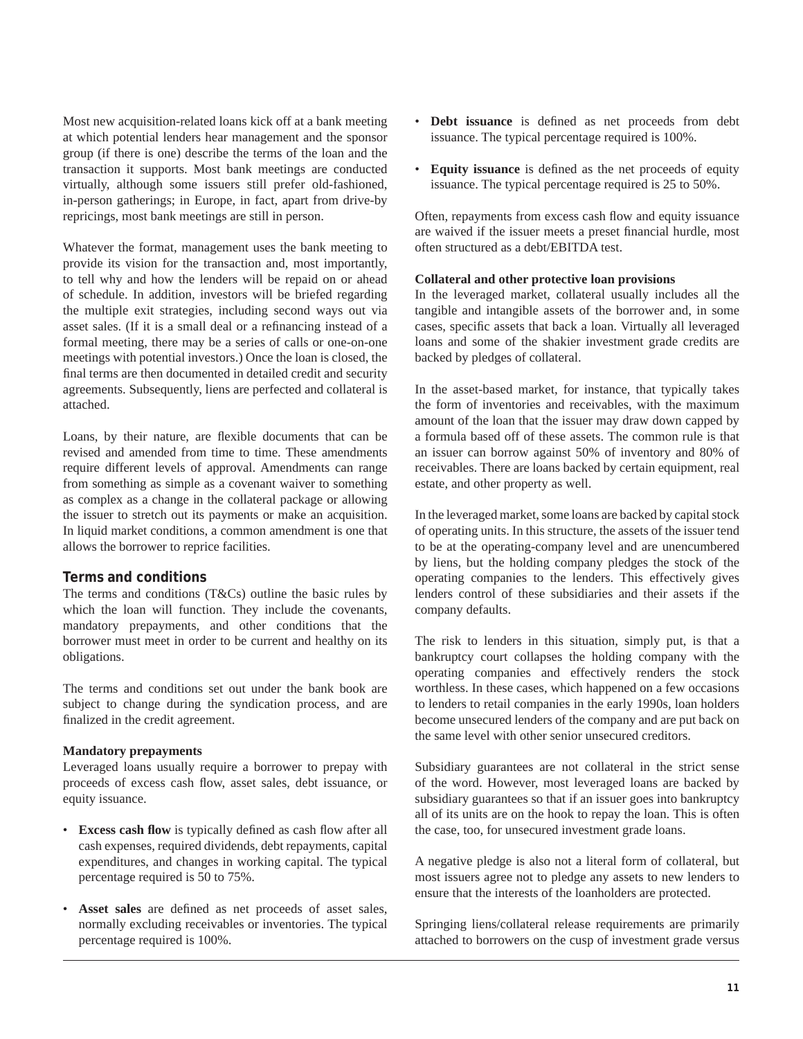Most new acquisition-related loans kick off at a bank meeting at which potential lenders hear management and the sponsor group (if there is one) describe the terms of the loan and the transaction it supports. Most bank meetings are conducted virtually, although some issuers still prefer old-fashioned, in-person gatherings; in Europe, in fact, apart from drive-by repricings, most bank meetings are still in person.

Whatever the format, management uses the bank meeting to provide its vision for the transaction and, most importantly, to tell why and how the lenders will be repaid on or ahead of schedule. In addition, investors will be briefed regarding the multiple exit strategies, including second ways out via asset sales. (If it is a small deal or a refinancing instead of a formal meeting, there may be a series of calls or one-on-one meetings with potential investors.) Once the loan is closed, the final terms are then documented in detailed credit and security agreements. Subsequently, liens are perfected and collateral is attached.

Loans, by their nature, are flexible documents that can be revised and amended from time to time. These amendments require different levels of approval. Amendments can range from something as simple as a covenant waiver to something as complex as a change in the collateral package or allowing the issuer to stretch out its payments or make an acquisition. In liquid market conditions, a common amendment is one that allows the borrower to reprice facilities.

#### **Terms and conditions**

The terms and conditions (T&Cs) outline the basic rules by which the loan will function. They include the covenants, mandatory prepayments, and other conditions that the borrower must meet in order to be current and healthy on its obligations.

The terms and conditions set out under the bank book are subject to change during the syndication process, and are finalized in the credit agreement.

#### **Mandatory prepayments**

Leveraged loans usually require a borrower to prepay with proceeds of excess cash flow, asset sales, debt issuance, or equity issuance.

- **Excess cash flow** is typically defined as cash flow after all cash expenses, required dividends, debt repayments, capital expenditures, and changes in working capital. The typical percentage required is 50 to 75%.
- Asset sales are defined as net proceeds of asset sales, normally excluding receivables or inventories. The typical percentage required is 100%.
- Debt issuance is defined as net proceeds from debt issuance. The typical percentage required is 100%.
- **Equity issuance** is defined as the net proceeds of equity issuance. The typical percentage required is 25 to 50%.

Often, repayments from excess cash flow and equity issuance are waived if the issuer meets a preset financial hurdle, most often structured as a debt/EBITDA test.

#### **Collateral and other protective loan provisions**

In the leveraged market, collateral usually includes all the tangible and intangible assets of the borrower and, in some cases, specific assets that back a loan. Virtually all leveraged loans and some of the shakier investment grade credits are backed by pledges of collateral.

In the asset-based market, for instance, that typically takes the form of inventories and receivables, with the maximum amount of the loan that the issuer may draw down capped by a formula based off of these assets. The common rule is that an issuer can borrow against 50% of inventory and 80% of receivables. There are loans backed by certain equipment, real estate, and other property as well.

In the leveraged market, some loans are backed by capital stock of operating units. In this structure, the assets of the issuer tend to be at the operating-company level and are unencumbered by liens, but the holding company pledges the stock of the operating companies to the lenders. This effectively gives lenders control of these subsidiaries and their assets if the company defaults.

The risk to lenders in this situation, simply put, is that a bankruptcy court collapses the holding company with the operating companies and effectively renders the stock worthless. In these cases, which happened on a few occasions to lenders to retail companies in the early 1990s, loan holders become unsecured lenders of the company and are put back on the same level with other senior unsecured creditors.

Subsidiary guarantees are not collateral in the strict sense of the word. However, most leveraged loans are backed by subsidiary guarantees so that if an issuer goes into bankruptcy all of its units are on the hook to repay the loan. This is often the case, too, for unsecured investment grade loans.

A negative pledge is also not a literal form of collateral, but most issuers agree not to pledge any assets to new lenders to ensure that the interests of the loanholders are protected.

Springing liens/collateral release requirements are primarily attached to borrowers on the cusp of investment grade versus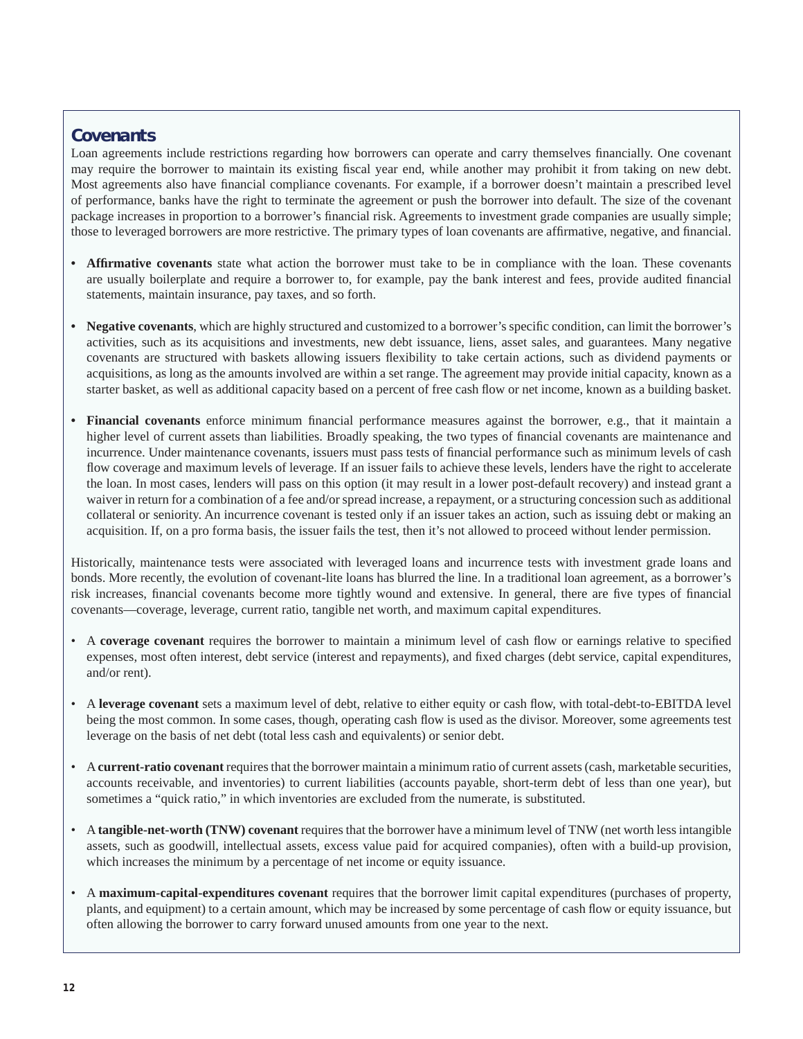## *Covenants*

Loan agreements include restrictions regarding how borrowers can operate and carry themselves financially. One covenant may require the borrower to maintain its existing fiscal year end, while another may prohibit it from taking on new debt. Most agreements also have financial compliance covenants. For example, if a borrower doesn't maintain a prescribed level of performance, banks have the right to terminate the agreement or push the borrower into default. The size of the covenant package increases in proportion to a borrower's financial risk. Agreements to investment grade companies are usually simple; those to leveraged borrowers are more restrictive. The primary types of loan covenants are affirmative, negative, and financial.

- **Affirmative covenants** state what action the borrower must take to be in compliance with the loan. These covenants are usually boilerplate and require a borrower to, for example, pay the bank interest and fees, provide audited financial statements, maintain insurance, pay taxes, and so forth.
- Negative covenants, which are highly structured and customized to a borrower's specific condition, can limit the borrower's activities, such as its acquisitions and investments, new debt issuance, liens, asset sales, and guarantees. Many negative covenants are structured with baskets allowing issuers flexibility to take certain actions, such as dividend payments or acquisitions, as long as the amounts involved are within a set range. The agreement may provide initial capacity, known as a starter basket, as well as additional capacity based on a percent of free cash flow or net income, known as a building basket.
- Financial covenants enforce minimum financial performance measures against the borrower, e.g., that it maintain a higher level of current assets than liabilities. Broadly speaking, the two types of financial covenants are maintenance and incurrence. Under maintenance covenants, issuers must pass tests of financial performance such as minimum levels of cash flow coverage and maximum levels of leverage. If an issuer fails to achieve these levels, lenders have the right to accelerate the loan . In most cases, lenders will pass on this option (it may result in a lower post-default recovery) and instead grant a waiver in return for a combination of a fee and/or spread increase, a repayment, or a structuring concession such as additional collateral or seniority. An incurrence covenant is tested only if an issuer takes an action, such as issuing debt or making an acquisition. If, on a pro forma basis, the issuer fails the test, then it's not allowed to proceed without lender permission.

Historically, maintenance tests were associated with leveraged loans and incurrence tests with investment grade loans and bonds. More recently, the evolution of covenant-lite loans has blurred the line. In a traditional loan agreement, as a borrower's risk increases, financial covenants become more tightly wound and extensive. In general, there are five types of financial covenants—coverage, leverage, current ratio, tangible net worth, and maximum capital expenditures.

- A **coverage covenant** requires the borrower to maintain a minimum level of cash flow or earnings relative to specified expenses, most often interest, debt service (interest and repayments), and fixed charges (debt service, capital expenditures, and/or rent).
- A leverage covenant sets a maximum level of debt, relative to either equity or cash flow, with total-debt-to-EBITDA level being the most common. In some cases, though, operating cash flow is used as the divisor. Moreover, some agreements test leverage on the basis of net debt (total less cash and equivalents) or senior debt.
- A **current-ratio covenant** requires that the borrower maintain a minimum ratio of current assets (cash, marketable securities, accounts receivable, and inventories) to current liabilities (accounts payable, short-term debt of less than one year), but sometimes a "quick ratio," in which inventories are excluded from the numerate, is substituted.
- A **tangible-net-worth (TNW) covenant** requires that the borrower have a minimum level of TNW (net worth less intangible assets, such as goodwill, intellectual assets, excess value paid for acquired companies), often with a build-up provision, which increases the minimum by a percentage of net income or equity issuance.
- A **maximum-capital-expenditures covenant** requires that the borrower limit capital expenditures (purchases of property, plants, and equipment) to a certain amount, which may be increased by some percentage of cash flow or equity issuance, but often allowing the borrower to carry forward unused amounts from one year to the next.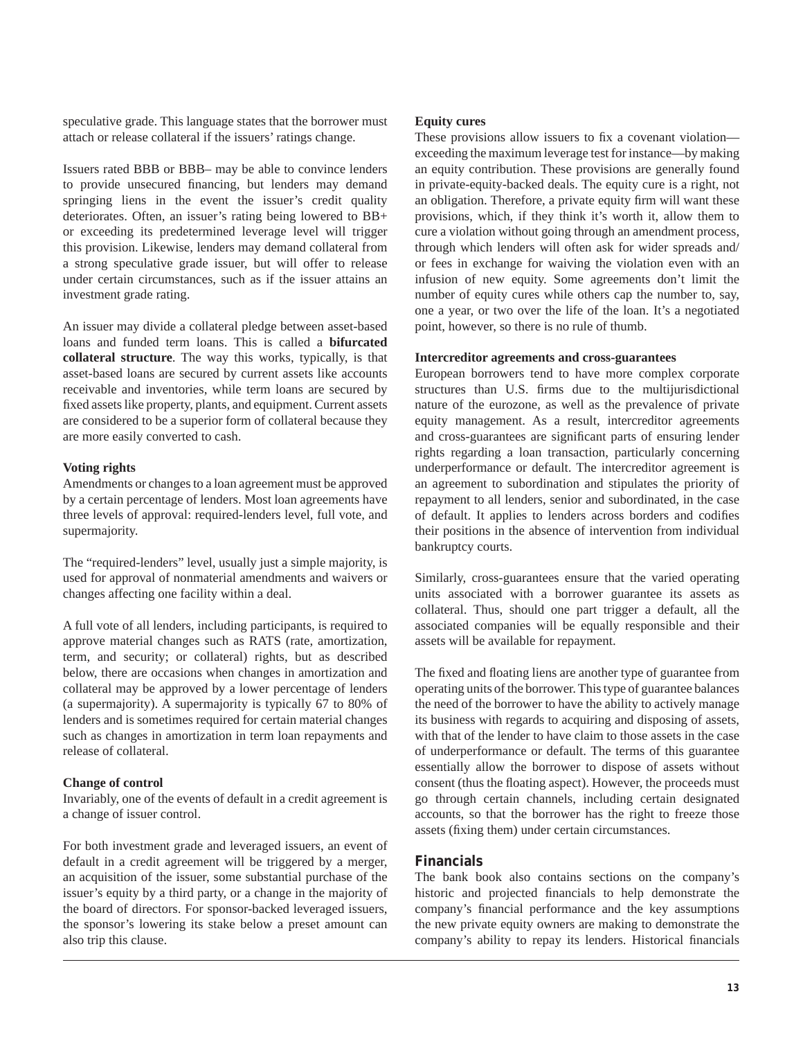speculative grade. This language states that the borrower must attach or release collateral if the issuers' ratings change.

Issuers rated BBB or BBB– may be able to convince lenders to provide unsecured financing, but lenders may demand springing liens in the event the issuer's credit quality deteriorates. Often, an issuer's rating being lowered to BB+ or exceeding its predetermined leverage level will trigger this provision. Likewise, lenders may demand collateral from a strong speculative grade issuer, but will offer to release under certain circumstances, such as if the issuer attains an investment grade rating.

An issuer may divide a collateral pledge between asset-based loans and funded term loans. This is called a **bifurcated collateral structure**. The way this works, typically, is that asset-based loans are secured by current assets like accounts receivable and inventories, while term loans are secured by fixed assets like property, plants, and equipment. Current assets are considered to be a superior form of collateral because they are more easily converted to cash.

#### **Voting rights**

Amendments or changes to a loan agreement must be approved by a certain percentage of lenders. Most loan agreements have three levels of approval: required-lenders level, full vote, and supermajority.

The "required-lenders" level, usually just a simple majority, is used for approval of nonmaterial amendments and waivers or changes affecting one facility within a deal.

A full vote of all lenders, including participants, is required to approve material changes such as RATS (rate, amortization, term, and security; or collateral) rights, but as described below, there are occasions when changes in amortization and collateral may be approved by a lower percentage of lenders (a supermajority). A supermajority is typically 67 to 80% of lenders and is sometimes required for certain material changes such as changes in amortization in term loan repayments and release of collateral.

#### **Change of control**

Invariably, one of the events of default in a credit agreement is a change of issuer control.

For both investment grade and leveraged issuers, an event of default in a credit agreement will be triggered by a merger, an acquisition of the issuer, some substantial purchase of the issuer's equity by a third party, or a change in the majority of the board of directors. For sponsor-backed leveraged issuers, the sponsor's lowering its stake below a preset amount can also trip this clause.

#### **Equity cures**

These provisions allow issuers to fix a covenant violation exceeding the maximum leverage test for instance—by making an equity contribution. These provisions are generally found in private-equity-backed deals. The equity cure is a right, not an obligation. Therefore, a private equity firm will want these provisions, which, if they think it's worth it, allow them to cure a violation without going through an amendment process, through which lenders will often ask for wider spreads and/ or fees in exchange for waiving the violation even with an infusion of new equity. Some agreements don't limit the number of equity cures while others cap the number to, say, one a year, or two over the life of the loan. It's a negotiated point, however, so there is no rule of thumb.

#### **Intercreditor agreements and cross-guarantees**

European borrowers tend to have more complex corporate structures than U.S. firms due to the multijurisdictional nature of the eurozone, as well as the prevalence of private equity management. As a result, intercreditor agreements and cross-guarantees are significant parts of ensuring lender rights regarding a loan transaction, particularly concerning underperformance or default. The intercreditor agreement is an agreement to subordination and stipulates the priority of repayment to all lenders, senior and subordinated, in the case of default. It applies to lenders across borders and codifies their positions in the absence of intervention from individual bankruptcy courts.

Similarly, cross-guarantees ensure that the varied operating units associated with a borrower guarantee its assets as collateral. Thus, should one part trigger a default, all the associated companies will be equally responsible and their assets will be available for repayment.

The fixed and floating liens are another type of guarantee from operating units of the borrower. This type of guarantee balances the need of the borrower to have the ability to actively manage its business with regards to acquiring and disposing of assets, with that of the lender to have claim to those assets in the case of underperformance or default. The terms of this guarantee essentially allow the borrower to dispose of assets without consent (thus the floating aspect). However, the proceeds must go through certain channels, including certain designated accounts, so that the borrower has the right to freeze those assets (fixing them) under certain circumstances.

## **Financials**

The bank book also contains sections on the company's historic and projected financials to help demonstrate the company's financial performance and the key assumptions the new private equity owners are making to demonstrate the company's ability to repay its lenders. Historical financials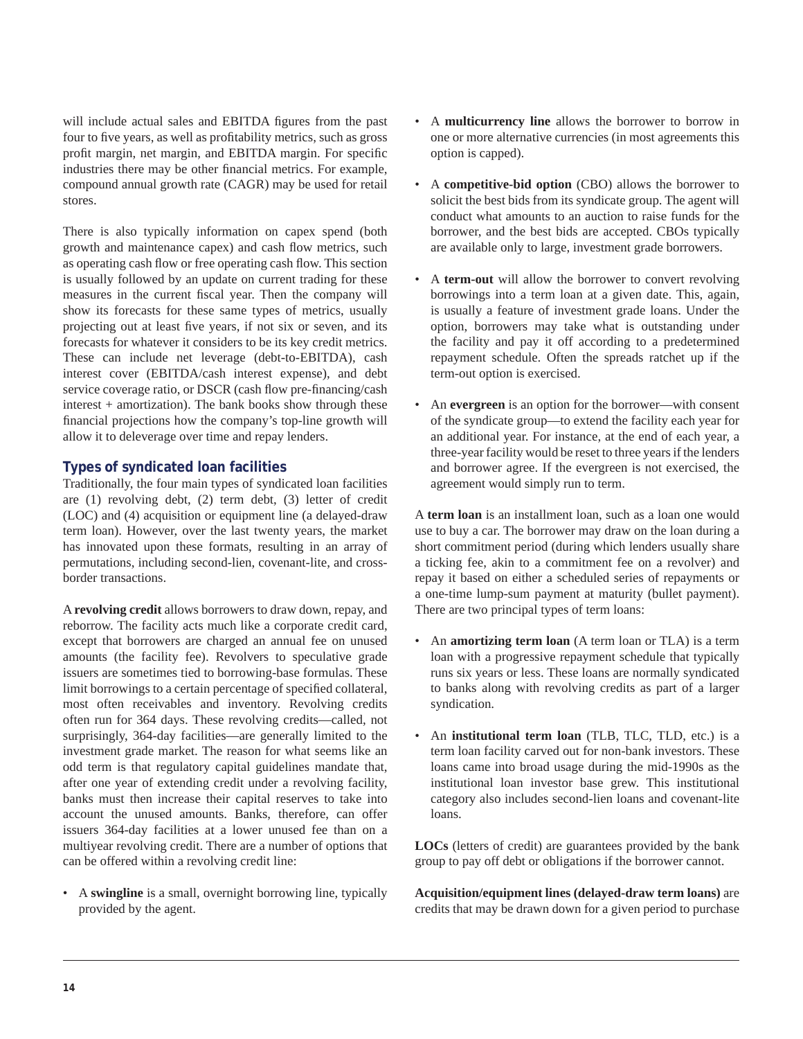will include actual sales and EBITDA figures from the past four to five years, as well as profitability metrics, such as gross profit margin, net margin, and EBITDA margin. For specific industries there may be other financial metrics. For example, compound annual growth rate (CAGR) may be used for retail stores.

There is also typically information on capex spend (both growth and maintenance capex) and cash flow metrics, such as operating cash flow or free operating cash flow. This section is usually followed by an update on current trading for these measures in the current fiscal year. Then the company will show its forecasts for these same types of metrics, usually projecting out at least five years, if not six or seven, and its forecasts for whatever it considers to be its key credit metrics. These can include net leverage (debt-to-EBITDA), cash interest cover (EBITDA/cash interest expense), and debt service coverage ratio, or DSCR (cash flow pre-financing/cash interest + amortization). The bank books show through these financial projections how the company's top-line growth will allow it to deleverage over time and repay lenders.

## **Types of syndicated loan facilities**

Traditionally, the four main types of syndicated loan facilities are (1) revolving debt, (2) term debt, (3) letter of credit (LOC) and (4) acquisition or equipment line (a delayed-draw term loan). However, over the last twenty years, the market has innovated upon these formats, resulting in an array of permutations, including second-lien, covenant-lite, and crossborder transactions.

A **revolving credit** allows borrowers to draw down, repay, and reborrow. The facility acts much like a corporate credit card, except that borrowers are charged an annual fee on unused amounts (the facility fee). Revolvers to speculative grade issuers are sometimes tied to borrowing-base formulas. These limit borrowings to a certain percentage of specified collateral, most often receivables and inventory. Revolving credits often run for 364 days. These revolving credits—called, not surprisingly, 364-day facilities—are generally limited to the investment grade market. The reason for what seems like an odd term is that regulatory capital guidelines mandate that, after one year of extending credit under a revolving facility, banks must then increase their capital reserves to take into account the unused amounts. Banks, therefore, can offer issuers 364-day facilities at a lower unused fee than on a multiyear revolving credit. There are a number of options that can be offered within a revolving credit line:

• A **swingline** is a small, overnight borrowing line, typically provided by the agent.

- A **multicurrency line** allows the borrower to borrow in one or more alternative currencies (in most agreements this option is capped).
- A **competitive-bid option** (CBO) allows the borrower to solicit the best bids from its syndicate group. The agent will conduct what amounts to an auction to raise funds for the borrower, and the best bids are accepted. CBOs typically are available only to large, investment grade borrowers.
- A **term-out** will allow the borrower to convert revolving borrowings into a term loan at a given date. This, again, is usually a feature of investment grade loans. Under the option, borrowers may take what is outstanding under the facility and pay it off according to a predetermined repayment schedule. Often the spreads ratchet up if the term-out option is exercised.
- An **evergreen** is an option for the borrower—with consent of the syndicate group—to extend the facility each year for an additional year. For instance, at the end of each year, a three-year facility would be reset to three years if the lenders and borrower agree. If the evergreen is not exercised, the agreement would simply run to term.

A **term loan** is an installment loan, such as a loan one would use to buy a car. The borrower may draw on the loan during a short commitment period (during which lenders usually share a ticking fee, akin to a commitment fee on a revolver) and repay it based on either a scheduled series of repayments or a one-time lump-sum payment at maturity (bullet payment). There are two principal types of term loans:

- An **amortizing term loan** (A term loan or TLA) is a term loan with a progressive repayment schedule that typically runs six years or less. These loans are normally syndicated to banks along with revolving credits as part of a larger syndication.
- An **institutional term loan** (TLB, TLC, TLD, etc.) is a term loan facility carved out for non-bank investors. These loans came into broad usage during the mid-1990s as the institutional loan investor base grew. This institutional category also includes second-lien loans and covenant-lite loans.

**LOCs** (letters of credit) are guarantees provided by the bank group to pay off debt or obligations if the borrower cannot.

**Acquisition/equipment lines (delayed-draw term loans)** are credits that may be drawn down for a given period to purchase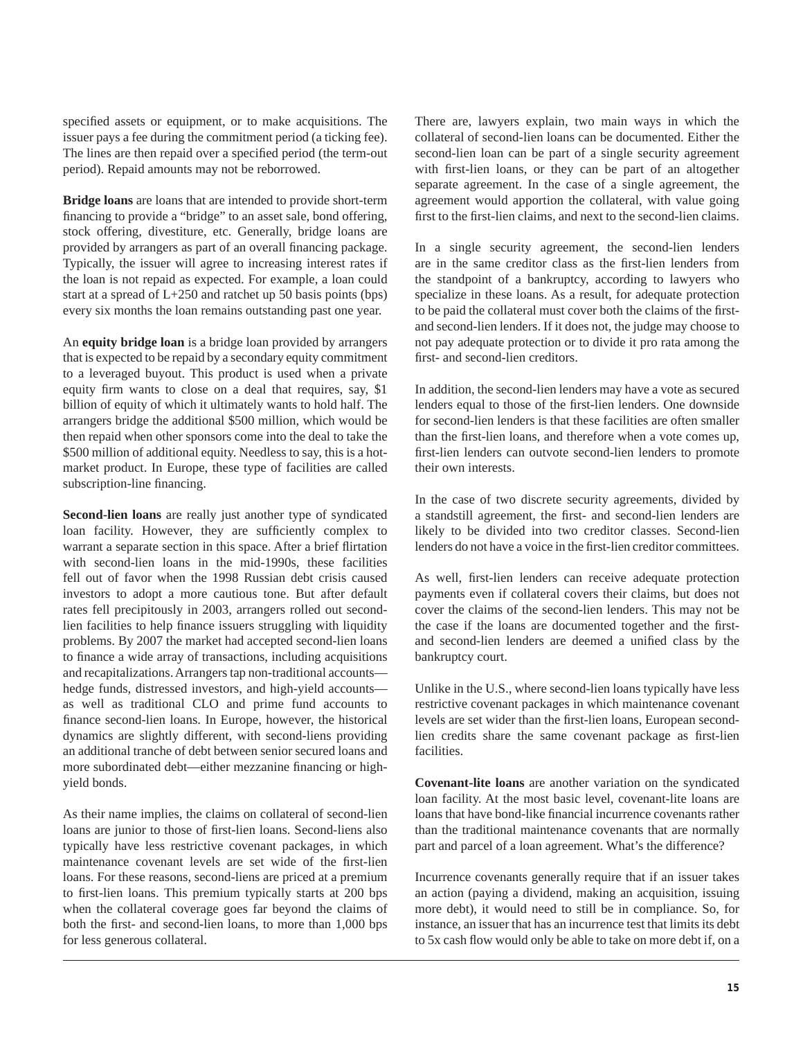specified assets or equipment, or to make acquisitions. The issuer pays a fee during the commitment period (a ticking fee). The lines are then repaid over a specified period (the term-out period). Repaid amounts may not be reborrowed.

**Bridge loans** are loans that are intended to provide short-term financing to provide a "bridge" to an asset sale, bond offering, stock offering, divestiture, etc. Generally, bridge loans are provided by arrangers as part of an overall financing package. Typically, the issuer will agree to increasing interest rates if the loan is not repaid as expected. For example, a loan could start at a spread of L+250 and ratchet up 50 basis points (bps) every six months the loan remains outstanding past one year.

An **equity bridge loan** is a bridge loan provided by arrangers that is expected to be repaid by a secondary equity commitment to a leveraged buyout. This product is used when a private equity firm wants to close on a deal that requires, say, \$1 billion of equity of which it ultimately wants to hold half. The arrangers bridge the additional \$500 million, which would be then repaid when other sponsors come into the deal to take the \$500 million of additional equity. Needless to say, this is a hotmarket product. In Europe, these type of facilities are called subscription-line financing.

**Second-lien loans** are really just another type of syndicated loan facility. However, they are sufficiently complex to warrant a separate section in this space. After a brief flirtation with second-lien loans in the mid-1990s, these facilities fell out of favor when the 1998 Russian debt crisis caused investors to adopt a more cautious tone. But after default rates fell precipitously in 2003, arrangers rolled out secondlien facilities to help finance issuers struggling with liquidity problems. By 2007 the market had accepted second-lien loans to finance a wide array of transactions, including acquisitions and recapitalizations. Arrangers tap non-traditional accounts hedge funds, distressed investors, and high-yield accounts as well as traditional CLO and prime fund accounts to finance second-lien loans. In Europe, however, the historical dynamics are slightly different, with second-liens providing an additional tranche of debt between senior secured loans and more subordinated debt—either mezzanine financing or highyield bonds.

As their name implies, the claims on collateral of second-lien loans are junior to those of first-lien loans. Second-liens also typically have less restrictive covenant packages, in which maintenance covenant levels are set wide of the first-lien loans. For these reasons, second-liens are priced at a premium to first-lien loans. This premium typically starts at 200 bps when the collateral coverage goes far beyond the claims of both the first- and second-lien loans, to more than 1,000 bps for less generous collateral.

There are, lawyers explain, two main ways in which the collateral of second-lien loans can be documented. Either the second-lien loan can be part of a single security agreement with first-lien loans, or they can be part of an altogether separate agreement. In the case of a single agreement, the agreement would apportion the collateral, with value going first to the first-lien claims, and next to the second-lien claims.

In a single security agreement, the second-lien lenders are in the same creditor class as the first-lien lenders from the standpoint of a bankruptcy, according to lawyers who specialize in these loans. As a result, for adequate protection to be paid the collateral must cover both the claims of the firstand second-lien lenders. If it does not, the judge may choose to not pay adequate protection or to divide it pro rata among the first- and second-lien creditors.

In addition, the second-lien lenders may have a vote as secured lenders equal to those of the first-lien lenders. One downside for second-lien lenders is that these facilities are often smaller than the first-lien loans, and therefore when a vote comes up. first-lien lenders can outvote second-lien lenders to promote their own interests.

In the case of two discrete security agreements, divided by a standstill agreement, the first- and second-lien lenders are likely to be divided into two creditor classes. Second-lien lenders do not have a voice in the first-lien creditor committees.

As well, first-lien lenders can receive adequate protection payments even if collateral covers their claims, but does not cover the claims of the second-lien lenders. This may not be the case if the loans are documented together and the firstand second-lien lenders are deemed a unified class by the bankruptcy court.

Unlike in the U.S., where second-lien loans typically have less restrictive covenant packages in which maintenance covenant levels are set wider than the first-lien loans, European secondlien credits share the same covenant package as first-lien facilities.

**Covenant-lite loans** are another variation on the syndicated loan facility. At the most basic level, covenant-lite loans are loans that have bond-like financial incurrence covenants rather than the traditional maintenance covenants that are normally part and parcel of a loan agreement. What's the difference?

Incurrence covenants generally require that if an issuer takes an action (paying a dividend, making an acquisition, issuing more debt), it would need to still be in compliance. So, for instance, an issuer that has an incurrence test that limits its debt to 5x cash flow would only be able to take on more debt if, on a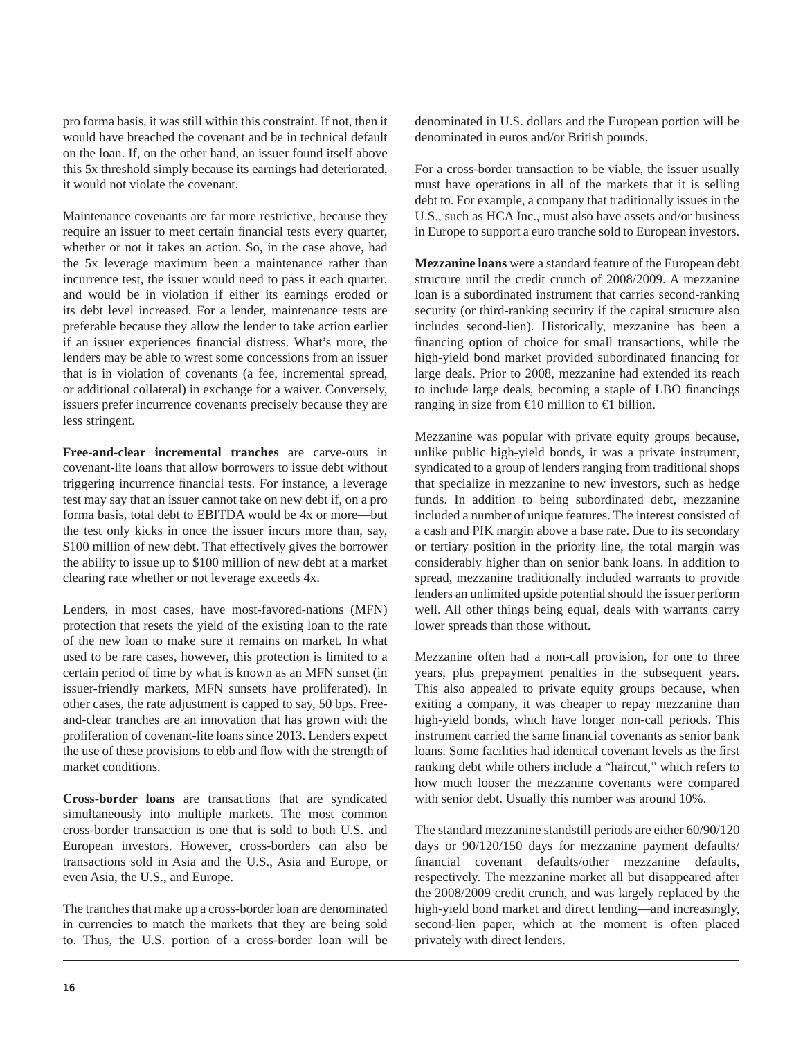pro forma basis, it was still within this constraint. If not, then it would have breached the covenant and be in technical default on the loan . If, on the other hand, an issuer found itself above this 5x threshold simply because its earnings had deteriorated, it would not violate the covenant.

Maintenance covenants are far more restrictive, because they require an issuer to meet certain financial tests every quarter, whether or not it takes an action. So, in the case above, had the 5x leverage maximum been a maintenance rather than incurrence test, the issuer would need to pass it each quarter, and would be in violation if either its earnings eroded or its debt level increased. For a lender, maintenance tests are preferable because they allow the lender to take action earlier if an issuer experiences financial distress. What's more, the lenders may be able to wrest some concessions from an issuer that is in violation of covenants (a fee, incremental spread, or additional collateral) in exchange for a waiver. Conversely, issuers prefer incurrence covenants precisely because they are less stringent.

**Free-and-clear incremental tranches** are carve-outs in covenant-lite loans that allow borrowers to issue debt without triggering incurrence financial tests. For instance, a leverage test may say that an issuer cannot take on new debt if, on a pro forma basis, total debt to EBITDA would be 4x or more—but the test only kicks in once the issuer incurs more than, say, \$100 million of new debt. That effectively gives the borrower the ability to issue up to \$100 million of new debt at a market clearing rate whether or not leverage exceeds 4x.

Lenders, in most cases, have most-favored-nations (MFN) protection that resets the yield of the existing loan to the rate of the new loan to make sure it remains on market. In what used to be rare cases, however, this protection is limited to a certain period of time by what is known as an MFN sunset (in issuer-friendly markets, MFN sunsets have proliferated). In other cases, the rate adjustment is capped to say, 50 bps. Freeand-clear tranches are an innovation that has grown with the proliferation of covenant-lite loans since 2013. Lenders expect the use of these provisions to ebb and flow with the strength of market conditions.

**Cross-border loans** are transactions that are syndicated simultaneously into multiple markets. The most common cross-border transaction is one that is sold to both U.S. and European investors. However, cross-borders can also be transactions sold in Asia and the U.S., Asia and Europe, or even Asia, the U.S., and Europe.

The tranches that make up a cross-border loan are denominated in currencies to match the markets that they are being sold to. Thus, the U.S. portion of a cross-border loan will be denominated in U.S. dollars and the European portion will be denominated in euros and/or British pounds.

For a cross-border transaction to be viable, the issuer usually must have operations in all of the markets that it is selling debt to. For example, a company that traditionally issues in the U.S., such as HCA Inc., must also have assets and/or business in Europe to support a euro tranche sold to European investors.

**Mezzanine loans** were a standard feature of the European debt structure until the credit crunch of 2008/2009. A mezzanine loan is a subordinated instrument that carries second-ranking security (or third-ranking security if the capital structure also includes second-lien). Historically, mezzanine has been a financing option of choice for small transactions, while the high-yield bond market provided subordinated financing for large deals. Prior to 2008, mezzanine had extended its reach to include large deals, becoming a staple of LBO financings ranging in size from  $\in$ 10 million to  $\in$ 1 billion.

Mezzanine was popular with private equity groups because, unlike public high-yield bonds, it was a private instrument, syndicated to a group of lenders ranging from traditional shops that specialize in mezzanine to new investors, such as hedge funds. In addition to being subordinated debt, mezzanine included a number of unique features. The interest consisted of a cash and PIK margin above a base rate. Due to its secondary or tertiary position in the priority line, the total margin was considerably higher than on senior bank loans. In addition to spread, mezzanine traditionally included warrants to provide lenders an unlimited upside potential should the issuer perform well. All other things being equal, deals with warrants carry lower spreads than those without.

Mezzanine often had a non-call provision, for one to three years, plus prepayment penalties in the subsequent years. This also appealed to private equity groups because, when exiting a company, it was cheaper to repay mezzanine than high-yield bonds, which have longer non-call periods. This instrument carried the same financial covenants as senior bank loans. Some facilities had identical covenant levels as the first ranking debt while others include a "haircut," which refers to how much looser the mezzanine covenants were compared with senior debt. Usually this number was around 10%.

The standard mezzanine standstill periods are either 60/90/120 days or 90/120/150 days for mezzanine payment defaults/ financial covenant defaults/other mezzanine defaults, respectively. The mezzanine market all but disappeared after the 2008/2009 credit crunch, and was largely replaced by the high-yield bond market and direct lending—and increasingly, second-lien paper, which at the moment is often placed privately with direct lenders.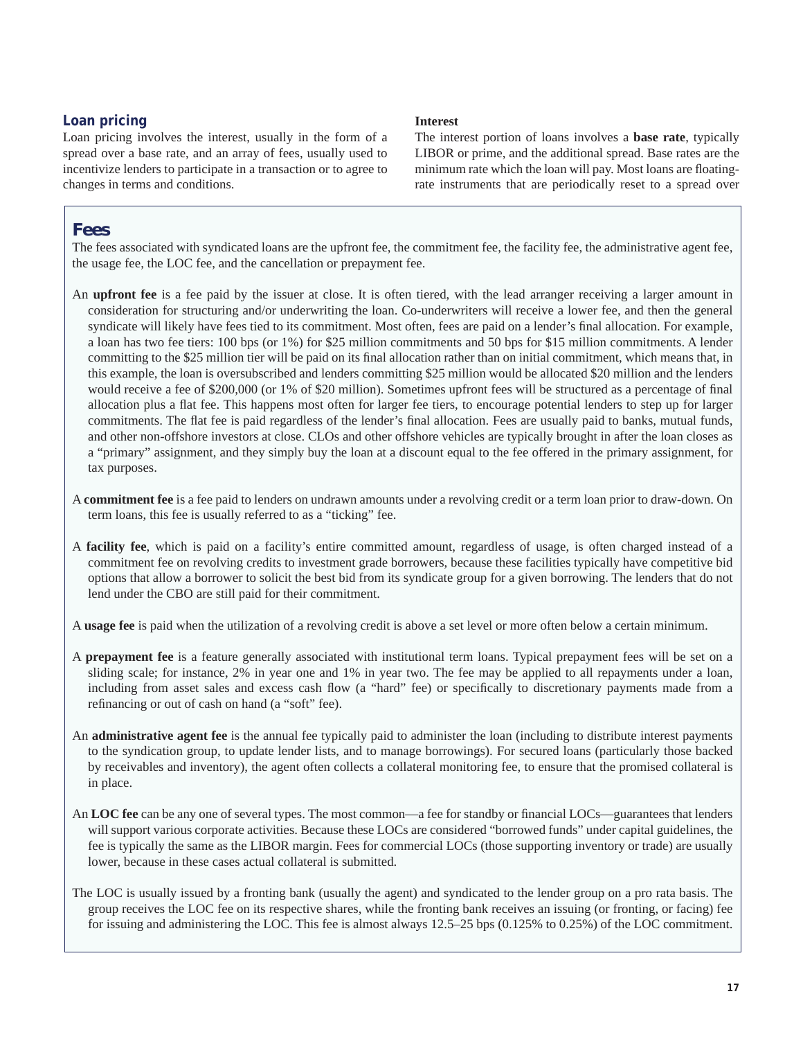## **Loan pricing**

Loan pricing involves the interest, usually in the form of a spread over a base rate, and an array of fees, usually used to incentivize lenders to participate in a transaction or to agree to changes in terms and conditions.

#### **Interest**

The interest portion of loans involves a **base rate**, typically LIBOR or prime, and the additional spread. Base rates are the minimum rate which the loan will pay. Most loans are floatingrate instruments that are periodically reset to a spread over

## *Fees*

The fees associated with syndicated loans are the upfront fee, the commitment fee, the facility fee, the administrative agent fee, the usage fee, the LOC fee, and the cancellation or prepayment fee.

- An **upfront fee** is a fee paid by the issuer at close. It is often tiered, with the lead arranger receiving a larger amount in consideration for structuring and/or underwriting the loan . Co-underwriters will receive a lower fee, and then the general syndicate will likely have fees tied to its commitment. Most often, fees are paid on a lender's final allocation. For example, a loan has two fee tiers: 100 bps (or 1%) for \$25 million commitments and 50 bps for \$15 million commitments. A lender committing to the \$25 million tier will be paid on its final allocation rather than on initial commitment, which means that, in this example, the loan is oversubscribed and lenders committing \$25 million would be allocated \$20 million and the lenders would receive a fee of \$200,000 (or 1% of \$20 million). Sometimes upfront fees will be structured as a percentage of final allocation plus a flat fee. This happens most often for larger fee tiers, to encourage potential lenders to step up for larger commitments. The flat fee is paid regardless of the lender's final allocation. Fees are usually paid to banks, mutual funds, and other non-offshore investors at close. CLOs and other offshore vehicles are typically brought in after the loan closes as a "primary" assignment, and they simply buy the loan at a discount equal to the fee offered in the primary assignment, for tax purposes.
- A **commitment fee** is a fee paid to lenders on undrawn amounts under a revolving credit or a term loan prior to draw-down. On term loans, this fee is usually referred to as a "ticking" fee.
- A **facility fee** , which is paid on a facility's entire committed amount, regardless of usage, is often charged instead of a commitment fee on revolving credits to investment grade borrowers, because these facilities typically have competitive bid options that allow a borrower to solicit the best bid from its syndicate group for a given borrowing. The lenders that do not lend under the CBO are still paid for their commitment.
- A **usage fee** is paid when the utilization of a revolving credit is above a set level or more often below a certain minimum.
- A **prepayment fee** is a feature generally associated with institutional term loans. Typical prepayment fees will be set on a sliding scale; for instance, 2% in year one and 1% in year two. The fee may be applied to all repayments under a loan, including from asset sales and excess cash flow (a "hard" fee) or specifically to discretionary payments made from a refinancing or out of cash on hand (a "soft" fee).
- An **administrative agent fee** is the annual fee typically paid to administer the loan (including to distribute interest payments to the syndication group, to update lender lists, and to manage borrowings). For secured loans (particularly those backed by receivables and inventory), the agent often collects a collateral monitoring fee, to ensure that the promised collateral is in place.
- An LOC fee can be any one of several types. The most common—a fee for standby or financial LOCs—guarantees that lenders will support various corporate activities. Because these LOCs are considered "borrowed funds" under capital guidelines, the fee is typically the same as the LIBOR margin. Fees for commercial LOCs (those supporting inventory or trade) are usually lower, because in these cases actual collateral is submitted.
- The LOC is usually issued by a fronting bank (usually the agent) and syndicated to the lender group on a pro rata basis. The group receives the LOC fee on its respective shares, while the fronting bank receives an issuing (or fronting, or facing) fee for issuing and administering the LOC. This fee is almost always 12.5–25 bps (0.125% to 0.25%) of the LOC commitment.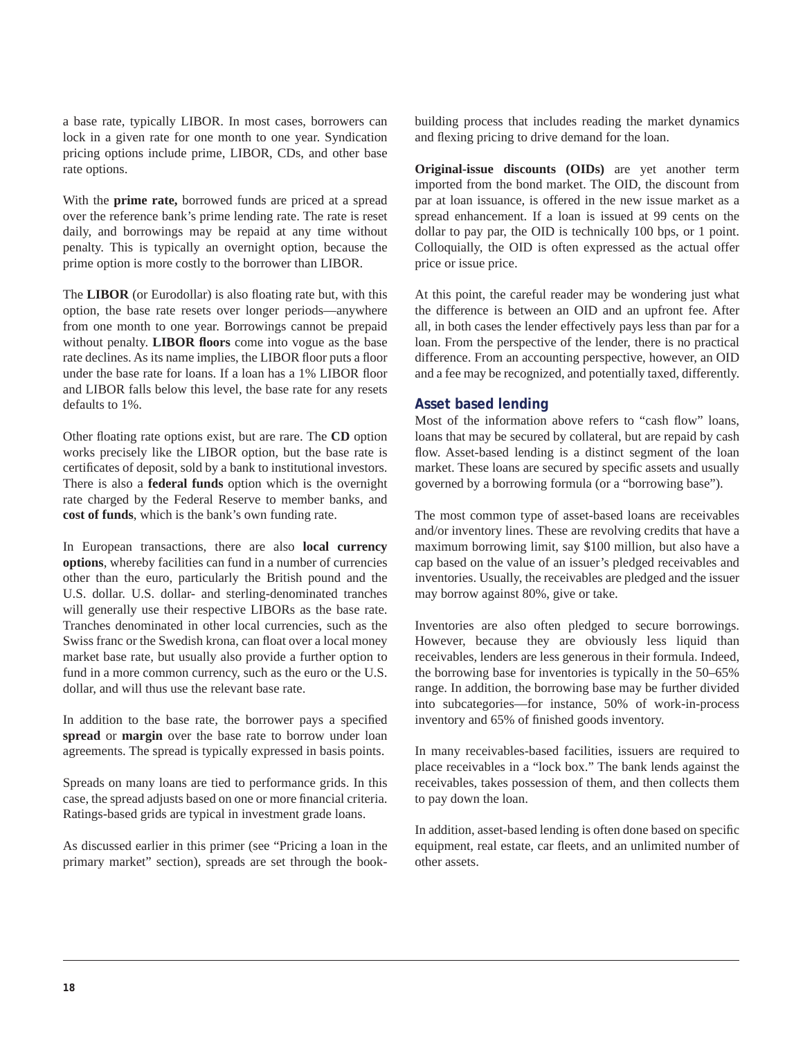a base rate, typically LIBOR. In most cases, borrowers can lock in a given rate for one month to one year. Syndication pricing options include prime, LIBOR, CDs, and other base rate options.

With the **prime rate,** borrowed funds are priced at a spread over the reference bank's prime lending rate. The rate is reset daily, and borrowings may be repaid at any time without penalty. This is typically an overnight option, because the prime option is more costly to the borrower than LIBOR.

The LIBOR (or Eurodollar) is also floating rate but, with this option, the base rate resets over longer periods—anywhere from one month to one year. Borrowings cannot be prepaid without penalty. **LIBOR floors** come into vogue as the base rate declines. As its name implies, the LIBOR floor puts a floor under the base rate for loans. If a loan has a 1% LIBOR floor and LIBOR falls below this level, the base rate for any resets defaults to 1%.

Other floating rate options exist, but are rare. The **CD** option works precisely like the LIBOR option, but the base rate is certificates of deposit, sold by a bank to institutional investors. There is also a **federal funds** option which is the overnight rate charged by the Federal Reserve to member banks, and **cost of funds**, which is the bank's own funding rate.

In European transactions, there are also **local currency options**, whereby facilities can fund in a number of currencies other than the euro, particularly the British pound and the U.S. dollar. U.S. dollar- and sterling-denominated tranches will generally use their respective LIBORs as the base rate. Tranches denominated in other local currencies, such as the Swiss franc or the Swedish krona, can float over a local money market base rate, but usually also provide a further option to fund in a more common currency, such as the euro or the U.S. dollar, and will thus use the relevant base rate.

In addition to the base rate, the borrower pays a specified **spread** or **margin** over the base rate to borrow under loan agreements. The spread is typically expressed in basis points.

Spreads on many loans are tied to performance grids. In this case, the spread adjusts based on one or more financial criteria. Ratings-based grids are typical in investment grade loans.

As discussed earlier in this primer (see "Pricing a loan in the primary market" section), spreads are set through the bookbuilding process that includes reading the market dynamics and flexing pricing to drive demand for the loan.

**Original-issue discounts (OIDs)** are yet another term imported from the bond market. The OID, the discount from par at loan issuance , is offered in the new issue market as a spread enhancement. If a loan is issued at 99 cents on the dollar to pay par, the OID is technically 100 bps, or 1 point. Colloquially, the OID is often expressed as the actual offer price or issue price.

At this point, the careful reader may be wondering just what the difference is between an OID and an upfront fee . After all, in both cases the lender effectively pays less than par for a loan. From the perspective of the lender, there is no practical difference. From an accounting perspective, however, an OID and a fee may be recognized, and potentially taxed, differently.

## **Asset based lending**

Most of the information above refers to "cash flow" loans, loans that may be secured by collateral, but are repaid by cash flow. Asset-based lending is a distinct segment of the loan market. These loans are secured by specific assets and usually governed by a borrowing formula (or a "borrowing base").

The most common type of asset-based loans are receivables and/or inventory lines. These are revolving credits that have a maximum borrowing limit, say \$100 million, but also have a cap based on the value of an issuer's pledged receivables and inventories. Usually, the receivables are pledged and the issuer may borrow against 80%, give or take.

Inventories are also often pledged to secure borrowings. However, because they are obviously less liquid than receivables, lenders are less generous in their formula. Indeed, the borrowing base for inventories is typically in the 50–65% range. In addition, the borrowing base may be further divided into subcategories—for instance, 50% of work-in-process inventory and 65% of finished goods inventory.

In many receivables-based facilities, issuers are required to place receivables in a "lock box." The bank lends against the receivables, takes possession of them, and then collects them to pay down the loan.

In addition, asset-based lending is often done based on specific equipment, real estate, car fleets, and an unlimited number of other assets.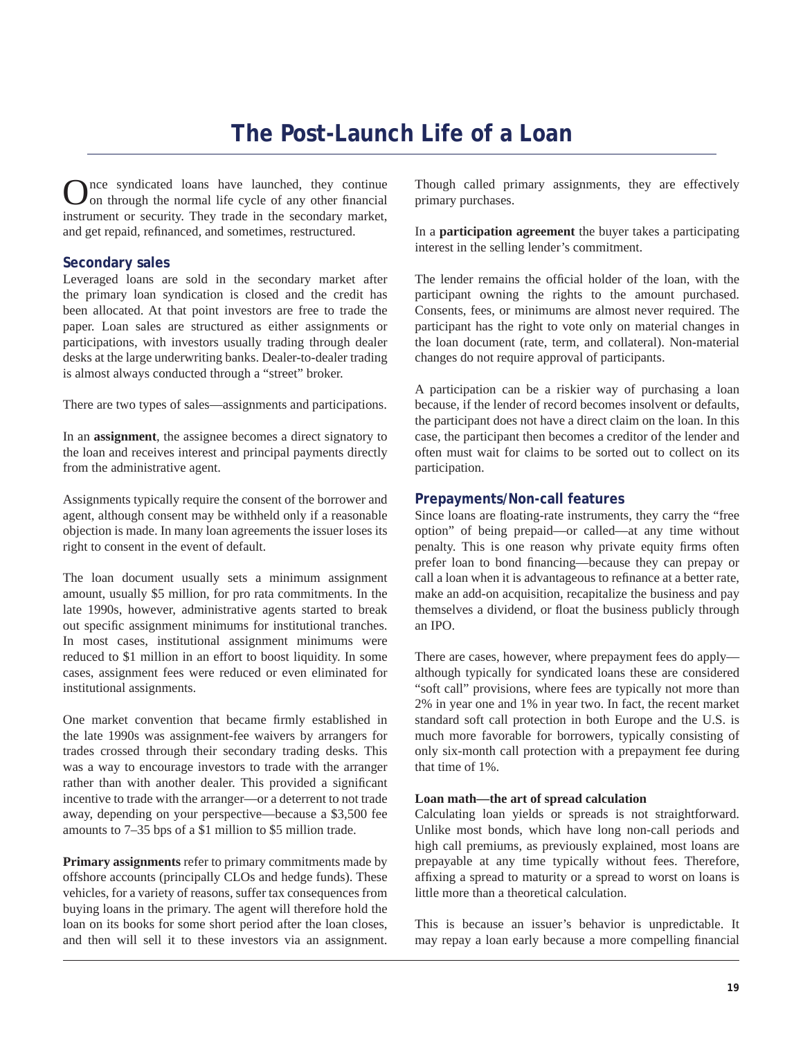## **The Post-Launch Life of a Loan**

Once syndicated loans have launched, they continue on through the normal life cycle of any other financial instrument or security. They trade in the secondary market, and get repaid, refinanced, and sometimes, restructured.

#### **Secondary sales**

Leveraged loans are sold in the secondary market after the primary loan syndication is closed and the credit has been allocated. At that point investors are free to trade the paper. Loan sales are structured as either assignments or participations, with investors usually trading through dealer desks at the large underwriting banks. Dealer-to-dealer trading is almost always conducted through a "street" broker.

There are two types of sales—assignments and participations.

In an **assignment**, the assignee becomes a direct signatory to the loan and receives interest and principal payments directly from the administrative agent.

Assignments typically require the consent of the borrower and agent, although consent may be withheld only if a reasonable objection is made. In many loan agreements the issuer loses its right to consent in the event of default.

The loan document usually sets a minimum assignment amount, usually \$5 million, for pro rata commitments. In the late 1990s, however, administrative agents started to break out specific assignment minimums for institutional tranches. In most cases, institutional assignment minimums were reduced to \$1 million in an effort to boost liquidity. In some cases, assignment fees were reduced or even eliminated for institutional assignments.

One market convention that became firmly established in the late 1990s was assignment-fee waivers by arrangers for trades crossed through their secondary trading desks. This was a way to encourage investors to trade with the arranger rather than with another dealer. This provided a significant incentive to trade with the arranger—or a deterrent to not trade away, depending on your perspective—because a \$3,500 fee amounts to 7–35 bps of a \$1 million to \$5 million trade.

**Primary assignments** refer to primary commitments made by offshore accounts (principally CLOs and hedge funds). These vehicles, for a variety of reasons, suffer tax consequences from buying loans in the primary. The agent will therefore hold the loan on its books for some short period after the loan closes, and then will sell it to these investors via an assignment. Though called primary assignments, they are effectively primary purchases.

In a **participation agreement** the buyer takes a participating interest in the selling lender's commitment.

The lender remains the official holder of the loan, with the participant owning the rights to the amount purchased. Consents, fees, or minimums are almost never required. The participant has the right to vote only on material changes in the loan document (rate, term, and collateral). Non-material changes do not require approval of participants.

A participation can be a riskier way of purchasing a loan because, if the lender of record becomes insolvent or defaults, the participant does not have a direct claim on the loan. In this case, the participant then becomes a creditor of the lender and often must wait for claims to be sorted out to collect on its participation.

#### **Prepayments/Non-call features**

Since loans are floating-rate instruments, they carry the "free option" of being prepaid—or called—at any time without penalty. This is one reason why private equity firms often prefer loan to bond financing—because they can prepay or call a loan when it is advantageous to refinance at a better rate, make an add-on acquisition, recapitalize the business and pay themselves a dividend, or float the business publicly through an IPO.

There are cases, however, where prepayment fees do apply although typically for syndicated loans these are considered "soft call" provisions, where fees are typically not more than 2% in year one and 1% in year two. In fact, the recent market standard soft call protection in both Europe and the U.S. is much more favorable for borrowers, typically consisting of only six-month call protection with a prepayment fee during that time of 1%.

#### **Loan math—the art of spread calculation**

Calculating loan yields or spreads is not straightforward. Unlike most bonds, which have long non-call periods and high call premiums, as previously explained, most loans are prepayable at any time typically without fees. Therefore, affixing a spread to maturity or a spread to worst on loans is little more than a theoretical calculation.

This is because an issuer's behavior is unpredictable. It may repay a loan early because a more compelling financial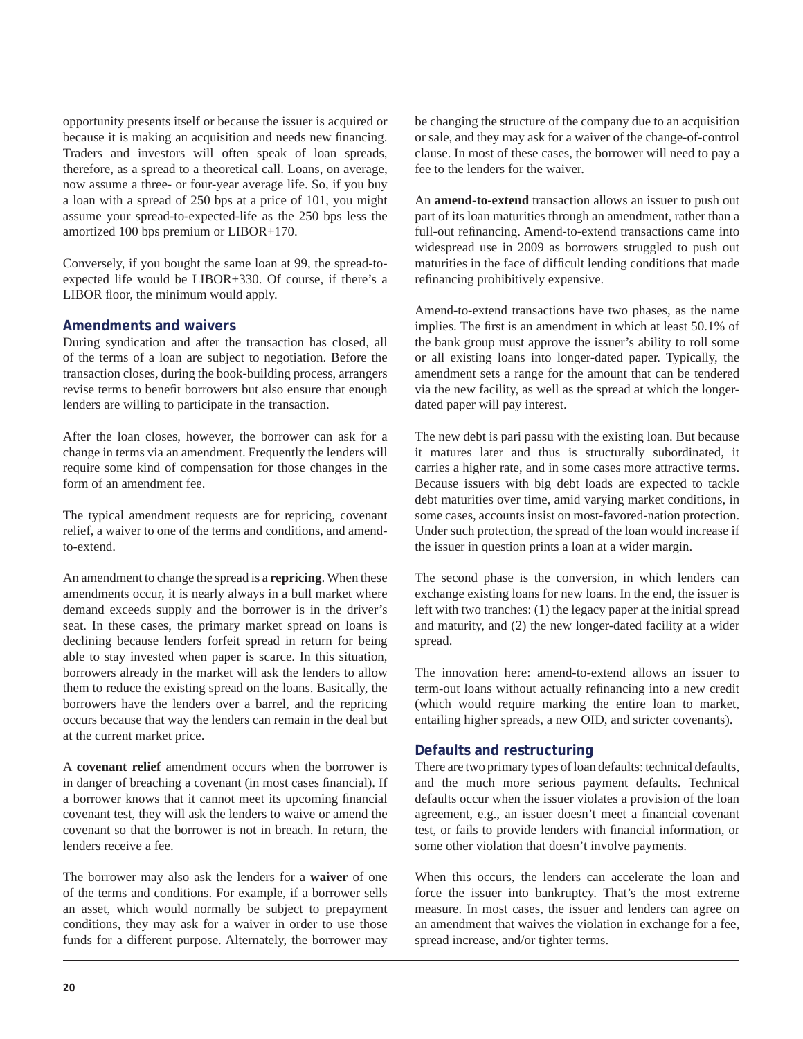opportunity presents itself or because the issuer is acquired or because it is making an acquisition and needs new financing. Traders and investors will often speak of loan spreads , therefore, as a spread to a theoretical call. Loans, on average, now assume a three- or four-year average life. So, if you buy a loan with a spread of 250 bps at a price of 101, you might assume your spread-to-expected-life as the 250 bps less the amortized 100 bps premium or LIBOR+170.

Conversely, if you bought the same loan at 99, the spread-toexpected life would be LIBOR+330. Of course, if there's a LIBOR floor, the minimum would apply.

## **Amendments and waivers**

During syndication and after the transaction has closed, all of the terms of a loan are subject to negotiation. Before the transaction closes, during the book-building process, arrangers revise terms to benefit borrowers but also ensure that enough lenders are willing to participate in the transaction.

After the loan closes, however, the borrower can ask for a change in terms via an amendment. Frequently the lenders will require some kind of compensation for those changes in the form of an amendment fee.

The typical amendment requests are for repricing, covenant relief, a waiver to one of the terms and conditions, and amendto-extend.

An amendment to change the spread is a **repricing**. When these amendments occur, it is nearly always in a bull market where demand exceeds supply and the borrower is in the driver's seat. In these cases, the primary market spread on loans is declining because lenders forfeit spread in return for being able to stay invested when paper is scarce. In this situation, borrowers already in the market will ask the lenders to allow them to reduce the existing spread on the loans. Basically, the borrowers have the lenders over a barrel, and the repricing occurs because that way the lenders can remain in the deal but at the current market price.

A **covenant relief** amendment occurs when the borrower is in danger of breaching a covenant (in most cases financial). If a borrower knows that it cannot meet its upcoming financial covenant test, they will ask the lenders to waive or amend the covenant so that the borrower is not in breach. In return, the lenders receive a fee.

The borrower may also ask the lenders for a **waiver** of one of the terms and conditions. For example, if a borrower sells an asset, which would normally be subject to prepayment conditions, they may ask for a waiver in order to use those funds for a different purpose. Alternately, the borrower may

be changing the structure of the company due to an acquisition or sale, and they may ask for a waiver of the change-of-control clause. In most of these cases, the borrower will need to pay a fee to the lenders for the waiver.

An **amend-to-extend** transaction allows an issuer to push out part of its loan maturities through an amendment, rather than a full-out refinancing. Amend-to-extend transactions came into widespread use in 2009 as borrowers struggled to push out maturities in the face of difficult lending conditions that made refinancing prohibitively expensive.

Amend-to-extend transactions have two phases, as the name implies. The first is an amendment in which at least 50.1% of the bank group must approve the issuer's ability to roll some or all existing loans into longer-dated paper. Typically, the amendment sets a range for the amount that can be tendered via the new facility, as well as the spread at which the longerdated paper will pay interest.

The new debt is pari passu with the existing loan . But because it matures later and thus is structurally subordinated, it carries a higher rate, and in some cases more attractive terms. Because issuers with big debt loads are expected to tackle debt maturities over time, amid varying market conditions, in some cases, accounts insist on most-favored-nation protection. Under such protection, the spread of the loan would increase if the issuer in question prints a loan at a wider margin.

The second phase is the conversion, in which lenders can exchange existing loans for new loans. In the end, the issuer is left with two tranches: (1) the legacy paper at the initial spread and maturity, and (2) the new longer-dated facility at a wider spread.

The innovation here: amend-to-extend allows an issuer to term-out loans without actually refinancing into a new credit (which would require marking the entire loan to market, entailing higher spreads, a new OID, and stricter covenants).

## **Defaults and restructuring**

There are two primary types of loan defaults: technical defaults, and the much more serious payment defaults. Technical defaults occur when the issuer violates a provision of the loan agreement, e.g., an issuer doesn't meet a financial covenant test, or fails to provide lenders with financial information, or some other violation that doesn't involve payments.

When this occurs, the lenders can accelerate the loan and force the issuer into bankruptcy. That's the most extreme measure. In most cases, the issuer and lenders can agree on an amendment that waives the violation in exchange for a fee, spread increase, and/or tighter terms.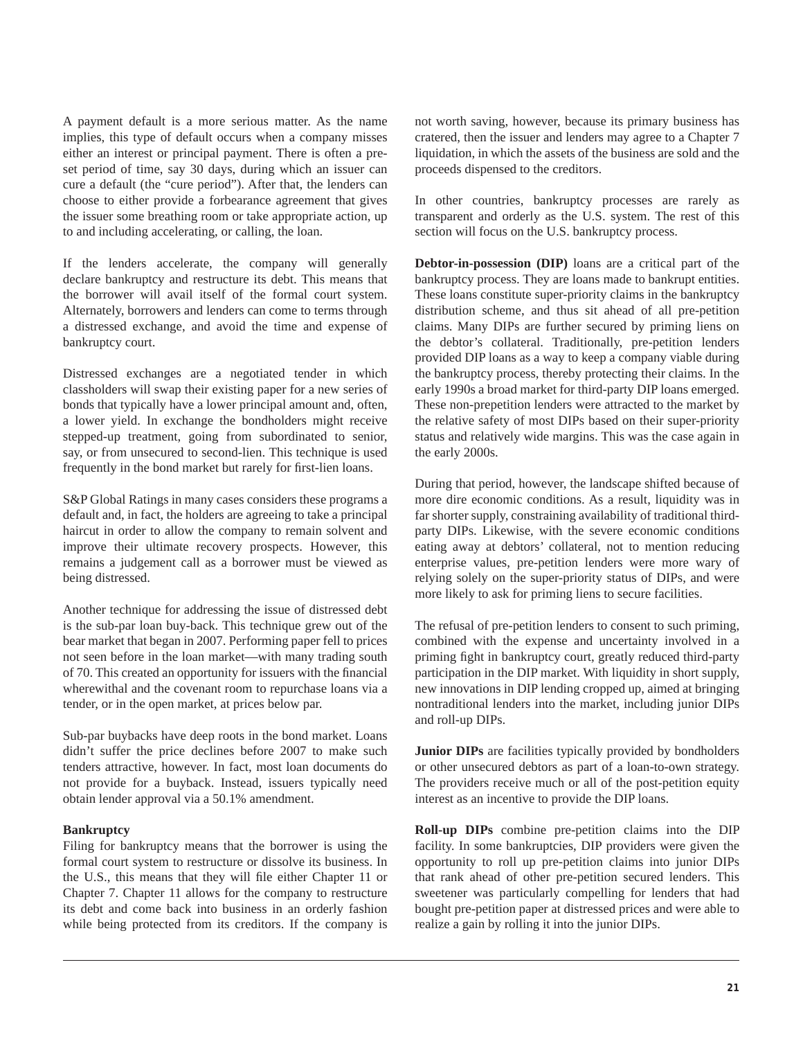A payment default is a more serious matter. As the name implies, this type of default occurs when a company misses either an interest or principal payment. There is often a preset period of time, say 30 days, during which an issuer can cure a default (the "cure period"). After that, the lenders can choose to either provide a forbearance agreement that gives the issuer some breathing room or take appropriate action, up to and including accelerating, or calling, the loan.

If the lenders accelerate, the company will generally declare bankruptcy and restructure its debt. This means that the borrower will avail itself of the formal court system. Alternately, borrowers and lenders can come to terms through a distressed exchange, and avoid the time and expense of bankruptcy court.

Distressed exchanges are a negotiated tender in which classholders will swap their existing paper for a new series of bonds that typically have a lower principal amount and, often, a lower yield. In exchange the bondholders might receive stepped-up treatment, going from subordinated to senior, say, or from unsecured to second-lien. This technique is used frequently in the bond market but rarely for first-lien loans.

S&P Global Ratings in many cases considers these programs a default and, in fact, the holders are agreeing to take a principal haircut in order to allow the company to remain solvent and improve their ultimate recovery prospects. However, this remains a judgement call as a borrower must be viewed as being distressed.

Another technique for addressing the issue of distressed debt is the sub-par loan buy-back. This technique grew out of the bear market that began in 2007. Performing paper fell to prices not seen before in the loan market—with many trading south of 70. This created an opportunity for issuers with the financial wherewithal and the covenant room to repurchase loans via a tender, or in the open market, at prices below par.

Sub-par buybacks have deep roots in the bond market. Loans didn't suffer the price declines before 2007 to make such tenders attractive, however. In fact, most loan documents do not provide for a buyback. Instead, issuers typically need obtain lender approval via a 50.1% amendment.

#### **Bankruptcy**

Filing for bankruptcy means that the borrower is using the formal court system to restructure or dissolve its business. In the U.S., this means that they will file either Chapter 11 or Chapter 7. Chapter 11 allows for the company to restructure its debt and come back into business in an orderly fashion while being protected from its creditors. If the company is

not worth saving, however, because its primary business has cratered, then the issuer and lenders may agree to a Chapter 7 liquidation, in which the assets of the business are sold and the proceeds dispensed to the creditors.

In other countries, bankruptcy processes are rarely as transparent and orderly as the U.S. system. The rest of this section will focus on the U.S. bankruptcy process.

**Debtor-in-possession (DIP)** loans are a critical part of the bankruptcy process. They are loans made to bankrupt entities. These loans constitute super-priority claims in the bankruptcy distribution scheme, and thus sit ahead of all pre-petition claims. Many DIPs are further secured by priming liens on the debtor's collateral. Traditionally, pre-petition lenders provided DIP loans as a way to keep a company viable during the bankruptcy process, thereby protecting their claims. In the early 1990s a broad market for third-party DIP loans emerged. These non-prepetition lenders were attracted to the market by the relative safety of most DIPs based on their super-priority status and relatively wide margins. This was the case again in the early 2000s.

During that period, however, the landscape shifted because of more dire economic conditions. As a result, liquidity was in far shorter supply, constraining availability of traditional thirdparty DIPs. Likewise, with the severe economic conditions eating away at debtors' collateral, not to mention reducing enterprise values, pre-petition lenders were more wary of relying solely on the super-priority status of DIPs, and were more likely to ask for priming liens to secure facilities.

The refusal of pre-petition lenders to consent to such priming, combined with the expense and uncertainty involved in a priming fight in bankruptcy court, greatly reduced third-party participation in the DIP market. With liquidity in short supply, new innovations in DIP lending cropped up, aimed at bringing nontraditional lenders into the market, including junior DIPs and roll-up DIPs.

**Junior DIPs** are facilities typically provided by bondholders or other unsecured debtors as part of a loan -to-own strategy. The providers receive much or all of the post-petition equity interest as an incentive to provide the DIP loans.

**Roll-up DIPs** combine pre-petition claims into the DIP facility. In some bankruptcies, DIP providers were given the opportunity to roll up pre-petition claims into junior DIPs that rank ahead of other pre-petition secured lenders. This sweetener was particularly compelling for lenders that had bought pre-petition paper at distressed prices and were able to realize a gain by rolling it into the junior DIPs.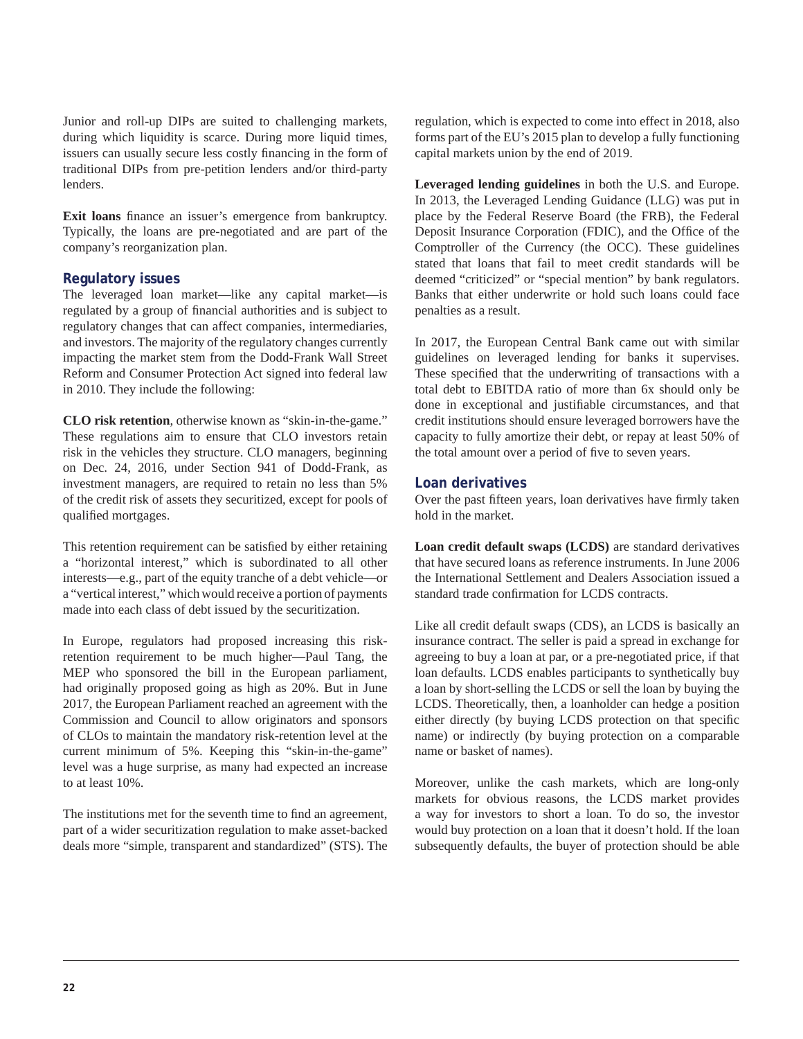Junior and roll-up DIPs are suited to challenging markets, during which liquidity is scarce. During more liquid times, issuers can usually secure less costly financing in the form of traditional DIPs from pre-petition lenders and/or third-party lenders.

Exit loans finance an issuer's emergence from bankruptcy. Typically, the loans are pre-negotiated and are part of the company's reorganization plan.

## **Regulatory issues**

The leveraged loan market—like any capital market—is regulated by a group of financial authorities and is subject to regulatory changes that can affect companies, intermediaries, and investors. The majority of the regulatory changes currently impacting the market stem from the Dodd-Frank Wall Street Reform and Consumer Protection Act signed into federal law in 2010. They include the following:

**CLO risk retention**, otherwise known as "skin-in-the-game." These regulations aim to ensure that CLO investors retain risk in the vehicles they structure. CLO managers, beginning on Dec. 24, 2016, under Section 941 of Dodd-Frank, as investment managers, are required to retain no less than 5% of the credit risk of assets they securitized, except for pools of qualified mortgages.

This retention requirement can be satisfied by either retaining a "horizontal interest," which is subordinated to all other interests—e.g., part of the equity tranche of a debt vehicle—or a "vertical interest," which would receive a portion of payments made into each class of debt issued by the securitization.

In Europe, regulators had proposed increasing this riskretention requirement to be much higher—Paul Tang, the MEP who sponsored the bill in the European parliament, had originally proposed going as high as 20%. But in June 2017, the European Parliament reached an agreement with the Commission and Council to allow originators and sponsors of CLOs to maintain the mandatory risk-retention level at the current minimum of 5%. Keeping this "skin-in-the-game" level was a huge surprise, as many had expected an increase to at least 10%.

The institutions met for the seventh time to find an agreement, part of a wider securitization regulation to make asset-backed deals more "simple, transparent and standardized" (STS). The regulation, which is expected to come into effect in 2018, also forms part of the EU's 2015 plan to develop a fully functioning capital markets union by the end of 2019.

**Leveraged lending guidelines** in both the U.S. and Europe. In 2013, the Leveraged Lending Guidance (LLG) was put in place by the Federal Reserve Board (the FRB), the Federal Deposit Insurance Corporation (FDIC), and the Office of the Comptroller of the Currency (the OCC). These guidelines stated that loans that fail to meet credit standards will be deemed "criticized" or "special mention" by bank regulators. Banks that either underwrite or hold such loans could face penalties as a result.

In 2017, the European Central Bank came out with similar guidelines on leveraged lending for banks it supervises. These specified that the underwriting of transactions with a total debt to EBITDA ratio of more than 6x should only be done in exceptional and justifiable circumstances, and that credit institutions should ensure leveraged borrowers have the capacity to fully amortize their debt, or repay at least 50% of the total amount over a period of five to seven years.

## **Loan derivatives**

Over the past fifteen years, loan derivatives have firmly taken hold in the market.

**Loan credit default swaps (LCDS)** are standard derivatives that have secured loans as reference instruments. In June 2006 the International Settlement and Dealers Association issued a standard trade confirmation for LCDS contracts.

Like all credit default swaps (CDS), an LCDS is basically an insurance contract. The seller is paid a spread in exchange for agreeing to buy a loan at par, or a pre-negotiated price, if that loan defaults. LCDS enables participants to synthetically buy a loan by short-selling the LCDS or sell the loan by buying the LCDS. Theoretically, then, a loanholder can hedge a position either directly (by buying LCDS protection on that specific name) or indirectly (by buying protection on a comparable name or basket of names).

Moreover, unlike the cash markets, which are long-only markets for obvious reasons, the LCDS market provides a way for investors to short a loan . To do so, the investor would buy protection on a loan that it doesn't hold. If the loan subsequently defaults, the buyer of protection should be able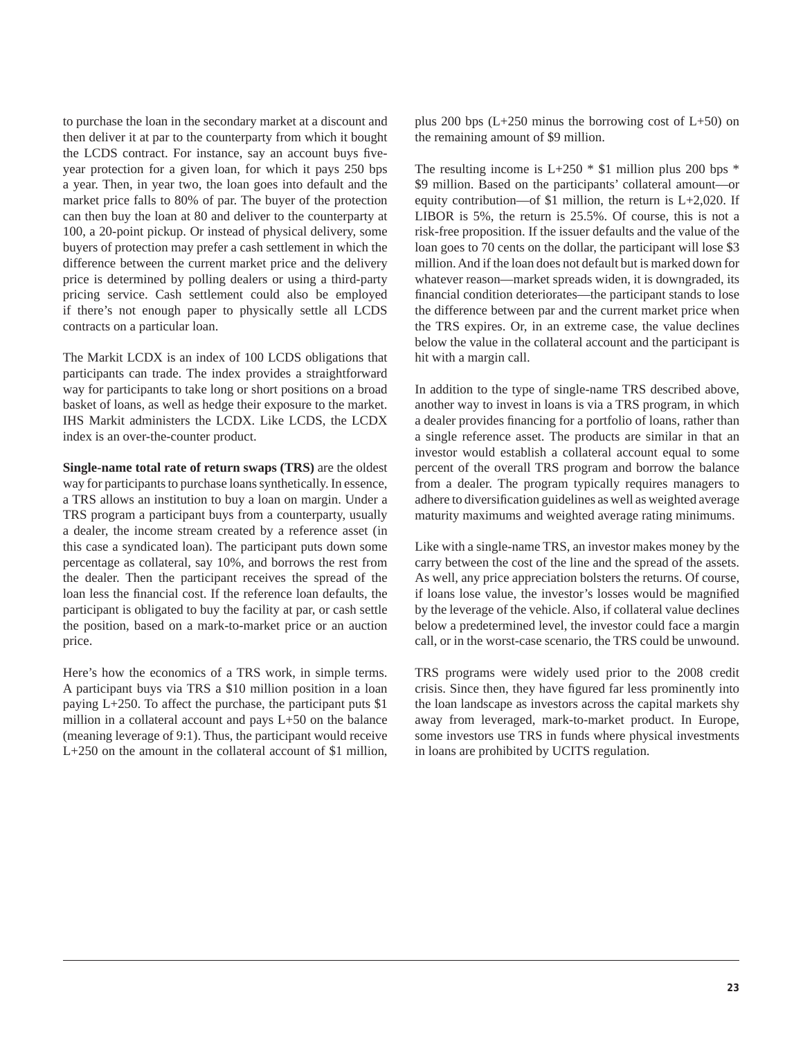to purchase the loan in the secondary market at a discount and then deliver it at par to the counterparty from which it bought the LCDS contract. For instance, say an account buys fiveyear protection for a given loan, for which it pays 250 bps a year. Then, in year two, the loan goes into default and the market price falls to 80% of par. The buyer of the protection can then buy the loan at 80 and deliver to the counterparty at 100, a 20-point pickup. Or instead of physical delivery, some buyers of protection may prefer a cash settlement in which the difference between the current market price and the delivery price is determined by polling dealers or using a third-party pricing service. Cash settlement could also be employed if there's not enough paper to physically settle all LCDS contracts on a particular loan.

The Markit LCDX is an index of 100 LCDS obligations that participants can trade. The index provides a straightforward way for participants to take long or short positions on a broad basket of loans, as well as hedge their exposure to the market. IHS Markit administers the LCDX . Like LCDS, the LCDX index is an over-the-counter product.

**Single-name total rate of return swaps (TRS)** are the oldest way for participants to purchase loans synthetically. In essence, a TRS allows an institution to buy a loan on margin. Under a TRS program a participant buys from a counterparty, usually a dealer, the income stream created by a reference asset (in this case a syndicated loan). The participant puts down some percentage as collateral, say 10%, and borrows the rest from the dealer. Then the participant receives the spread of the loan less the financial cost. If the reference loan defaults, the participant is obligated to buy the facility at par, or cash settle the position, based on a mark-to-market price or an auction price.

Here's how the economics of a TRS work, in simple terms. A participant buys via TRS a \$10 million position in a loan paying L+250. To affect the purchase, the participant puts \$1 million in a collateral account and pays L+50 on the balance (meaning leverage of 9:1). Thus, the participant would receive L+250 on the amount in the collateral account of \$1 million, plus 200 bps  $(L+250 \text{ minus the borrowing cost of } L+50)$  on the remaining amount of \$9 million.

The resulting income is  $L+250 * $1$  million plus 200 bps  $*$ \$9 million. Based on the participants' collateral amount—or equity contribution—of \$1 million, the return is L+2,020. If LIBOR is 5%, the return is 25.5%. Of course, this is not a risk-free proposition. If the issuer defaults and the value of the loan goes to 70 cents on the dollar, the participant will lose \$3 million. And if the loan does not default but is marked down for whatever reason—market spreads widen, it is downgraded, its financial condition deteriorates—the participant stands to lose the difference between par and the current market price when the TRS expires. Or, in an extreme case, the value declines below the value in the collateral account and the participant is hit with a margin call.

In addition to the type of single-name TRS described above, another way to invest in loans is via a TRS program, in which a dealer provides financing for a portfolio of loans, rather than a single reference asset. The products are similar in that an investor would establish a collateral account equal to some percent of the overall TRS program and borrow the balance from a dealer. The program typically requires managers to adhere to diversification guidelines as well as weighted average maturity maximums and weighted average rating minimums.

Like with a single-name TRS , an investor makes money by the carry between the cost of the line and the spread of the assets. As well, any price appreciation bolsters the returns. Of course, if loans lose value, the investor's losses would be magnified by the leverage of the vehicle. Also, if collateral value declines below a predetermined level, the investor could face a margin call, or in the worst-case scenario, the TRS could be unwound.

TRS programs were widely used prior to the 2008 credit crisis. Since then, they have figured far less prominently into the loan landscape as investors across the capital markets shy away from leveraged, mark-to-market product. In Europe, some investors use TRS in funds where physical investments in loans are prohibited by UCITS regulation.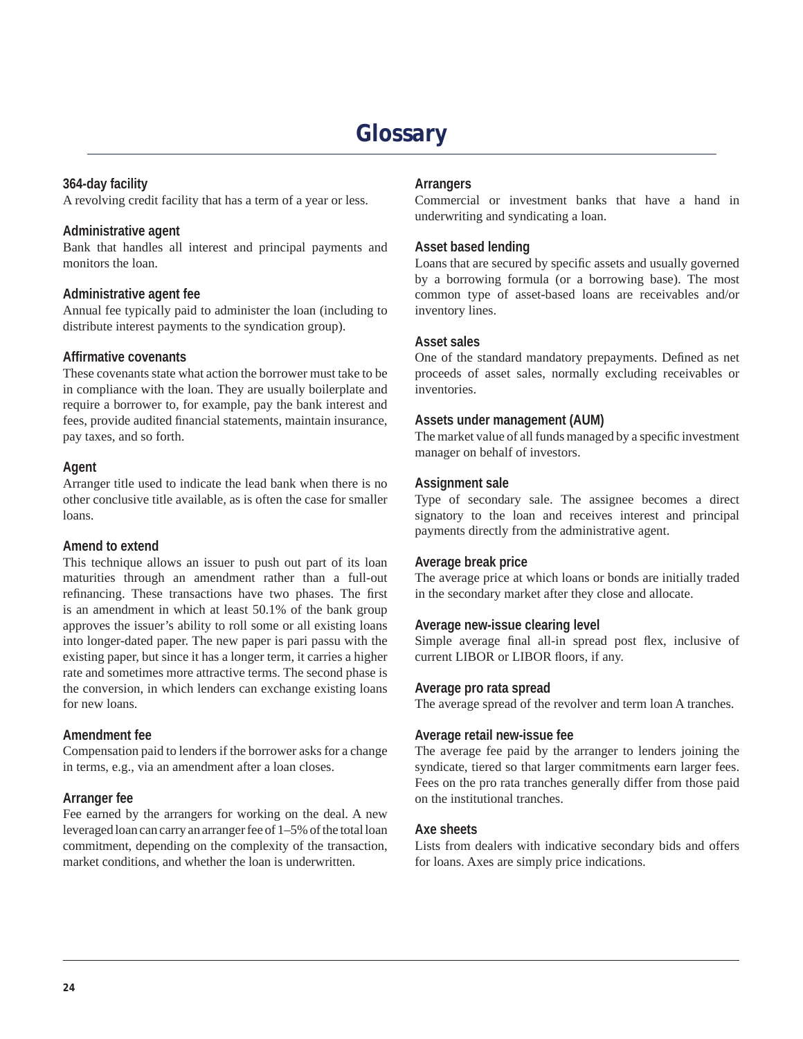## **Glossary**

## **364-day facility**

A revolving credit facility that has a term of a year or less.

## **Administrative agent**

Bank that handles all interest and principal payments and monitors the loan.

## **Administrative agent fee**

Annual fee typically paid to administer the loan (including to distribute interest payments to the syndication group).

## **Affi rmative covenants**

These covenants state what action the borrower must take to be in compliance with the loan. They are usually boilerplate and require a borrower to, for example, pay the bank interest and fees, provide audited financial statements, maintain insurance, pay taxes, and so forth.

## **Agent**

Arranger title used to indicate the lead bank when there is no other conclusive title available, as is often the case for smaller loans.

## **Amend to extend**

This technique allows an issuer to push out part of its loan maturities through an amendment rather than a full-out refinancing. These transactions have two phases. The first is an amendment in which at least 50.1% of the bank group approves the issuer's ability to roll some or all existing loans into longer-dated paper. The new paper is pari passu with the existing paper, but since it has a longer term, it carries a higher rate and sometimes more attractive terms. The second phase is the conversion, in which lenders can exchange existing loans for new loans.

## **Amendment fee**

Compensation paid to lenders if the borrower asks for a change in terms, e.g., via an amendment after a loan closes.

## **Arranger fee**

Fee earned by the arrangers for working on the deal. A new leveraged loan can carry an arranger fee of 1–5% of the total loan commitment, depending on the complexity of the transaction, market conditions, and whether the loan is underwritten.

## **Arrangers**

Commercial or investment banks that have a hand in underwriting and syndicating a loan.

## **Asset based lending**

Loans that are secured by specific assets and usually governed by a borrowing formula (or a borrowing base). The most common type of asset-based loans are receivables and/or inventory lines.

## **Asset sales**

One of the standard mandatory prepayments. Defined as net proceeds of asset sales, normally excluding receivables or inventories.

## **Assets under management (AUM)**

The market value of all funds managed by a specific investment manager on behalf of investors.

## **Assignment sale**

Type of secondary sale. The assignee becomes a direct signatory to the loan and receives interest and principal payments directly from the administrative agent.

## **Average break price**

The average price at which loans or bonds are initially traded in the secondary market after they close and allocate.

## **Average new-issue clearing level**

Simple average final all-in spread post flex, inclusive of current LIBOR or LIBOR floors, if any.

## **Average pro rata spread**

The average spread of the revolver and term loan A tranches.

## **Average retail new-issue fee**

The average fee paid by the arranger to lenders joining the syndicate, tiered so that larger commitments earn larger fees. Fees on the pro rata tranches generally differ from those paid on the institutional tranches.

## **Axe sheets**

Lists from dealers with indicative secondary bids and offers for loans. Axes are simply price indications.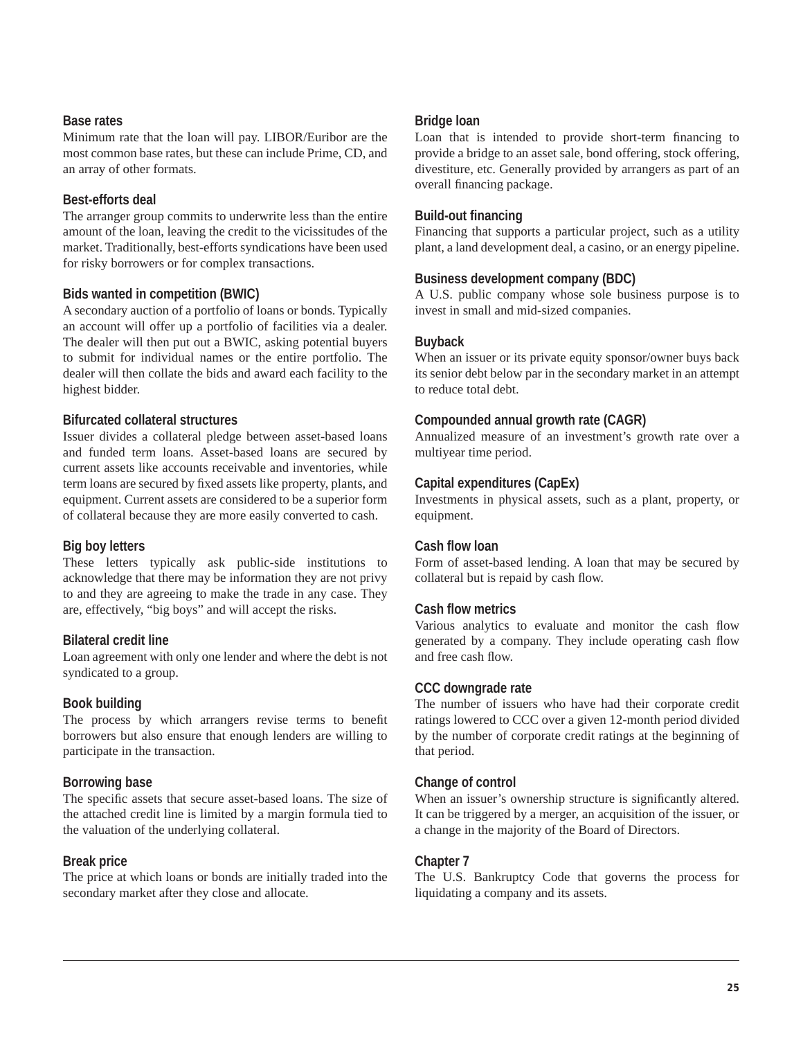## **Base rates**

Minimum rate that the loan will pay. LIBOR/Euribor are the most common base rates, but these can include Prime, CD, and an array of other formats.

## **Best-efforts deal**

The arranger group commits to underwrite less than the entire amount of the loan, leaving the credit to the vicissitudes of the market. Traditionally, best-efforts syndications have been used for risky borrowers or for complex transactions.

## **Bids wanted in competition (BWIC)**

A secondary auction of a portfolio of loans or bonds. Typically an account will offer up a portfolio of facilities via a dealer. The dealer will then put out a BWIC, asking potential buyers to submit for individual names or the entire portfolio. The dealer will then collate the bids and award each facility to the highest bidder.

## **Bifurcated collateral structures**

Issuer divides a collateral pledge between asset-based loans and funded term loans. Asset-based loans are secured by current assets like accounts receivable and inventories, while term loans are secured by fixed assets like property, plants, and equipment. Current assets are considered to be a superior form of collateral because they are more easily converted to cash.

## **Big boy letters**

These letters typically ask public-side institutions to acknowledge that there may be information they are not privy to and they are agreeing to make the trade in any case. They are, effectively, "big boys" and will accept the risks.

## **Bilateral credit line**

Loan agreement with only one lender and where the debt is not syndicated to a group.

## **Book building**

The process by which arrangers revise terms to benefit borrowers but also ensure that enough lenders are willing to participate in the transaction.

## **Borrowing base**

The specific assets that secure asset-based loans. The size of the attached credit line is limited by a margin formula tied to the valuation of the underlying collateral.

## **Break price**

The price at which loans or bonds are initially traded into the secondary market after they close and allocate.

## **Bridge loan**

Loan that is intended to provide short-term financing to provide a bridge to an asset sale, bond offering, stock offering, divestiture, etc. Generally provided by arrangers as part of an overall financing package.

## **Build-out fi nancing**

Financing that supports a particular project, such as a utility plant, a land development deal, a casino, or an energy pipeline.

## **Business development company (BDC)**

A U.S. public company whose sole business purpose is to invest in small and mid-sized companies.

## **Buyback**

When an issuer or its private equity sponsor/owner buys back its senior debt below par in the secondary market in an attempt to reduce total debt.

## **Compounded annual growth rate (CAGR)**

Annualized measure of an investment's growth rate over a multiyear time period.

## **Capital expenditures (CapEx)**

Investments in physical assets, such as a plant, property, or equipment.

## **Cash fl ow loan**

Form of asset-based lending. A loan that may be secured by collateral but is repaid by cash flow.

## **Cash fl ow metrics**

Various analytics to evaluate and monitor the cash flow generated by a company. They include operating cash flow and free cash flow.

## **CCC downgrade rate**

The number of issuers who have had their corporate credit ratings lowered to CCC over a given 12-month period divided by the number of corporate credit ratings at the beginning of that period.

## **Change of control**

When an issuer's ownership structure is significantly altered. It can be triggered by a merger, an acquisition of the issuer, or a change in the majority of the Board of Directors.

## **Chapter 7**

The U.S. Bankruptcy Code that governs the process for liquidating a company and its assets.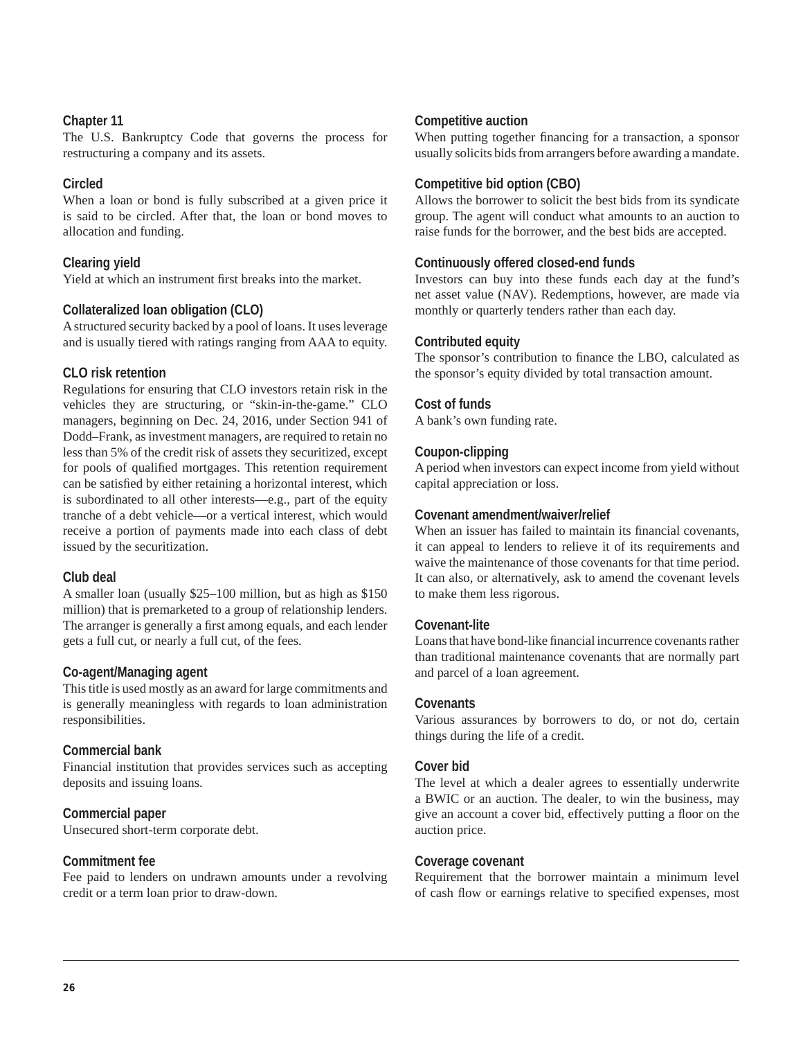## **Chapter 11**

The U.S. Bankruptcy Code that governs the process for restructuring a company and its assets.

## **Circled**

When a loan or bond is fully subscribed at a given price it is said to be circled. After that, the loan or bond moves to allocation and funding.

## **Clearing yield**

Yield at which an instrument first breaks into the market.

## **Collateralized loan obligation (CLO)**

A structured security backed by a pool of loans. It uses leverage and is usually tiered with ratings ranging from AAA to equity.

## **CLO risk retention**

Regulations for ensuring that CLO investors retain risk in the vehicles they are structuring, or "skin-in-the-game." CLO managers, beginning on Dec. 24, 2016, under Section 941 of Dodd–Frank, as investment managers, are required to retain no less than 5% of the credit risk of assets they securitized, except for pools of qualified mortgages. This retention requirement can be satisfied by either retaining a horizontal interest, which is subordinated to all other interests—e.g., part of the equity tranche of a debt vehicle—or a vertical interest, which would receive a portion of payments made into each class of debt issued by the securitization.

## **Club deal**

A smaller loan (usually \$25–100 million, but as high as \$150 million) that is premarketed to a group of relationship lenders. The arranger is generally a first among equals, and each lender gets a full cut, or nearly a full cut, of the fees.

## **Co-agent/Managing agent**

This title is used mostly as an award for large commitments and is generally meaningless with regards to loan administration responsibilities.

## **Commercial bank**

Financial institution that provides services such as accepting deposits and issuing loans.

## **Commercial paper**

Unsecured short-term corporate debt.

#### **Commitment fee**

Fee paid to lenders on undrawn amounts under a revolving credit or a term loan prior to draw-down.

#### **Competitive auction**

When putting together financing for a transaction, a sponsor usually solicits bids from arrangers before awarding a mandate.

## **Competitive bid option (CBO)**

Allows the borrower to solicit the best bids from its syndicate group. The agent will conduct what amounts to an auction to raise funds for the borrower, and the best bids are accepted.

## **Continuously offered closed-end funds**

Investors can buy into these funds each day at the fund's net asset value (NAV). Redemptions, however, are made via monthly or quarterly tenders rather than each day.

#### **Contributed equity**

The sponsor's contribution to finance the LBO, calculated as the sponsor's equity divided by total transaction amount.

#### **Cost of funds**

A bank's own funding rate.

## **Coupon-clipping**

A period when investors can expect income from yield without capital appreciation or loss.

## **Covenant amendment/waiver/relief**

When an issuer has failed to maintain its financial covenants. it can appeal to lenders to relieve it of its requirements and waive the maintenance of those covenants for that time period. It can also, or alternatively, ask to amend the covenant levels to make them less rigorous.

#### **Covenant-lite**

Loans that have bond-like financial incurrence covenants rather than traditional maintenance covenants that are normally part and parcel of a loan agreement.

#### **Covenants**

Various assurances by borrowers to do, or not do, certain things during the life of a credit.

#### **Cover bid**

The level at which a dealer agrees to essentially underwrite a BWIC or an auction. The dealer, to win the business, may give an account a cover bid, effectively putting a floor on the auction price.

#### **Coverage covenant**

Requirement that the borrower maintain a minimum level of cash flow or earnings relative to specified expenses, most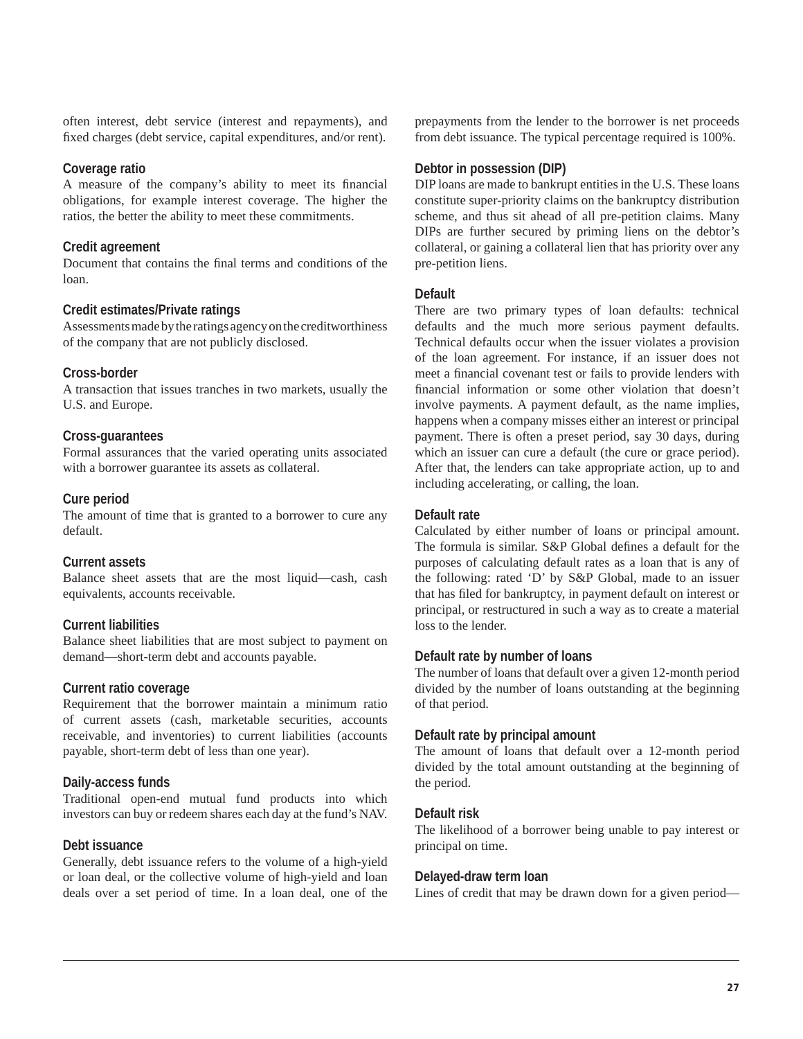often interest, debt service (interest and repayments), and fixed charges (debt service, capital expenditures, and/or rent).

## **Coverage ratio**

A measure of the company's ability to meet its financial obligations, for example interest coverage. The higher the ratios, the better the ability to meet these commitments.

#### **Credit agreement**

Document that contains the final terms and conditions of the loan.

## **Credit estimates/Private ratings**

Assessments made by the ratings agency on the creditworthiness of the company that are not publicly disclosed.

#### **Cross-border**

A transaction that issues tranches in two markets, usually the U.S. and Europe.

### **Cross-guarantees**

Formal assurances that the varied operating units associated with a borrower guarantee its assets as collateral.

#### **Cure period**

The amount of time that is granted to a borrower to cure any default.

## **Current assets**

Balance sheet assets that are the most liquid—cash, cash equivalents, accounts receivable.

#### **Current liabilities**

Balance sheet liabilities that are most subject to payment on demand—short-term debt and accounts payable.

#### **Current ratio coverage**

Requirement that the borrower maintain a minimum ratio of current assets (cash, marketable securities, accounts receivable, and inventories) to current liabilities (accounts payable, short-term debt of less than one year).

## **Daily-access funds**

Traditional open-end mutual fund products into which investors can buy or redeem shares each day at the fund's NAV.

#### **Debt issuance**

Generally, debt issuance refers to the volume of a high-yield or loan deal, or the collective volume of high-yield and loan deals over a set period of time. In a loan deal, one of the prepayments from the lender to the borrower is net proceeds from debt issuance. The typical percentage required is 100%.

## **Debtor in possession (DIP)**

DIP loans are made to bankrupt entities in the U.S. These loans constitute super-priority claims on the bankruptcy distribution scheme, and thus sit ahead of all pre-petition claims. Many DIPs are further secured by priming liens on the debtor's collateral, or gaining a collateral lien that has priority over any pre-petition liens.

#### **Default**

There are two primary types of loan defaults: technical defaults and the much more serious payment defaults. Technical defaults occur when the issuer violates a provision of the loan agreement. For instance, if an issuer does not meet a financial covenant test or fails to provide lenders with financial information or some other violation that doesn't involve payments. A payment default, as the name implies, happens when a company misses either an interest or principal payment. There is often a preset period, say 30 days, during which an issuer can cure a default (the cure or grace period). After that, the lenders can take appropriate action, up to and including accelerating, or calling, the loan.

#### **Default rate**

Calculated by either number of loans or principal amount. The formula is similar. S&P Global defines a default for the purposes of calculating default rates as a loan that is any of the following: rated 'D' by S&P Global, made to an issuer that has filed for bankruptcy, in payment default on interest or principal, or restructured in such a way as to create a material loss to the lender.

## **Default rate by number of loans**

The number of loans that default over a given 12-month period divided by the number of loans outstanding at the beginning of that period.

## **Default rate by principal amount**

The amount of loans that default over a 12-month period divided by the total amount outstanding at the beginning of the period.

#### **Default risk**

The likelihood of a borrower being unable to pay interest or principal on time.

#### **Delayed-draw term loan**

Lines of credit that may be drawn down for a given period—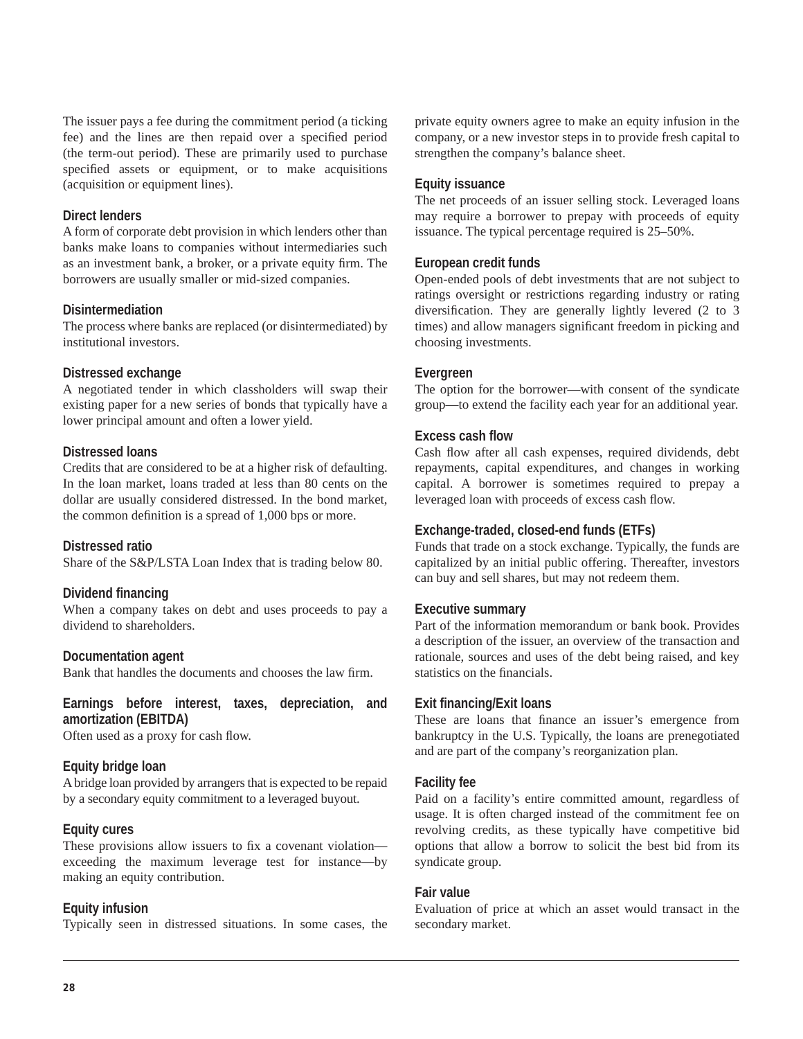The issuer pays a fee during the commitment period (a ticking fee) and the lines are then repaid over a specified period (the term-out period). These are primarily used to purchase specified assets or equipment, or to make acquisitions (acquisition or equipment lines).

## **Direct lenders**

A form of corporate debt provision in which lenders other than banks make loans to companies without intermediaries such as an investment bank, a broker, or a private equity firm. The borrowers are usually smaller or mid-sized companies.

#### **Disintermediation**

The process where banks are replaced (or disintermediated) by institutional investors.

#### **Distressed exchange**

A negotiated tender in which classholders will swap their existing paper for a new series of bonds that typically have a lower principal amount and often a lower yield.

#### **Distressed loans**

Credits that are considered to be at a higher risk of defaulting. In the loan market, loans traded at less than 80 cents on the dollar are usually considered distressed. In the bond market, the common definition is a spread of  $1,000$  bps or more.

#### **Distressed ratio**

Share of the S&P/LSTA Loan Index that is trading below 80.

#### **Dividend fi nancing**

When a company takes on debt and uses proceeds to pay a dividend to shareholders.

#### **Documentation agent**

Bank that handles the documents and chooses the law firm.

#### **Earnings before interest, taxes, depreciation, and amortization (EBITDA)**

Often used as a proxy for cash flow.

#### **Equity bridge loan**

A bridge loan provided by arrangers that is expected to be repaid by a secondary equity commitment to a leveraged buyout.

## **Equity cures**

These provisions allow issuers to fix a covenant violation exceeding the maximum leverage test for instance—by making an equity contribution.

#### **Equity infusion**

Typically seen in distressed situations. In some cases, the

private equity owners agree to make an equity infusion in the company, or a new investor steps in to provide fresh capital to strengthen the company's balance sheet.

### **Equity issuance**

The net proceeds of an issuer selling stock. Leveraged loans may require a borrower to prepay with proceeds of equity issuance. The typical percentage required is 25–50%.

#### **European credit funds**

Open-ended pools of debt investments that are not subject to ratings oversight or restrictions regarding industry or rating diversification. They are generally lightly levered (2 to 3 times) and allow managers significant freedom in picking and choosing investments.

#### **Evergreen**

The option for the borrower—with consent of the syndicate group—to extend the facility each year for an additional year.

#### **Excess cash fl ow**

Cash flow after all cash expenses, required dividends, debt repayments, capital expenditures, and changes in working capital. A borrower is sometimes required to prepay a leveraged loan with proceeds of excess cash flow.

#### **Exchange-traded, closed-end funds (ETFs)**

Funds that trade on a stock exchange. Typically, the funds are capitalized by an initial public offering. Thereafter, investors can buy and sell shares, but may not redeem them.

#### **Executive summary**

Part of the information memorandum or bank book. Provides a description of the issuer, an overview of the transaction and rationale, sources and uses of the debt being raised, and key statistics on the financials.

## **Exit fi nancing/Exit loans**

These are loans that finance an issuer's emergence from bankruptcy in the U.S. Typically, the loans are prenegotiated and are part of the company's reorganization plan.

#### **Facility fee**

Paid on a facility's entire committed amount, regardless of usage. It is often charged instead of the commitment fee on revolving credits, as these typically have competitive bid options that allow a borrow to solicit the best bid from its syndicate group.

#### **Fair value**

Evaluation of price at which an asset would transact in the secondary market.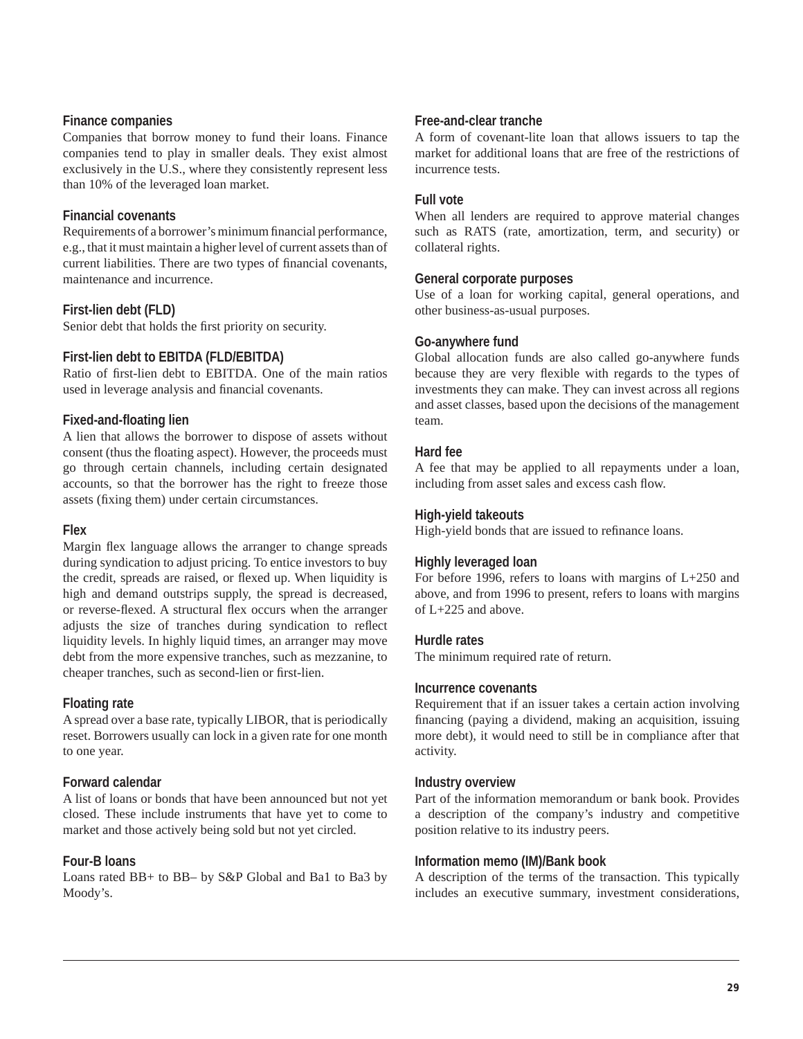## **Finance companies**

Companies that borrow money to fund their loans. Finance companies tend to play in smaller deals. They exist almost exclusively in the U.S., where they consistently represent less than 10% of the leveraged loan market.

## **Financial covenants**

Requirements of a borrower's minimum financial performance, e.g., that it must maintain a higher level of current assets than of current liabilities. There are two types of financial covenants, maintenance and incurrence.

## **First-lien debt (FLD)**

Senior debt that holds the first priority on security.

## **First-lien debt to EBITDA (FLD/EBITDA)**

Ratio of first-lien debt to EBITDA. One of the main ratios used in leverage analysis and financial covenants.

## **Fixed-and-fl oating lien**

A lien that allows the borrower to dispose of assets without consent (thus the floating aspect). However, the proceeds must go through certain channels, including certain designated accounts, so that the borrower has the right to freeze those assets (fixing them) under certain circumstances.

## **Flex**

Margin flex language allows the arranger to change spreads during syndication to adjust pricing. To entice investors to buy the credit, spreads are raised, or flexed up. When liquidity is high and demand outstrips supply, the spread is decreased, or reverse-flexed. A structural flex occurs when the arranger adjusts the size of tranches during syndication to reflect liquidity levels. In highly liquid times, an arranger may move debt from the more expensive tranches, such as mezzanine, to cheaper tranches, such as second-lien or first-lien.

## **Floating rate**

A spread over a base rate, typically LIBOR, that is periodically reset. Borrowers usually can lock in a given rate for one month to one year.

## **Forward calendar**

A list of loans or bonds that have been announced but not yet closed. These include instruments that have yet to come to market and those actively being sold but not yet circled.

## **Four-B loans**

Loans rated BB+ to BB– by S&P Global and Ba1 to Ba3 by Moody's.

## **Free-and-clear tranche**

A form of covenant-lite loan that allows issuers to tap the market for additional loans that are free of the restrictions of incurrence tests.

## **Full vote**

When all lenders are required to approve material changes such as RATS (rate, amortization, term, and security) or collateral rights.

## **General corporate purposes**

Use of a loan for working capital, general operations, and other business-as-usual purposes.

## **Go-anywhere fund**

Global allocation funds are also called go-anywhere funds because they are very flexible with regards to the types of investments they can make. They can invest across all regions and asset classes, based upon the decisions of the management team.

## **Hard fee**

A fee that may be applied to all repayments under a loan, including from asset sales and excess cash flow.

## **High-yield takeouts**

High-yield bonds that are issued to refinance loans.

## **Highly leveraged loan**

For before 1996, refers to loans with margins of L+250 and above, and from 1996 to present, refers to loans with margins of L+225 and above.

#### **Hurdle rates**

The minimum required rate of return.

## **Incurrence covenants**

Requirement that if an issuer takes a certain action involving financing (paying a dividend, making an acquisition, issuing more debt), it would need to still be in compliance after that activity.

## **Industry overview**

Part of the information memorandum or bank book. Provides a description of the company's industry and competitive position relative to its industry peers.

## **Information memo (IM)/Bank book**

A description of the terms of the transaction. This typically includes an executive summary, investment considerations,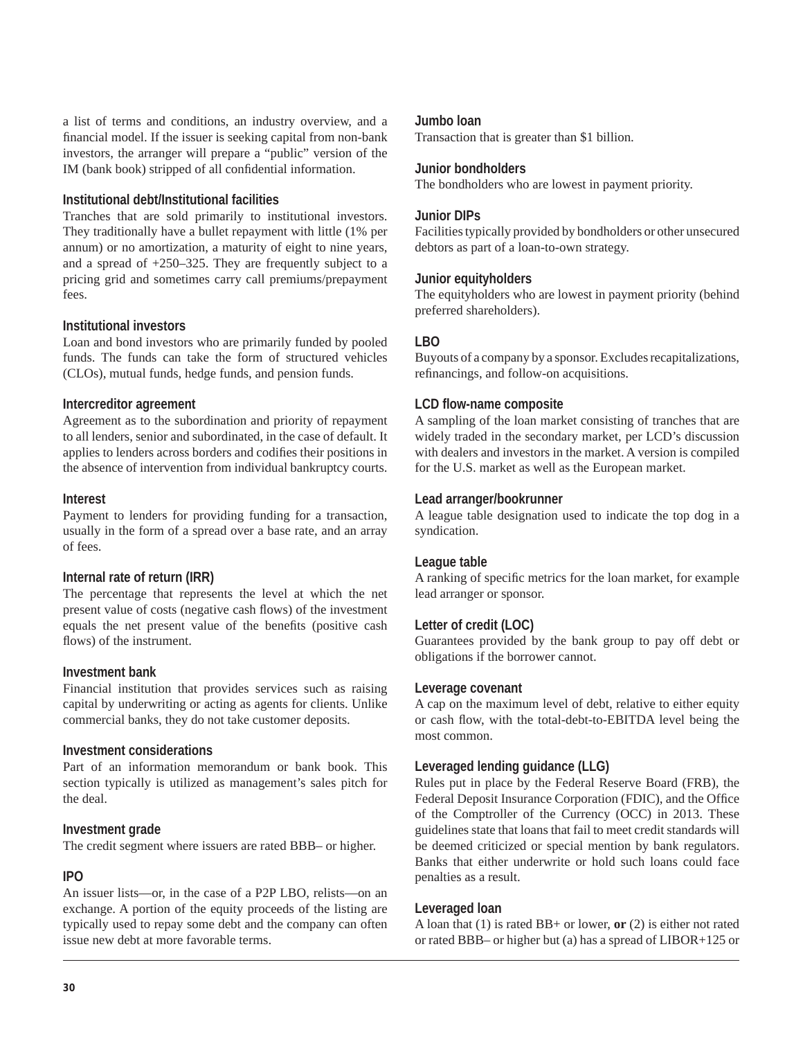a list of terms and conditions, an industry overview, and a financial model. If the issuer is seeking capital from non-bank investors, the arranger will prepare a "public" version of the IM (bank book) stripped of all confidential information.

## **Institutional debt/Institutional facilities**

Tranches that are sold primarily to institutional investors. They traditionally have a bullet repayment with little (1% per annum) or no amortization, a maturity of eight to nine years, and a spread of +250–325. They are frequently subject to a pricing grid and sometimes carry call premiums/prepayment fees.

#### **Institutional investors**

Loan and bond investors who are primarily funded by pooled funds. The funds can take the form of structured vehicles (CLOs), mutual funds, hedge funds, and pension funds.

#### **Intercreditor agreement**

Agreement as to the subordination and priority of repayment to all lenders, senior and subordinated, in the case of default. It applies to lenders across borders and codifies their positions in the absence of intervention from individual bankruptcy courts.

#### **Interest**

Payment to lenders for providing funding for a transaction, usually in the form of a spread over a base rate, and an array of fees.

## **Internal rate of return (IRR)**

The percentage that represents the level at which the net present value of costs (negative cash flows) of the investment equals the net present value of the benefits (positive cash flows) of the instrument.

## **Investment bank**

Financial institution that provides services such as raising capital by underwriting or acting as agents for clients. Unlike commercial banks, they do not take customer deposits.

#### **Investment considerations**

Part of an information memorandum or bank book. This section typically is utilized as management's sales pitch for the deal.

## **Investment grade**

The credit segment where issuers are rated BBB– or higher.

## **IPO**

An issuer lists—or, in the case of a P2P LBO, relists—on an exchange. A portion of the equity proceeds of the listing are typically used to repay some debt and the company can often issue new debt at more favorable terms.

#### **Jumbo loan**

Transaction that is greater than \$1 billion.

#### **Junior bondholders**

The bondholders who are lowest in payment priority.

#### **Junior DIPs**

Facilities typically provided by bondholders or other unsecured debtors as part of a loan-to-own strategy.

#### **Junior equityholders**

The equityholders who are lowest in payment priority (behind preferred shareholders).

#### **LBO**

Buyouts of a company by a sponsor. Excludes recapitalizations, refinancings, and follow-on acquisitions.

#### **LCD fl ow-name composite**

A sampling of the loan market consisting of tranches that are widely traded in the secondary market, per LCD's discussion with dealers and investors in the market. A version is compiled for the U.S. market as well as the European market.

#### **Lead arranger/bookrunner**

A league table designation used to indicate the top dog in a syndication.

## **League table**

A ranking of specific metrics for the loan market, for example lead arranger or sponsor.

## **Letter of credit (LOC)**

Guarantees provided by the bank group to pay off debt or obligations if the borrower cannot.

#### **Leverage covenant**

A cap on the maximum level of debt, relative to either equity or cash flow, with the total-debt-to-EBITDA level being the most common.

#### **Leveraged lending guidance (LLG)**

Rules put in place by the Federal Reserve Board (FRB), the Federal Deposit Insurance Corporation (FDIC), and the Office of the Comptroller of the Currency (OCC) in 2013. These guidelines state that loans that fail to meet credit standards will be deemed criticized or special mention by bank regulators. Banks that either underwrite or hold such loans could face penalties as a result.

#### **Leveraged loan**

A loan that (1) is rated BB+ or lower, **or** (2) is either not rated or rated BBB– or higher but (a) has a spread of LIBOR+125 or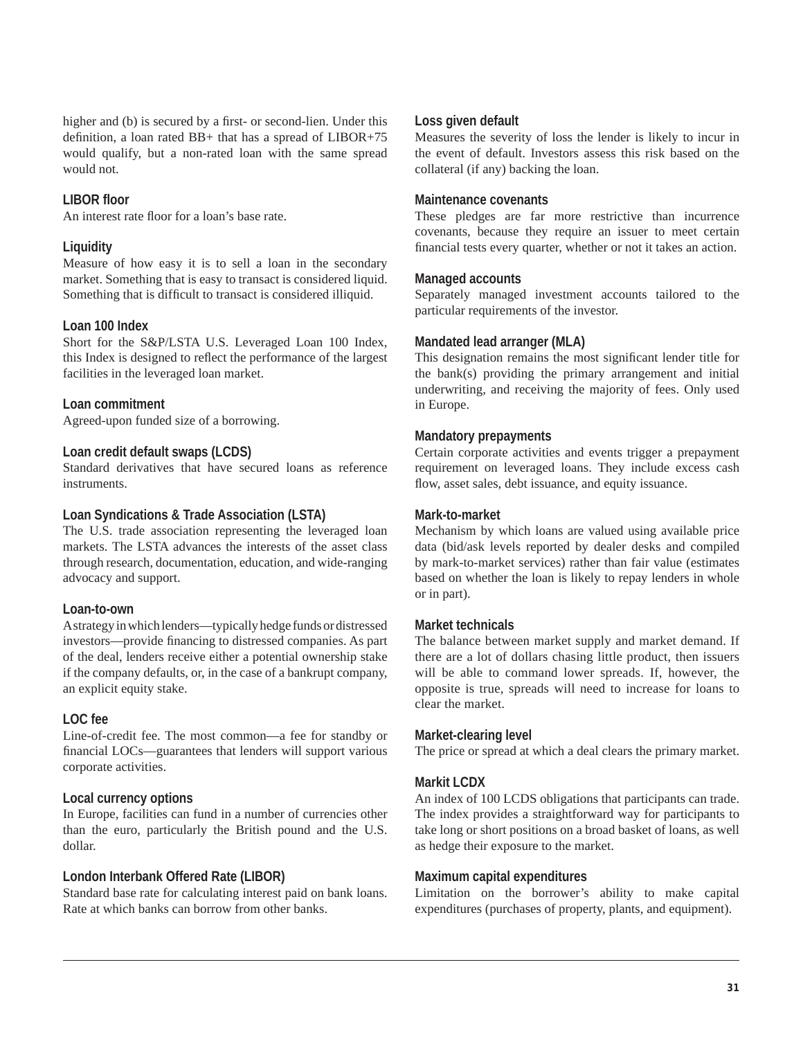higher and (b) is secured by a first- or second-lien. Under this definition, a loan rated  $BB+$  that has a spread of  $LIBOR+75$ would qualify, but a non-rated loan with the same spread would not.

## **LIBOR fl oor**

An interest rate floor for a loan's base rate.

## **Liquidity**

Measure of how easy it is to sell a loan in the secondary market. Something that is easy to transact is considered liquid. Something that is difficult to transact is considered illiquid.

## **Loan 100 Index**

Short for the S&P/LSTA U.S. Leveraged Loan 100 Index, this Index is designed to reflect the performance of the largest facilities in the leveraged loan market.

## **Loan commitment**

Agreed-upon funded size of a borrowing.

## **Loan credit default swaps (LCDS)**

Standard derivatives that have secured loans as reference instruments.

## **Loan Syndications & Trade Association (LSTA)**

The U.S. trade association representing the leveraged loan markets. The LSTA advances the interests of the asset class through research, documentation, education, and wide-ranging advocacy and support.

## **Loan-to-own**

A strategy in which lenders—typically hedge funds or distressed investors—provide financing to distressed companies. As part of the deal, lenders receive either a potential ownership stake if the company defaults, or, in the case of a bankrupt company, an explicit equity stake.

## **LOC fee**

Line-of-credit fee. The most common—a fee for standby or financial LOCs—guarantees that lenders will support various corporate activities.

## **Local currency options**

In Europe, facilities can fund in a number of currencies other than the euro, particularly the British pound and the U.S. dollar.

## **London Interbank Offered Rate (LIBOR)**

Standard base rate for calculating interest paid on bank loans. Rate at which banks can borrow from other banks.

## **Loss given default**

Measures the severity of loss the lender is likely to incur in the event of default. Investors assess this risk based on the collateral (if any) backing the loan.

## **Maintenance covenants**

These pledges are far more restrictive than incurrence covenants, because they require an issuer to meet certain financial tests every quarter, whether or not it takes an action.

## **Managed accounts**

Separately managed investment accounts tailored to the particular requirements of the investor.

## **Mandated lead arranger (MLA)**

This designation remains the most significant lender title for the bank(s) providing the primary arrangement and initial underwriting, and receiving the majority of fees. Only used in Europe.

## **Mandatory prepayments**

Certain corporate activities and events trigger a prepayment requirement on leveraged loans. They include excess cash flow, asset sales, debt issuance, and equity issuance.

## **Mark-to-market**

Mechanism by which loans are valued using available price data (bid/ask levels reported by dealer desks and compiled by mark-to-market services) rather than fair value (estimates based on whether the loan is likely to repay lenders in whole or in part).

## **Market technicals**

The balance between market supply and market demand. If there are a lot of dollars chasing little product, then issuers will be able to command lower spreads. If, however, the opposite is true, spreads will need to increase for loans to clear the market.

## **Market-clearing level**

The price or spread at which a deal clears the primary market.

## **Markit LCDX**

An index of 100 LCDS obligations that participants can trade. The index provides a straightforward way for participants to take long or short positions on a broad basket of loans, as well as hedge their exposure to the market.

## **Maximum capital expenditures**

Limitation on the borrower's ability to make capital expenditures (purchases of property, plants, and equipment).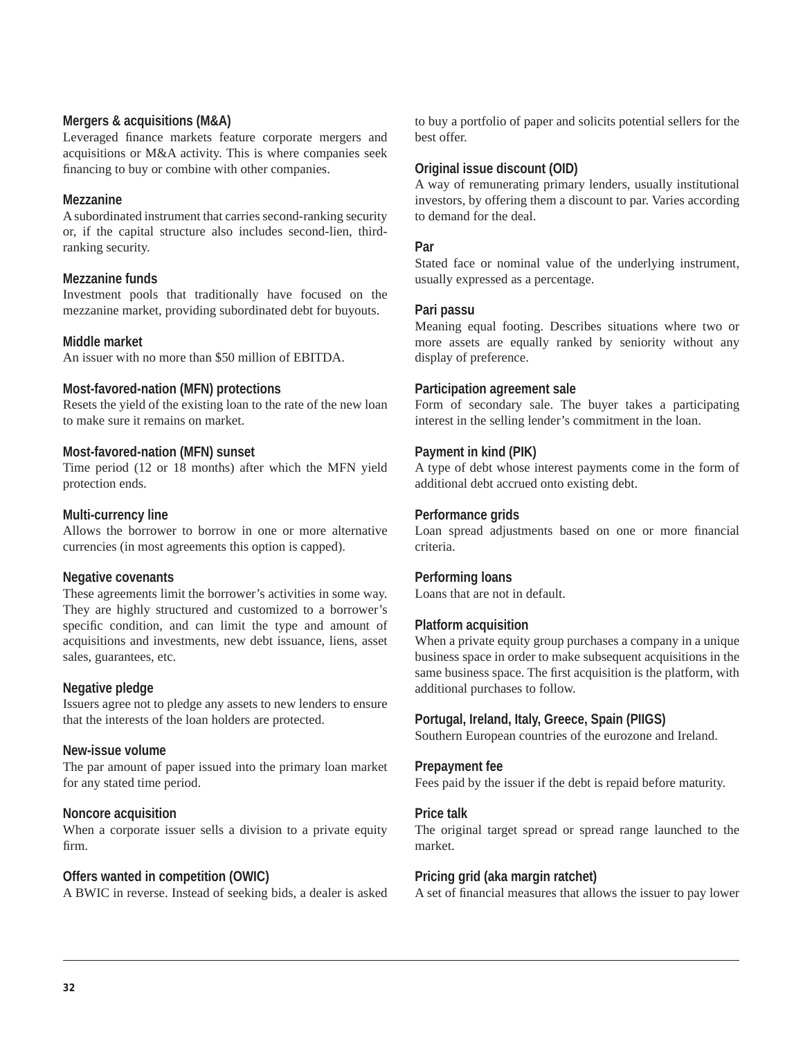## **Mergers & acquisitions (M&A)**

Leveraged finance markets feature corporate mergers and acquisitions or M&A activity. This is where companies seek financing to buy or combine with other companies.

## **Mezzanine**

A subordinated instrument that carries second-ranking security or, if the capital structure also includes second-lien, thirdranking security.

## **Mezzanine funds**

Investment pools that traditionally have focused on the mezzanine market, providing subordinated debt for buyouts.

## **Middle market**

An issuer with no more than \$50 million of EBITDA.

## **Most-favored-nation (MFN) protections**

Resets the yield of the existing loan to the rate of the new loan to make sure it remains on market.

## **Most-favored-nation (MFN) sunset**

Time period (12 or 18 months) after which the MFN yield protection ends.

## **Multi-currency line**

Allows the borrower to borrow in one or more alternative currencies (in most agreements this option is capped).

## **Negative covenants**

These agreements limit the borrower's activities in some way. They are highly structured and customized to a borrower's specific condition, and can limit the type and amount of acquisitions and investments, new debt issuance, liens, asset sales, guarantees, etc.

## **Negative pledge**

Issuers agree not to pledge any assets to new lenders to ensure that the interests of the loan holders are protected.

## **New-issue volume**

The par amount of paper issued into the primary loan market for any stated time period.

## **Noncore acquisition**

When a corporate issuer sells a division to a private equity firm.

## **Offers wanted in competition (OWIC)**

A BWIC in reverse. Instead of seeking bids, a dealer is asked

to buy a portfolio of paper and solicits potential sellers for the best offer.

## **Original issue discount (OID)**

A way of remunerating primary lenders, usually institutional investors, by offering them a discount to par. Varies according to demand for the deal.

## **Par**

Stated face or nominal value of the underlying instrument, usually expressed as a percentage.

## **Pari passu**

Meaning equal footing. Describes situations where two or more assets are equally ranked by seniority without any display of preference.

## **Participation agreement sale**

Form of secondary sale. The buyer takes a participating interest in the selling lender's commitment in the loan.

## **Payment in kind (PIK)**

A type of debt whose interest payments come in the form of additional debt accrued onto existing debt.

## **Performance grids**

Loan spread adjustments based on one or more financial criteria.

## **Performing loans**

Loans that are not in default.

## **Platform acquisition**

When a private equity group purchases a company in a unique business space in order to make subsequent acquisitions in the same business space. The first acquisition is the platform, with additional purchases to follow.

## **Portugal, Ireland, Italy, Greece, Spain (PIIGS)**

Southern European countries of the eurozone and Ireland.

## **Prepayment fee**

Fees paid by the issuer if the debt is repaid before maturity.

## **Price talk**

The original target spread or spread range launched to the market.

## **Pricing grid (aka margin ratchet)**

A set of financial measures that allows the issuer to pay lower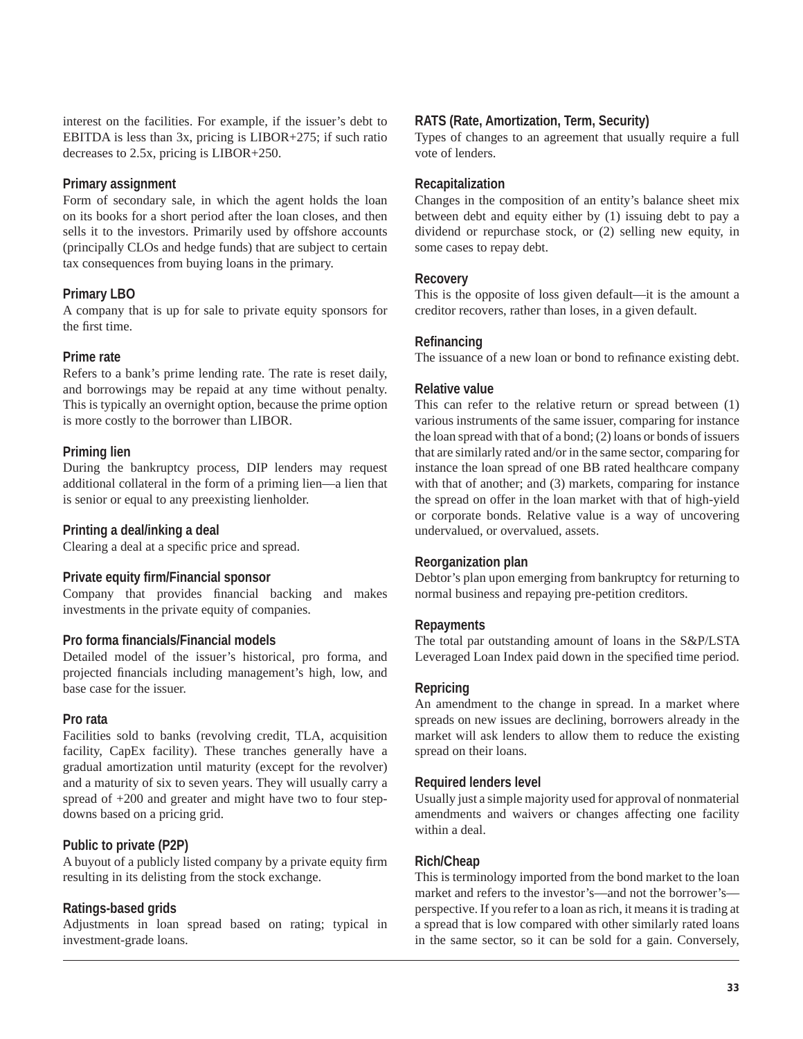interest on the facilities. For example, if the issuer's debt to EBITDA is less than 3x, pricing is LIBOR+275; if such ratio decreases to 2.5x, pricing is LIBOR+250.

#### **Primary assignment**

Form of secondary sale, in which the agent holds the loan on its books for a short period after the loan closes, and then sells it to the investors. Primarily used by offshore accounts (principally CLOs and hedge funds) that are subject to certain tax consequences from buying loans in the primary.

#### **Primary LBO**

A company that is up for sale to private equity sponsors for the first time.

#### **Prime rate**

Refers to a bank's prime lending rate. The rate is reset daily, and borrowings may be repaid at any time without penalty. This is typically an overnight option, because the prime option is more costly to the borrower than LIBOR.

#### **Priming lien**

During the bankruptcy process, DIP lenders may request additional collateral in the form of a priming lien—a lien that is senior or equal to any preexisting lienholder.

#### **Printing a deal/inking a deal**

Clearing a deal at a specific price and spread.

#### **Private equity fi rm/Financial sponsor**

Company that provides financial backing and makes investments in the private equity of companies.

#### **Pro forma fi nancials/Financial models**

Detailed model of the issuer's historical, pro forma, and projected financials including management's high, low, and base case for the issuer.

#### **Pro rata**

Facilities sold to banks (revolving credit, TLA, acquisition facility, CapEx facility). These tranches generally have a gradual amortization until maturity (except for the revolver) and a maturity of six to seven years. They will usually carry a spread of +200 and greater and might have two to four stepdowns based on a pricing grid.

#### **Public to private (P2P)**

A buyout of a publicly listed company by a private equity firm resulting in its delisting from the stock exchange.

## **Ratings-based grids**

Adjustments in loan spread based on rating; typical in investment-grade loans.

#### **RATS (Rate, Amortization, Term, Security)**

Types of changes to an agreement that usually require a full vote of lenders.

#### **Recapitalization**

Changes in the composition of an entity's balance sheet mix between debt and equity either by (1) issuing debt to pay a dividend or repurchase stock, or (2) selling new equity, in some cases to repay debt.

#### **Recovery**

This is the opposite of loss given default—it is the amount a creditor recovers, rather than loses, in a given default.

#### **Refi nancing**

The issuance of a new loan or bond to refinance existing debt.

#### **Relative value**

This can refer to the relative return or spread between (1) various instruments of the same issuer, comparing for instance the loan spread with that of a bond; (2) loans or bonds of issuers that are similarly rated and/or in the same sector, comparing for instance the loan spread of one BB rated healthcare company with that of another; and (3) markets, comparing for instance the spread on offer in the loan market with that of high-yield or corporate bonds. Relative value is a way of uncovering undervalued, or overvalued, assets.

#### **Reorganization plan**

Debtor's plan upon emerging from bankruptcy for returning to normal business and repaying pre-petition creditors.

#### **Repayments**

The total par outstanding amount of loans in the S&P/LSTA Leveraged Loan Index paid down in the specified time period.

#### **Repricing**

An amendment to the change in spread. In a market where spreads on new issues are declining, borrowers already in the market will ask lenders to allow them to reduce the existing spread on their loans.

#### **Required lenders level**

Usually just a simple majority used for approval of nonmaterial amendments and waivers or changes affecting one facility within a deal.

#### **Rich/Cheap**

This is terminology imported from the bond market to the loan market and refers to the investor's—and not the borrower's perspective. If you refer to a loan as rich, it means it is trading at a spread that is low compared with other similarly rated loans in the same sector, so it can be sold for a gain. Conversely,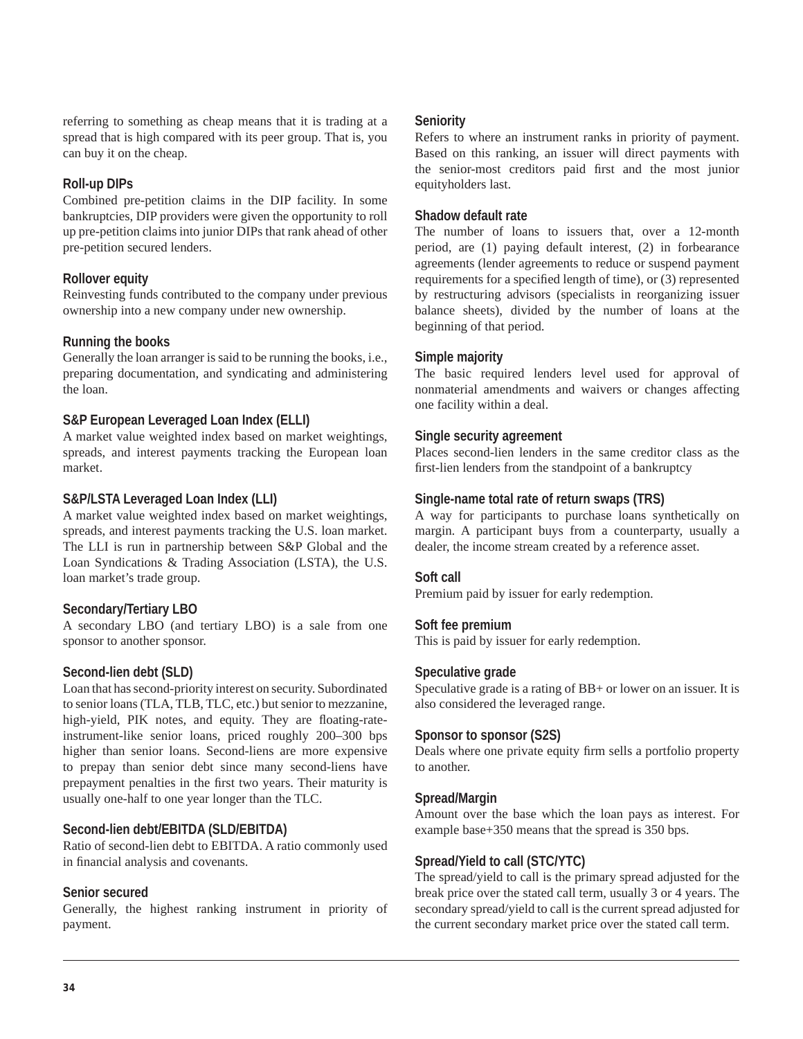referring to something as cheap means that it is trading at a spread that is high compared with its peer group. That is, you can buy it on the cheap.

## **Roll-up DIPs**

Combined pre-petition claims in the DIP facility. In some bankruptcies, DIP providers were given the opportunity to roll up pre-petition claims into junior DIPs that rank ahead of other pre-petition secured lenders.

## **Rollover equity**

Reinvesting funds contributed to the company under previous ownership into a new company under new ownership.

## **Running the books**

Generally the loan arranger is said to be running the books, i.e., preparing documentation, and syndicating and administering the loan.

## **S&P European Leveraged Loan Index (ELLI)**

A market value weighted index based on market weightings, spreads, and interest payments tracking the European loan market.

## **S&P/LSTA Leveraged Loan Index (LLI)**

A market value weighted index based on market weightings, spreads, and interest payments tracking the U.S. loan market. The LLI is run in partnership between S&P Global and the Loan Syndications & Trading Association (LSTA), the U.S. loan market's trade group.

## **Secondary/Tertiary LBO**

A secondary LBO (and tertiary LBO) is a sale from one sponsor to another sponsor.

## **Second-lien debt (SLD)**

Loan that has second-priority interest on security. Subordinated to senior loans (TLA, TLB, TLC, etc.) but senior to mezzanine, high-yield, PIK notes, and equity. They are floating-rateinstrument-like senior loans, priced roughly 200–300 bps higher than senior loans. Second-liens are more expensive to prepay than senior debt since many second-liens have prepayment penalties in the first two years. Their maturity is usually one-half to one year longer than the TLC.

## **Second-lien debt/EBITDA (SLD/EBITDA)**

Ratio of second-lien debt to EBITDA. A ratio commonly used in financial analysis and covenants.

## **Senior secured**

Generally, the highest ranking instrument in priority of payment.

## **Seniority**

Refers to where an instrument ranks in priority of payment. Based on this ranking, an issuer will direct payments with the senior-most creditors paid first and the most junior equityholders last.

## **Shadow default rate**

The number of loans to issuers that, over a 12-month period, are (1) paying default interest, (2) in forbearance agreements (lender agreements to reduce or suspend payment requirements for a specified length of time), or  $(3)$  represented by restructuring advisors (specialists in reorganizing issuer balance sheets), divided by the number of loans at the beginning of that period.

## **Simple majority**

The basic required lenders level used for approval of nonmaterial amendments and waivers or changes affecting one facility within a deal.

## **Single security agreement**

Places second-lien lenders in the same creditor class as the first-lien lenders from the standpoint of a bankruptcy

## **Single-name total rate of return swaps (TRS)**

A way for participants to purchase loans synthetically on margin. A participant buys from a counterparty, usually a dealer, the income stream created by a reference asset.

## **Soft call**

Premium paid by issuer for early redemption.

## **Soft fee premium**

This is paid by issuer for early redemption.

## **Speculative grade**

Speculative grade is a rating of BB+ or lower on an issuer. It is also considered the leveraged range.

## **Sponsor to sponsor (S2S)**

Deals where one private equity firm sells a portfolio property to another.

## **Spread/Margin**

Amount over the base which the loan pays as interest. For example base+350 means that the spread is 350 bps.

## **Spread/Yield to call (STC/YTC)**

The spread/yield to call is the primary spread adjusted for the break price over the stated call term, usually 3 or 4 years. The secondary spread/yield to call is the current spread adjusted for the current secondary market price over the stated call term.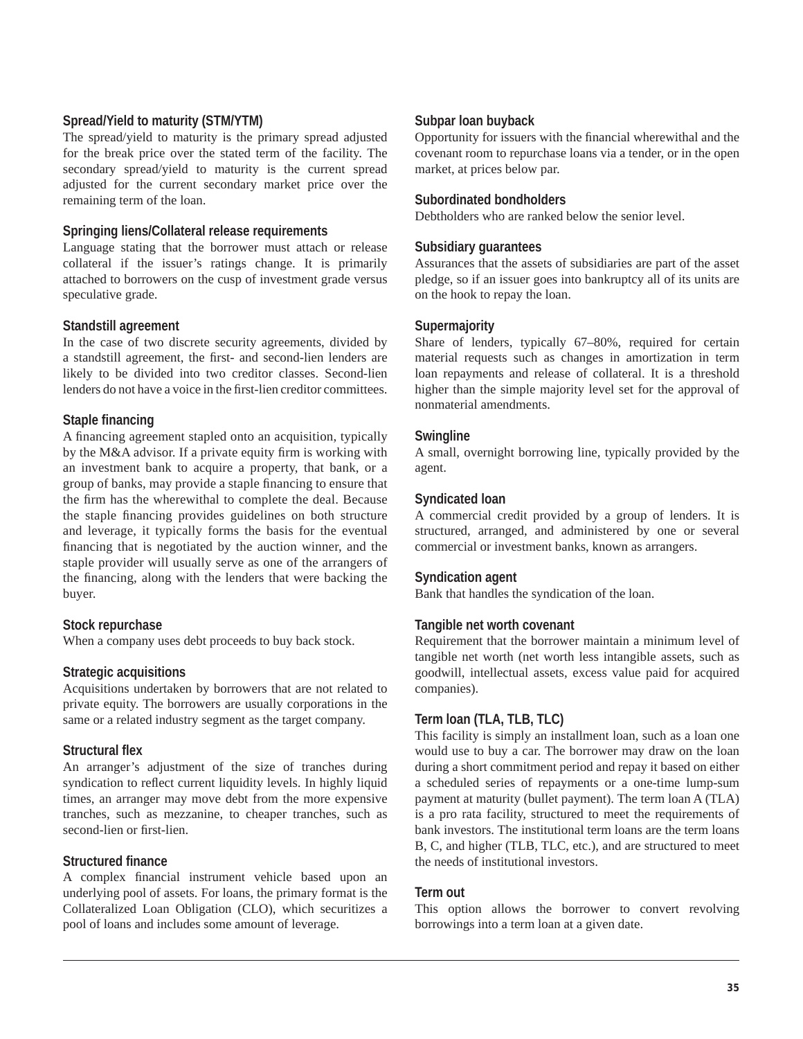## **Spread/Yield to maturity (STM/YTM)**

The spread/yield to maturity is the primary spread adjusted for the break price over the stated term of the facility. The secondary spread/yield to maturity is the current spread adjusted for the current secondary market price over the remaining term of the loan.

## **Springing liens/Collateral release requirements**

Language stating that the borrower must attach or release collateral if the issuer's ratings change. It is primarily attached to borrowers on the cusp of investment grade versus speculative grade.

## **Standstill agreement**

In the case of two discrete security agreements, divided by a standstill agreement, the first- and second-lien lenders are likely to be divided into two creditor classes. Second-lien lenders do not have a voice in the first-lien creditor committees.

## **Staple fi nancing**

A financing agreement stapled onto an acquisition, typically by the M&A advisor. If a private equity firm is working with an investment bank to acquire a property, that bank, or a group of banks, may provide a staple financing to ensure that the firm has the wherewithal to complete the deal. Because the staple financing provides guidelines on both structure and leverage, it typically forms the basis for the eventual financing that is negotiated by the auction winner, and the staple provider will usually serve as one of the arrangers of the financing, along with the lenders that were backing the buyer.

## **Stock repurchase**

When a company uses debt proceeds to buy back stock.

## **Strategic acquisitions**

Acquisitions undertaken by borrowers that are not related to private equity. The borrowers are usually corporations in the same or a related industry segment as the target company.

## **Structural flex**

An arranger's adjustment of the size of tranches during syndication to reflect current liquidity levels. In highly liquid times, an arranger may move debt from the more expensive tranches, such as mezzanine, to cheaper tranches, such as second-lien or first-lien.

## **Structured fi nance**

A complex financial instrument vehicle based upon an underlying pool of assets. For loans, the primary format is the Collateralized Loan Obligation (CLO), which securitizes a pool of loans and includes some amount of leverage.

## **Subpar loan buyback**

Opportunity for issuers with the financial wherewithal and the covenant room to repurchase loans via a tender, or in the open market, at prices below par.

## **Subordinated bondholders**

Debtholders who are ranked below the senior level.

## **Subsidiary guarantees**

Assurances that the assets of subsidiaries are part of the asset pledge, so if an issuer goes into bankruptcy all of its units are on the hook to repay the loan.

## **Supermajority**

Share of lenders, typically 67–80%, required for certain material requests such as changes in amortization in term loan repayments and release of collateral. It is a threshold higher than the simple majority level set for the approval of nonmaterial amendments.

## **Swingline**

A small, overnight borrowing line, typically provided by the agent.

## **Syndicated loan**

A commercial credit provided by a group of lenders. It is structured, arranged, and administered by one or several commercial or investment banks, known as arrangers.

## **Syndication agent**

Bank that handles the syndication of the loan.

## **Tangible net worth covenant**

Requirement that the borrower maintain a minimum level of tangible net worth (net worth less intangible assets, such as goodwill, intellectual assets, excess value paid for acquired companies).

## **Term loan (TLA, TLB, TLC)**

This facility is simply an installment loan, such as a loan one would use to buy a car. The borrower may draw on the loan during a short commitment period and repay it based on either a scheduled series of repayments or a one-time lump-sum payment at maturity (bullet payment). The term loan A (TLA) is a pro rata facility, structured to meet the requirements of bank investors. The institutional term loans are the term loans B, C, and higher (TLB, TLC, etc.), and are structured to meet the needs of institutional investors.

## **Term out**

This option allows the borrower to convert revolving borrowings into a term loan at a given date.